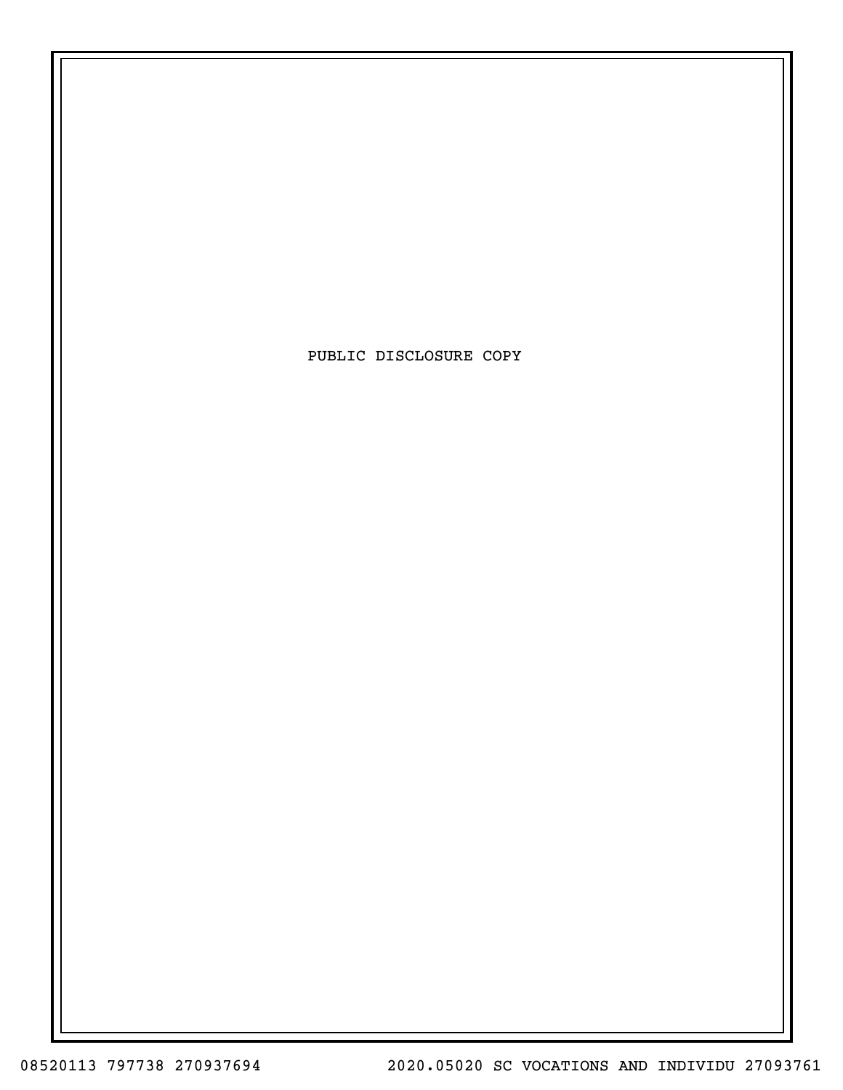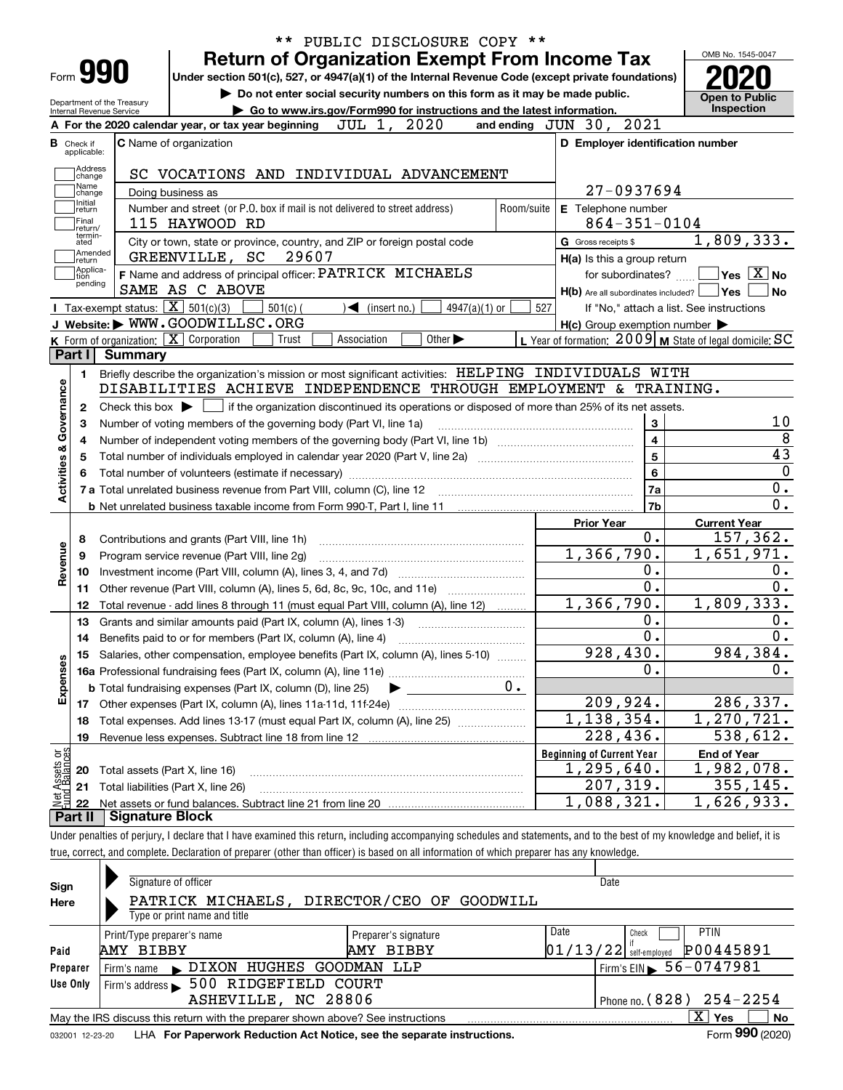|                                            |                                                   |                                                                                                                                             |            |                                   |                                                                        |               |            | <b>Return of Organization Exempt From Income Tax</b>                        |                         |                                                           |
|--------------------------------------------|---------------------------------------------------|---------------------------------------------------------------------------------------------------------------------------------------------|------------|-----------------------------------|------------------------------------------------------------------------|---------------|------------|-----------------------------------------------------------------------------|-------------------------|-----------------------------------------------------------|
| Form 990                                   |                                                   | Under section 501(c), 527, or 4947(a)(1) of the Internal Revenue Code (except private foundations)                                          |            |                                   |                                                                        |               |            |                                                                             |                         |                                                           |
| Department of the Treasury                 |                                                   |                                                                                                                                             |            |                                   |                                                                        |               |            | Do not enter social security numbers on this form as it may be made public. |                         | <b>Open to Public</b>                                     |
| Internal Revenue Service                   |                                                   |                                                                                                                                             |            |                                   | Go to www.irs.gov/Form990 for instructions and the latest information. |               |            |                                                                             |                         | Inspection                                                |
|                                            |                                                   | A For the 2020 calendar year, or tax year beginning                                                                                         |            | JUL 1, 2020                       |                                                                        |               |            | and ending JUN 30, 2021                                                     |                         |                                                           |
| Check if<br>applicable:                    |                                                   | C Name of organization                                                                                                                      |            |                                   |                                                                        |               |            | D Employer identification number                                            |                         |                                                           |
| Address                                    |                                                   |                                                                                                                                             |            |                                   |                                                                        |               |            |                                                                             |                         |                                                           |
| change<br>Name                             |                                                   | SC VOCATIONS AND INDIVIDUAL ADVANCEMENT                                                                                                     |            |                                   |                                                                        |               |            |                                                                             |                         |                                                           |
| change<br>Initial                          |                                                   | Doing business as                                                                                                                           |            |                                   |                                                                        |               |            |                                                                             | 27-0937694              |                                                           |
| return<br>Final                            |                                                   | Number and street (or P.O. box if mail is not delivered to street address)                                                                  |            |                                   |                                                                        |               | Room/suite | E Telephone number                                                          |                         |                                                           |
| return/<br>termin-                         |                                                   | 115 HAYWOOD RD                                                                                                                              |            |                                   |                                                                        |               |            |                                                                             | $864 - 351 - 0104$      |                                                           |
| ated<br>Amended                            |                                                   | City or town, state or province, country, and ZIP or foreign postal code                                                                    |            |                                   |                                                                        |               |            | G Gross receipts \$                                                         |                         | 1,809,333.                                                |
| return<br> Applica-                        |                                                   | GREENVILLE, SC                                                                                                                              | 29607      |                                   |                                                                        |               |            | H(a) Is this a group return                                                 |                         |                                                           |
| tion<br>pending                            |                                                   | F Name and address of principal officer: PATRICK MICHAELS                                                                                   |            |                                   |                                                                        |               |            |                                                                             | for subordinates?       | $\sqrt{}$ Yes $\sqrt{}$ X $\sqrt{}$ No                    |
|                                            |                                                   | SAME AS C ABOVE                                                                                                                             |            |                                   |                                                                        |               |            | $H(b)$ Are all subordinates included? $\Box$ Yes                            |                         |                                                           |
|                                            | Tax-exempt status: $\boxed{\mathbf{X}}$ 501(c)(3) |                                                                                                                                             | $501(c)$ ( | $\blacktriangleleft$ (insert no.) |                                                                        | 4947(a)(1) or | 527        |                                                                             |                         | If "No," attach a list. See instructions                  |
|                                            |                                                   | J Website: WWW.GOODWILLSC.ORG                                                                                                               |            |                                   |                                                                        |               |            | $H(c)$ Group exemption number $\blacktriangleright$                         |                         |                                                           |
| Part I                                     | <b>Summary</b>                                    | K Form of organization: X Corporation                                                                                                       | Trust      | Association                       | Other $\blacktriangleright$                                            |               |            |                                                                             |                         | L Year of formation: $2009$ M State of legal domicile: SC |
|                                            |                                                   |                                                                                                                                             |            |                                   |                                                                        |               |            |                                                                             |                         |                                                           |
| 1.                                         |                                                   | Briefly describe the organization's mission or most significant activities: HELPING INDIVIDUALS WITH                                        |            |                                   |                                                                        |               |            |                                                                             |                         |                                                           |
|                                            |                                                   | DISABILITIES ACHIEVE INDEPENDENCE THROUGH EMPLOYMENT & TRAINING.                                                                            |            |                                   |                                                                        |               |            |                                                                             |                         |                                                           |
|                                            |                                                   |                                                                                                                                             |            |                                   |                                                                        |               |            |                                                                             |                         |                                                           |
| 2                                          |                                                   | Check this box $\blacktriangleright$ $\Box$ if the organization discontinued its operations or disposed of more than 25% of its net assets. |            |                                   |                                                                        |               |            |                                                                             |                         |                                                           |
| з                                          |                                                   | Number of voting members of the governing body (Part VI, line 1a)                                                                           |            |                                   |                                                                        |               |            |                                                                             | 3                       |                                                           |
| 4                                          |                                                   |                                                                                                                                             |            |                                   |                                                                        |               |            |                                                                             | $\overline{\mathbf{4}}$ |                                                           |
| 5                                          |                                                   |                                                                                                                                             |            |                                   |                                                                        |               |            |                                                                             | $\overline{\mathbf{5}}$ |                                                           |
|                                            |                                                   |                                                                                                                                             |            |                                   |                                                                        |               |            |                                                                             | $\bf{6}$                |                                                           |
|                                            |                                                   |                                                                                                                                             |            |                                   |                                                                        |               |            |                                                                             | 7a                      |                                                           |
| Activities & Governance                    |                                                   |                                                                                                                                             |            |                                   |                                                                        |               |            |                                                                             | 7b                      |                                                           |
|                                            |                                                   |                                                                                                                                             |            |                                   |                                                                        |               |            | <b>Prior Year</b>                                                           |                         | <b>Current Year</b>                                       |
| 8                                          |                                                   | Contributions and grants (Part VIII, line 1h)                                                                                               |            |                                   |                                                                        |               |            |                                                                             | 0.                      |                                                           |
| 9                                          |                                                   | Program service revenue (Part VIII, line 2g)                                                                                                |            |                                   |                                                                        |               |            | 1,366,790.                                                                  |                         |                                                           |
| 10                                         |                                                   |                                                                                                                                             |            |                                   |                                                                        |               |            |                                                                             | 0.                      |                                                           |
| 11                                         |                                                   | Other revenue (Part VIII, column (A), lines 5, 6d, 8c, 9c, 10c, and 11e)                                                                    |            |                                   |                                                                        |               |            |                                                                             | $\overline{0}$ .        |                                                           |
| 12                                         |                                                   | Total revenue - add lines 8 through 11 (must equal Part VIII, column (A), line 12)                                                          |            |                                   |                                                                        |               |            | 1,366,790.                                                                  |                         |                                                           |
| 13                                         |                                                   | Grants and similar amounts paid (Part IX, column (A), lines 1-3)                                                                            |            |                                   |                                                                        |               |            |                                                                             | 0.                      |                                                           |
| 14                                         |                                                   | Benefits paid to or for members (Part IX, column (A), line 4)                                                                               |            |                                   |                                                                        |               |            |                                                                             | 0.                      |                                                           |
| 15                                         |                                                   | Salaries, other compensation, employee benefits (Part IX, column (A), lines 5-10)                                                           |            |                                   |                                                                        |               |            | 928, 430.                                                                   |                         |                                                           |
| Revenue                                    |                                                   |                                                                                                                                             |            |                                   |                                                                        |               |            |                                                                             | $\mathbf 0$ .           | 157, 362.<br>1,651,971.<br>1,809,333.<br>984,384.         |
|                                            |                                                   | <b>b</b> Total fundraising expenses (Part IX, column (D), line 25)                                                                          |            |                                   |                                                                        |               | $0$ .      |                                                                             |                         |                                                           |
| 17                                         |                                                   |                                                                                                                                             |            |                                   |                                                                        |               |            | 209,924.                                                                    |                         |                                                           |
| 18                                         |                                                   | Total expenses. Add lines 13-17 (must equal Part IX, column (A), line 25)                                                                   |            |                                   |                                                                        |               |            | $\overline{1,138,354}$ .                                                    |                         |                                                           |
| Expenses<br>19                             |                                                   | Revenue less expenses. Subtract line 18 from line 12                                                                                        |            |                                   |                                                                        |               |            | 228,436.                                                                    |                         | 286, 337.<br>1,270,721.<br>$\overline{5}38,612.$          |
|                                            |                                                   |                                                                                                                                             |            |                                   |                                                                        |               |            | <b>Beginning of Current Year</b>                                            |                         | <b>End of Year</b>                                        |
| 20                                         |                                                   | Total assets (Part X, line 16)                                                                                                              |            |                                   |                                                                        |               |            | 1,295,640.                                                                  |                         | 1,982,078.                                                |
| Net Assets or<br>Fund Balances<br>21<br>22 |                                                   | Total liabilities (Part X, line 26)                                                                                                         |            |                                   |                                                                        |               |            | 207,319.<br>1,088,321.                                                      |                         | 355, 145.<br>1,626,933.                                   |

| Signature of officer<br>Date<br>Sign<br>PATRICK MICHAELS, DIRECTOR/CEO OF GOODWILL<br>Here<br>Type or print name and title        |                              |
|-----------------------------------------------------------------------------------------------------------------------------------|------------------------------|
| Date<br>Check<br>Preparer's signature<br>Print/Type preparer's name<br>$01/13/22$ self-employed<br>AMY BIBBY<br>AMY BIBBY<br>Paid | <b>PTIN</b><br>P00445891     |
| $1$ Firm's EIN $\triangleright$ 56 - 0747981<br>DIXON HUGHES GOODMAN LLP<br>Preparer<br>Firm's name $\blacktriangleright$         |                              |
| 500 RIDGEFIELD COURT<br>Use Only<br>Firm's address                                                                                |                              |
| Phone no. $(828)$ $254 - 2254$<br>ASHEVILLE, NC 28806                                                                             |                              |
| $\overline{\texttt{X}}$<br>May the IRS discuss this return with the preparer shown above? See instructions                        | Yes<br><b>No</b><br>$\cdots$ |

032001 12-23-20 LHA **For Paperwork Reduction Act Notice, see the separate instructions. Form 990 (2020)** 

**990**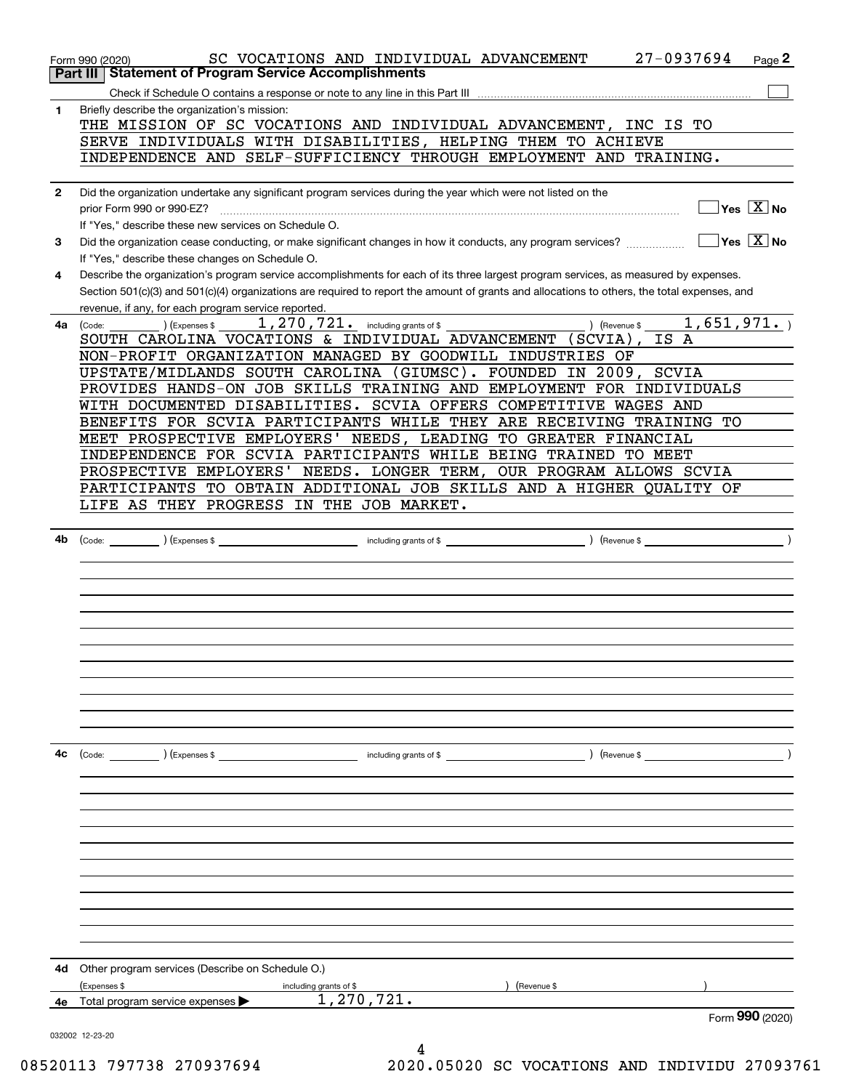|              | 27-0937694<br>SC VOCATIONS AND INDIVIDUAL ADVANCEMENT<br>Page 2<br>Form 990 (2020)<br><b>Statement of Program Service Accomplishments</b><br>Part III                                                                                                                                                                                              |
|--------------|----------------------------------------------------------------------------------------------------------------------------------------------------------------------------------------------------------------------------------------------------------------------------------------------------------------------------------------------------|
|              |                                                                                                                                                                                                                                                                                                                                                    |
| 1            | Briefly describe the organization's mission:                                                                                                                                                                                                                                                                                                       |
|              | THE MISSION OF SC VOCATIONS AND INDIVIDUAL ADVANCEMENT, INC IS TO                                                                                                                                                                                                                                                                                  |
|              | SERVE INDIVIDUALS WITH DISABILITIES, HELPING THEM TO ACHIEVE                                                                                                                                                                                                                                                                                       |
|              | INDEPENDENCE AND SELF-SUFFICIENCY THROUGH EMPLOYMENT AND TRAINING.                                                                                                                                                                                                                                                                                 |
|              |                                                                                                                                                                                                                                                                                                                                                    |
| $\mathbf{2}$ | Did the organization undertake any significant program services during the year which were not listed on the                                                                                                                                                                                                                                       |
|              | $\sqrt{\ }$ Yes $\sqrt{\ \text{X}}$ No<br>prior Form 990 or 990-EZ?                                                                                                                                                                                                                                                                                |
|              | If "Yes," describe these new services on Schedule O.                                                                                                                                                                                                                                                                                               |
| 3            | $\sqrt{}$ Yes $\sqrt{}$ X $\sqrt{}$ No<br>Did the organization cease conducting, or make significant changes in how it conducts, any program services?                                                                                                                                                                                             |
|              | If "Yes," describe these changes on Schedule O.                                                                                                                                                                                                                                                                                                    |
| 4            | Describe the organization's program service accomplishments for each of its three largest program services, as measured by expenses.                                                                                                                                                                                                               |
|              | Section 501(c)(3) and 501(c)(4) organizations are required to report the amount of grants and allocations to others, the total expenses, and                                                                                                                                                                                                       |
|              | revenue, if any, for each program service reported.                                                                                                                                                                                                                                                                                                |
| 4a           | $_{\rm \odot}$ ) (Expenses \$ $_{\rm \odot}$ $_{\rm \ddot}$ $_{\rm \ddot}$ $_{\rm \ddot}$ $_{\rm \ddot}$ $_{\rm \ddot}$ $_{\rm \ddot}$ $_{\rm \ddot}$ $_{\rm \ddot}$ $_{\rm \ddot}$ $_{\rm \ddot}$ $_{\rm \ddot}$ $_{\rm \ddot}$ $_{\rm \ddot}$ $_{\rm \ddot}$ $_{\rm \ddot}$ $_{\rm \ddot}$ $_{\rm \ddot}$ $_{\rm \ddot}$ $_{\rm \ddot$<br>(Code: |
|              | SOUTH CAROLINA VOCATIONS & INDIVIDUAL ADVANCEMENT (SCVIA), IS A                                                                                                                                                                                                                                                                                    |
|              | NON-PROFIT ORGANIZATION MANAGED BY GOODWILL INDUSTRIES OF                                                                                                                                                                                                                                                                                          |
|              | UPSTATE/MIDLANDS SOUTH CAROLINA (GIUMSC). FOUNDED IN 2009, SCVIA                                                                                                                                                                                                                                                                                   |
|              | PROVIDES HANDS-ON JOB SKILLS TRAINING AND EMPLOYMENT FOR INDIVIDUALS                                                                                                                                                                                                                                                                               |
|              | WITH DOCUMENTED DISABILITIES. SCVIA OFFERS COMPETITIVE WAGES AND                                                                                                                                                                                                                                                                                   |
|              | BENEFITS FOR SCVIA PARTICIPANTS WHILE THEY ARE RECEIVING TRAINING TO                                                                                                                                                                                                                                                                               |
|              | MEET PROSPECTIVE EMPLOYERS' NEEDS, LEADING TO GREATER FINANCIAL                                                                                                                                                                                                                                                                                    |
|              | INDEPENDENCE FOR SCVIA PARTICIPANTS WHILE BEING TRAINED TO MEET                                                                                                                                                                                                                                                                                    |
|              | PROSPECTIVE EMPLOYERS' NEEDS. LONGER TERM, OUR PROGRAM ALLOWS SCVIA                                                                                                                                                                                                                                                                                |
|              | PARTICIPANTS TO OBTAIN ADDITIONAL JOB SKILLS AND A HIGHER QUALITY OF                                                                                                                                                                                                                                                                               |
|              | LIFE AS THEY PROGRESS IN THE JOB MARKET.                                                                                                                                                                                                                                                                                                           |
|              |                                                                                                                                                                                                                                                                                                                                                    |
| 4b           |                                                                                                                                                                                                                                                                                                                                                    |
|              |                                                                                                                                                                                                                                                                                                                                                    |
|              |                                                                                                                                                                                                                                                                                                                                                    |
|              |                                                                                                                                                                                                                                                                                                                                                    |
|              |                                                                                                                                                                                                                                                                                                                                                    |
|              |                                                                                                                                                                                                                                                                                                                                                    |
|              |                                                                                                                                                                                                                                                                                                                                                    |
|              |                                                                                                                                                                                                                                                                                                                                                    |
|              |                                                                                                                                                                                                                                                                                                                                                    |
|              |                                                                                                                                                                                                                                                                                                                                                    |
|              |                                                                                                                                                                                                                                                                                                                                                    |
|              |                                                                                                                                                                                                                                                                                                                                                    |
| 4c           | (Code: ) (Expenses \$<br>$\blacksquare$ including grants of \$                                                                                                                                                                                                                                                                                     |
|              |                                                                                                                                                                                                                                                                                                                                                    |
|              |                                                                                                                                                                                                                                                                                                                                                    |
|              |                                                                                                                                                                                                                                                                                                                                                    |
|              |                                                                                                                                                                                                                                                                                                                                                    |
|              |                                                                                                                                                                                                                                                                                                                                                    |
|              |                                                                                                                                                                                                                                                                                                                                                    |
|              |                                                                                                                                                                                                                                                                                                                                                    |
|              |                                                                                                                                                                                                                                                                                                                                                    |
|              |                                                                                                                                                                                                                                                                                                                                                    |
|              |                                                                                                                                                                                                                                                                                                                                                    |
|              |                                                                                                                                                                                                                                                                                                                                                    |
|              |                                                                                                                                                                                                                                                                                                                                                    |
| 4d           | Other program services (Describe on Schedule O.)                                                                                                                                                                                                                                                                                                   |
|              | (Expenses \$<br>(Revenue \$<br>including grants of \$                                                                                                                                                                                                                                                                                              |
| 4е           | 1,270,721.<br>Total program service expenses                                                                                                                                                                                                                                                                                                       |
|              | Form 990 (2020)<br>032002 12-23-20                                                                                                                                                                                                                                                                                                                 |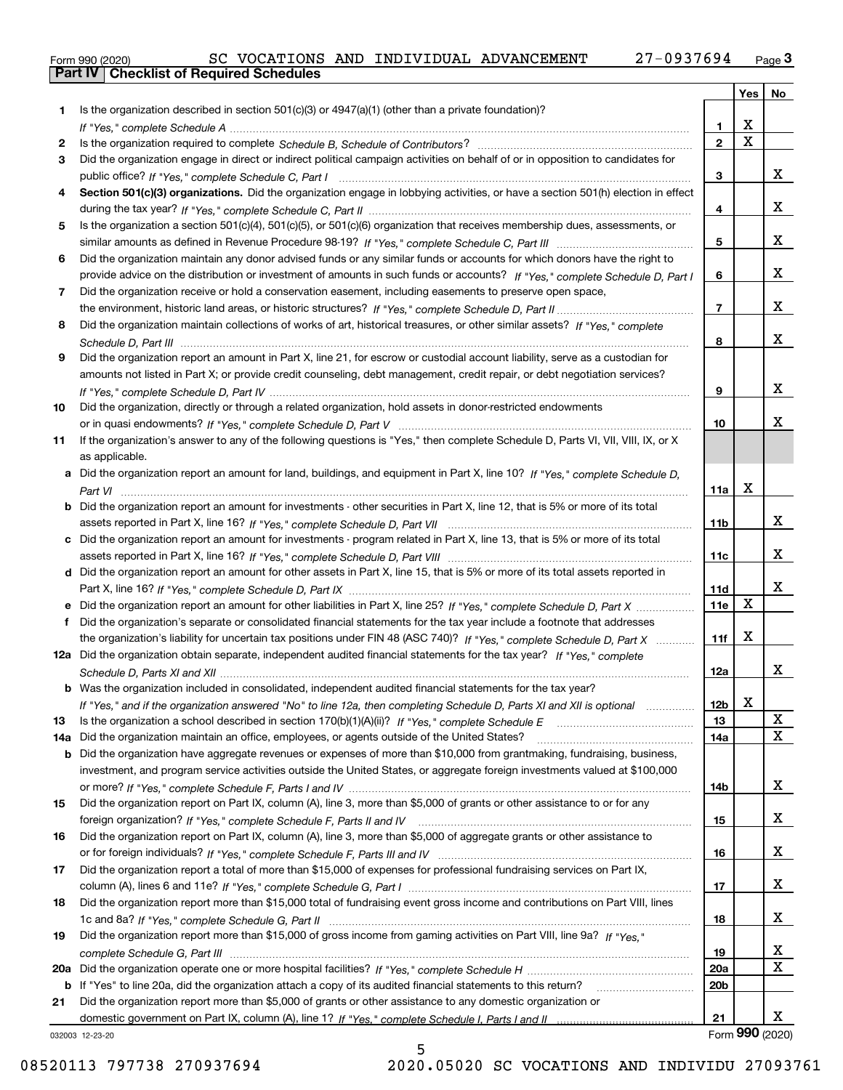|  | Form 990 (2020) |
|--|-----------------|

|     |                                                                                                                                  |                 | Yes   No                |                      |
|-----|----------------------------------------------------------------------------------------------------------------------------------|-----------------|-------------------------|----------------------|
| 1   | Is the organization described in section $501(c)(3)$ or $4947(a)(1)$ (other than a private foundation)?                          |                 |                         |                      |
|     |                                                                                                                                  | 1.              | X                       |                      |
| 2   |                                                                                                                                  | $\overline{2}$  | $\overline{\mathbf{x}}$ |                      |
| 3   | Did the organization engage in direct or indirect political campaign activities on behalf of or in opposition to candidates for  |                 |                         |                      |
|     |                                                                                                                                  | 3               |                         | x                    |
| 4   | Section 501(c)(3) organizations. Did the organization engage in lobbying activities, or have a section 501(h) election in effect |                 |                         |                      |
|     |                                                                                                                                  | 4               |                         | X                    |
| 5   | Is the organization a section 501(c)(4), 501(c)(5), or 501(c)(6) organization that receives membership dues, assessments, or     |                 |                         |                      |
|     |                                                                                                                                  | 5               |                         | X                    |
| 6   | Did the organization maintain any donor advised funds or any similar funds or accounts for which donors have the right to        |                 |                         | X                    |
|     | provide advice on the distribution or investment of amounts in such funds or accounts? If "Yes," complete Schedule D, Part I     | 6               |                         |                      |
| 7   | Did the organization receive or hold a conservation easement, including easements to preserve open space,                        | $\overline{7}$  |                         | X                    |
|     | Did the organization maintain collections of works of art, historical treasures, or other similar assets? If "Yes," complete     |                 |                         |                      |
| 8   |                                                                                                                                  | 8               |                         | X                    |
| 9   | Did the organization report an amount in Part X, line 21, for escrow or custodial account liability, serve as a custodian for    |                 |                         |                      |
|     | amounts not listed in Part X; or provide credit counseling, debt management, credit repair, or debt negotiation services?        |                 |                         |                      |
|     |                                                                                                                                  | 9               |                         | X                    |
| 10  | Did the organization, directly or through a related organization, hold assets in donor-restricted endowments                     |                 |                         |                      |
|     |                                                                                                                                  | 10              |                         | х                    |
| 11  | If the organization's answer to any of the following questions is "Yes," then complete Schedule D, Parts VI, VII, VIII, IX, or X |                 |                         |                      |
|     | as applicable.                                                                                                                   |                 |                         |                      |
| a   | Did the organization report an amount for land, buildings, and equipment in Part X, line 10? If "Yes," complete Schedule D,      |                 |                         |                      |
|     |                                                                                                                                  | 11a             | X                       |                      |
| b   | Did the organization report an amount for investments - other securities in Part X, line 12, that is 5% or more of its total     |                 |                         |                      |
|     |                                                                                                                                  | 11 <sub>b</sub> |                         | x                    |
|     | Did the organization report an amount for investments - program related in Part X, line 13, that is 5% or more of its total      |                 |                         |                      |
|     |                                                                                                                                  | 11c             |                         | x                    |
|     | d Did the organization report an amount for other assets in Part X, line 15, that is 5% or more of its total assets reported in  |                 |                         |                      |
|     |                                                                                                                                  | 11d             |                         | X                    |
|     | e Did the organization report an amount for other liabilities in Part X, line 25? If "Yes," complete Schedule D, Part X          | 11e             | X                       |                      |
| f   | Did the organization's separate or consolidated financial statements for the tax year include a footnote that addresses          |                 |                         |                      |
|     | the organization's liability for uncertain tax positions under FIN 48 (ASC 740)? If "Yes," complete Schedule D, Part X           | 11f             | X                       |                      |
|     | 12a Did the organization obtain separate, independent audited financial statements for the tax year? If "Yes," complete          |                 |                         |                      |
|     |                                                                                                                                  | 12a             |                         | x                    |
|     | <b>b</b> Was the organization included in consolidated, independent audited financial statements for the tax year?               |                 |                         |                      |
|     | If "Yes," and if the organization answered "No" to line 12a, then completing Schedule D, Parts XI and XII is optional            | 12 <sub>b</sub> | Y<br>▵                  |                      |
| 13  |                                                                                                                                  | 13              |                         | X                    |
| 14a | Did the organization maintain an office, employees, or agents outside of the United States?                                      | 14a             |                         | $\mathbf X$          |
| b   | Did the organization have aggregate revenues or expenses of more than \$10,000 from grantmaking, fundraising, business,          |                 |                         |                      |
|     | investment, and program service activities outside the United States, or aggregate foreign investments valued at \$100,000       |                 |                         |                      |
|     |                                                                                                                                  | 14b             |                         | X                    |
| 15  | Did the organization report on Part IX, column (A), line 3, more than \$5,000 of grants or other assistance to or for any        |                 |                         |                      |
|     |                                                                                                                                  | 15              |                         | X                    |
| 16  | Did the organization report on Part IX, column (A), line 3, more than \$5,000 of aggregate grants or other assistance to         |                 |                         |                      |
|     |                                                                                                                                  | 16              |                         | X                    |
| 17  | Did the organization report a total of more than \$15,000 of expenses for professional fundraising services on Part IX,          |                 |                         |                      |
|     |                                                                                                                                  | 17              |                         | X                    |
| 18  | Did the organization report more than \$15,000 total of fundraising event gross income and contributions on Part VIII, lines     |                 |                         |                      |
|     |                                                                                                                                  | 18              |                         | X                    |
| 19  | Did the organization report more than \$15,000 of gross income from gaming activities on Part VIII, line 9a? If "Yes."           |                 |                         |                      |
|     |                                                                                                                                  | 19              |                         | х                    |
| 20a |                                                                                                                                  | 20a             |                         | X                    |
|     | b If "Yes" to line 20a, did the organization attach a copy of its audited financial statements to this return?                   | 20 <sub>b</sub> |                         |                      |
| 21  | Did the organization report more than \$5,000 of grants or other assistance to any domestic organization or                      |                 |                         |                      |
|     |                                                                                                                                  | 21              |                         | x<br>Form 990 (2020) |
|     | 032003 12-23-20                                                                                                                  |                 |                         |                      |

5

032003 12-23-20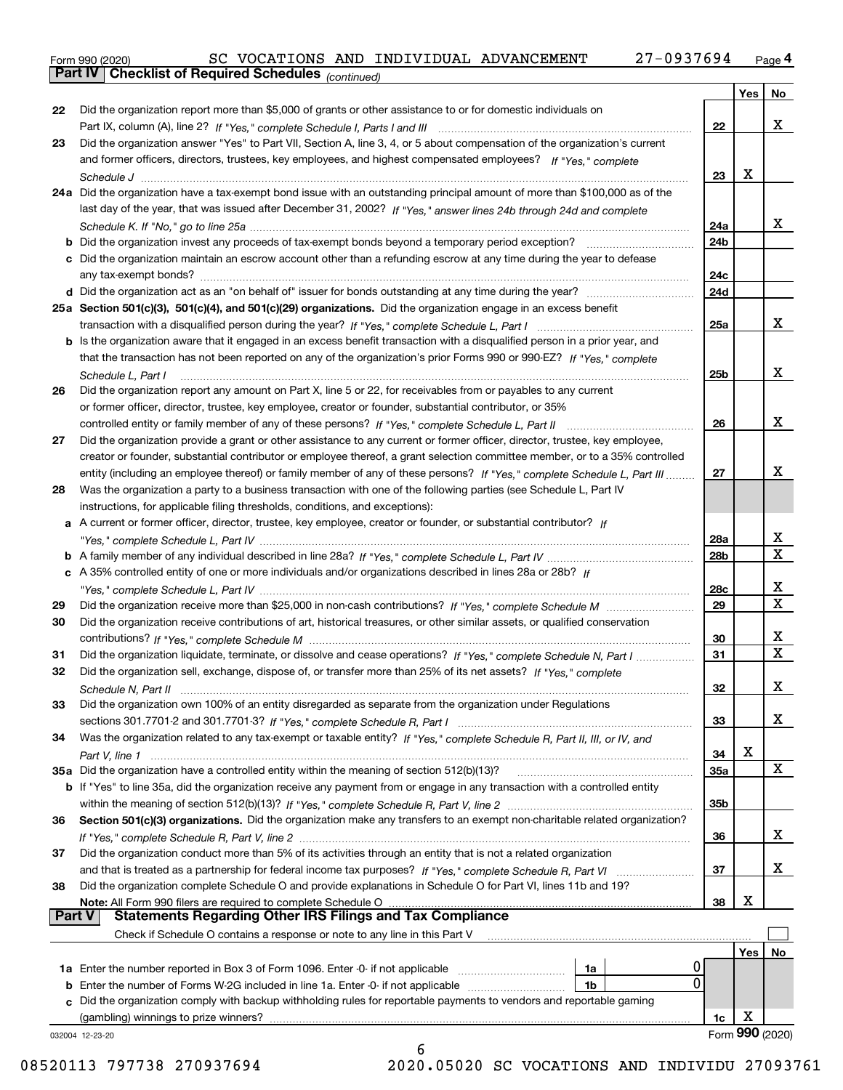*(continued)*

|               |                                                                                                                                                                                                                                |                 | Yes | No               |
|---------------|--------------------------------------------------------------------------------------------------------------------------------------------------------------------------------------------------------------------------------|-----------------|-----|------------------|
| 22            | Did the organization report more than \$5,000 of grants or other assistance to or for domestic individuals on                                                                                                                  |                 |     |                  |
|               |                                                                                                                                                                                                                                | 22              |     | x                |
| 23            | Did the organization answer "Yes" to Part VII, Section A, line 3, 4, or 5 about compensation of the organization's current                                                                                                     |                 |     |                  |
|               | and former officers, directors, trustees, key employees, and highest compensated employees? If "Yes," complete                                                                                                                 |                 |     |                  |
|               |                                                                                                                                                                                                                                | 23              | x   |                  |
|               | 24a Did the organization have a tax-exempt bond issue with an outstanding principal amount of more than \$100,000 as of the                                                                                                    |                 |     |                  |
|               | last day of the year, that was issued after December 31, 2002? If "Yes," answer lines 24b through 24d and complete                                                                                                             |                 |     |                  |
|               |                                                                                                                                                                                                                                | 24a             |     | x                |
|               |                                                                                                                                                                                                                                | 24 <sub>b</sub> |     |                  |
|               | c Did the organization maintain an escrow account other than a refunding escrow at any time during the year to defease                                                                                                         |                 |     |                  |
|               | any tax-exempt bonds?                                                                                                                                                                                                          | 24c             |     |                  |
|               |                                                                                                                                                                                                                                | 24d             |     |                  |
|               | 25a Section 501(c)(3), 501(c)(4), and 501(c)(29) organizations. Did the organization engage in an excess benefit                                                                                                               |                 |     |                  |
|               |                                                                                                                                                                                                                                | 25a             |     | x                |
|               | b Is the organization aware that it engaged in an excess benefit transaction with a disqualified person in a prior year, and                                                                                                   |                 |     |                  |
|               | that the transaction has not been reported on any of the organization's prior Forms 990 or 990-EZ? If "Yes," complete                                                                                                          |                 |     |                  |
|               | Schedule L. Part I                                                                                                                                                                                                             | 25 <sub>b</sub> |     | x                |
| 26            | Did the organization report any amount on Part X, line 5 or 22, for receivables from or payables to any current                                                                                                                |                 |     |                  |
|               | or former officer, director, trustee, key employee, creator or founder, substantial contributor, or 35%                                                                                                                        |                 |     |                  |
|               | controlled entity or family member of any of these persons? If "Yes," complete Schedule L, Part II                                                                                                                             | 26              |     | x                |
| 27            | Did the organization provide a grant or other assistance to any current or former officer, director, trustee, key employee,                                                                                                    |                 |     |                  |
|               | creator or founder, substantial contributor or employee thereof, a grant selection committee member, or to a 35% controlled                                                                                                    |                 |     |                  |
|               |                                                                                                                                                                                                                                | 27              |     | x                |
|               | entity (including an employee thereof) or family member of any of these persons? If "Yes," complete Schedule L, Part III                                                                                                       |                 |     |                  |
| 28            | Was the organization a party to a business transaction with one of the following parties (see Schedule L, Part IV                                                                                                              |                 |     |                  |
|               | instructions, for applicable filing thresholds, conditions, and exceptions):                                                                                                                                                   |                 |     |                  |
|               | a A current or former officer, director, trustee, key employee, creator or founder, or substantial contributor? If                                                                                                             |                 |     |                  |
|               |                                                                                                                                                                                                                                | 28a             |     | x<br>$\mathbf X$ |
|               |                                                                                                                                                                                                                                | 28 <sub>b</sub> |     |                  |
|               | c A 35% controlled entity of one or more individuals and/or organizations described in lines 28a or 28b? If                                                                                                                    |                 |     |                  |
|               |                                                                                                                                                                                                                                | 28c             |     | x<br>X           |
| 29            |                                                                                                                                                                                                                                | 29              |     |                  |
| 30            | Did the organization receive contributions of art, historical treasures, or other similar assets, or qualified conservation                                                                                                    |                 |     |                  |
|               |                                                                                                                                                                                                                                | 30              |     | х                |
| 31            | Did the organization liquidate, terminate, or dissolve and cease operations? If "Yes," complete Schedule N, Part I                                                                                                             | 31              |     | X                |
| 32            | Did the organization sell, exchange, dispose of, or transfer more than 25% of its net assets? If "Yes," complete                                                                                                               |                 |     |                  |
|               |                                                                                                                                                                                                                                | 32              |     | х                |
| 33            | Did the organization own 100% of an entity disregarded as separate from the organization under Regulations                                                                                                                     |                 |     |                  |
|               |                                                                                                                                                                                                                                | 33              |     | x                |
| 34            | Was the organization related to any tax-exempt or taxable entity? If "Yes," complete Schedule R, Part II, III, or IV, and                                                                                                      |                 |     |                  |
|               |                                                                                                                                                                                                                                | 34              | х   |                  |
|               | 35a Did the organization have a controlled entity within the meaning of section 512(b)(13)?                                                                                                                                    | 35a             |     | x                |
|               | b If "Yes" to line 35a, did the organization receive any payment from or engage in any transaction with a controlled entity                                                                                                    |                 |     |                  |
|               |                                                                                                                                                                                                                                | 35 <sub>b</sub> |     |                  |
| 36            | Section 501(c)(3) organizations. Did the organization make any transfers to an exempt non-charitable related organization?                                                                                                     |                 |     |                  |
|               |                                                                                                                                                                                                                                | 36              |     | х                |
| 37            | Did the organization conduct more than 5% of its activities through an entity that is not a related organization                                                                                                               |                 |     |                  |
|               |                                                                                                                                                                                                                                | 37              |     | х                |
| 38            | Did the organization complete Schedule O and provide explanations in Schedule O for Part VI, lines 11b and 19?                                                                                                                 |                 |     |                  |
|               | Note: All Form 990 filers are required to complete Schedule O Martin Martin Martin Martin Martin Martin Martin Martin Martin Martin Martin Martin Martin Martin Martin Martin Martin Martin Martin Martin Martin Martin Martin | 38              | х   |                  |
| <b>Part V</b> | <b>Statements Regarding Other IRS Filings and Tax Compliance</b>                                                                                                                                                               |                 |     |                  |
|               | Check if Schedule O contains a response or note to any line in this Part V                                                                                                                                                     |                 |     |                  |
|               |                                                                                                                                                                                                                                |                 | Yes | No.              |
|               | 0<br>1a Enter the number reported in Box 3 of Form 1096. Enter -0- if not applicable<br>1a                                                                                                                                     |                 |     |                  |
|               | 0<br><b>b</b> Enter the number of Forms W-2G included in line 1a. Enter -0- if not applicable <i>manumumumum</i><br>1b                                                                                                         |                 |     |                  |
|               | c Did the organization comply with backup withholding rules for reportable payments to vendors and reportable gaming                                                                                                           |                 |     |                  |
|               | (gambling) winnings to prize winners?                                                                                                                                                                                          | 1c              | х   |                  |
|               | 032004 12-23-20                                                                                                                                                                                                                |                 |     | Form 990 (2020)  |
|               | 6                                                                                                                                                                                                                              |                 |     |                  |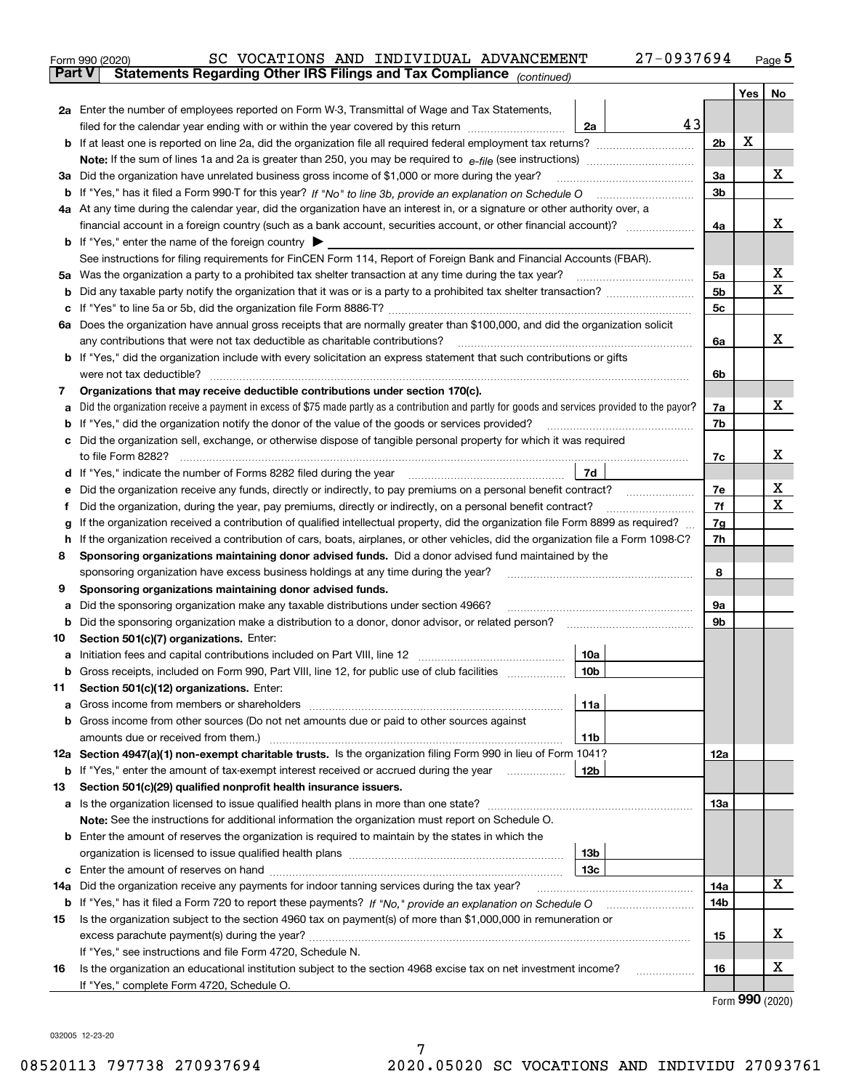|               | 27-0937694<br>SC VOCATIONS AND INDIVIDUAL ADVANCEMENT<br>Form 990 (2020)                                                                                                   |                |     | $_{\text{Page}}$ 5 |
|---------------|----------------------------------------------------------------------------------------------------------------------------------------------------------------------------|----------------|-----|--------------------|
| <b>Part V</b> | Statements Regarding Other IRS Filings and Tax Compliance (continued)                                                                                                      |                |     |                    |
|               |                                                                                                                                                                            |                | Yes | No                 |
|               | 2a Enter the number of employees reported on Form W-3, Transmittal of Wage and Tax Statements,                                                                             |                |     |                    |
|               | 43<br>filed for the calendar year ending with or within the year covered by this return<br>2a                                                                              |                |     |                    |
|               |                                                                                                                                                                            | 2b             | х   |                    |
|               |                                                                                                                                                                            |                |     |                    |
| За            | Did the organization have unrelated business gross income of \$1,000 or more during the year?                                                                              | 3a             |     | x                  |
|               |                                                                                                                                                                            | 3 <sub>b</sub> |     |                    |
|               | 4a At any time during the calendar year, did the organization have an interest in, or a signature or other authority over, a                                               |                |     |                    |
|               |                                                                                                                                                                            | 4a             |     | x                  |
|               | <b>b</b> If "Yes," enter the name of the foreign country $\blacktriangleright$                                                                                             |                |     |                    |
|               | See instructions for filing requirements for FinCEN Form 114, Report of Foreign Bank and Financial Accounts (FBAR).                                                        |                |     |                    |
| 5a            | Was the organization a party to a prohibited tax shelter transaction at any time during the tax year?                                                                      | 5а             |     | х                  |
| b             |                                                                                                                                                                            | 5 <sub>b</sub> |     | X                  |
| с             |                                                                                                                                                                            | 5c             |     |                    |
|               | 6a Does the organization have annual gross receipts that are normally greater than \$100,000, and did the organization solicit                                             |                |     |                    |
|               | any contributions that were not tax deductible as charitable contributions?                                                                                                | 6a             |     | x                  |
|               | <b>b</b> If "Yes," did the organization include with every solicitation an express statement that such contributions or gifts                                              |                |     |                    |
|               | were not tax deductible?                                                                                                                                                   | 6b             |     |                    |
| 7             | Organizations that may receive deductible contributions under section 170(c).                                                                                              |                |     |                    |
| а             | Did the organization receive a payment in excess of \$75 made partly as a contribution and partly for goods and services provided to the payor?                            | 7a             |     | x                  |
| b             | If "Yes," did the organization notify the donor of the value of the goods or services provided?                                                                            | 7b             |     |                    |
| с             | Did the organization sell, exchange, or otherwise dispose of tangible personal property for which it was required                                                          |                |     |                    |
|               |                                                                                                                                                                            | 7c             |     | х                  |
|               | 7d<br>d If "Yes," indicate the number of Forms 8282 filed during the year [11,111] The set response to the number of Forms 8282 filed during the year                      |                |     |                    |
| е             |                                                                                                                                                                            | 7e             |     | х                  |
| f             | Did the organization, during the year, pay premiums, directly or indirectly, on a personal benefit contract?                                                               | 7f             |     | X                  |
| g             | If the organization received a contribution of qualified intellectual property, did the organization file Form 8899 as required?                                           | 7g             |     |                    |
| h             | If the organization received a contribution of cars, boats, airplanes, or other vehicles, did the organization file a Form 1098-C?                                         | 7h             |     |                    |
| 8             | Sponsoring organizations maintaining donor advised funds. Did a donor advised fund maintained by the                                                                       |                |     |                    |
|               | sponsoring organization have excess business holdings at any time during the year?                                                                                         | 8              |     |                    |
| 9             | Sponsoring organizations maintaining donor advised funds.                                                                                                                  |                |     |                    |
| а             | Did the sponsoring organization make any taxable distributions under section 4966?                                                                                         | 9а             |     |                    |
| b             | Did the sponsoring organization make a distribution to a donor, donor advisor, or related person?                                                                          | 9b             |     |                    |
| 10            | Section 501(c)(7) organizations. Enter:                                                                                                                                    |                |     |                    |
|               | 10a<br>a Initiation fees and capital contributions included on Part VIII, line 12 [111] [11] [11] Initiation fees and capital contributions included on Part VIII, line 12 |                |     |                    |
|               | 10 <sub>b</sub><br>Gross receipts, included on Form 990, Part VIII, line 12, for public use of club facilities                                                             |                |     |                    |
| 11            | Section 501(c)(12) organizations. Enter:                                                                                                                                   |                |     |                    |
| a             | Gross income from members or shareholders<br>11a                                                                                                                           |                |     |                    |
| b             | Gross income from other sources (Do not net amounts due or paid to other sources against                                                                                   |                |     |                    |
|               | 11b                                                                                                                                                                        |                |     |                    |
|               | 12a Section 4947(a)(1) non-exempt charitable trusts. Is the organization filing Form 990 in lieu of Form 1041?                                                             | 12a            |     |                    |
|               | 12 <sub>b</sub><br><b>b</b> If "Yes," enter the amount of tax-exempt interest received or accrued during the year                                                          |                |     |                    |
| 13            | Section 501(c)(29) qualified nonprofit health insurance issuers.                                                                                                           |                |     |                    |
| a             | Is the organization licensed to issue qualified health plans in more than one state?                                                                                       | 13a            |     |                    |
|               | Note: See the instructions for additional information the organization must report on Schedule O.                                                                          |                |     |                    |
| b             | Enter the amount of reserves the organization is required to maintain by the states in which the                                                                           |                |     |                    |
|               | 13 <sub>b</sub>                                                                                                                                                            |                |     |                    |
|               | 13c                                                                                                                                                                        |                |     |                    |
| 14a           | Did the organization receive any payments for indoor tanning services during the tax year?                                                                                 | 14a            |     | x                  |
|               | <b>b</b> If "Yes," has it filed a Form 720 to report these payments? If "No," provide an explanation on Schedule O                                                         | 14b            |     |                    |
| 15            | Is the organization subject to the section 4960 tax on payment(s) of more than \$1,000,000 in remuneration or                                                              |                |     |                    |
|               |                                                                                                                                                                            | 15             |     | х                  |
|               | If "Yes," see instructions and file Form 4720, Schedule N.                                                                                                                 |                |     |                    |
| 16            | Is the organization an educational institution subject to the section 4968 excise tax on net investment income?                                                            | 16             |     | х                  |
|               | If "Yes," complete Form 4720, Schedule O.                                                                                                                                  |                |     |                    |

Form (2020) **990**

032005 12-23-20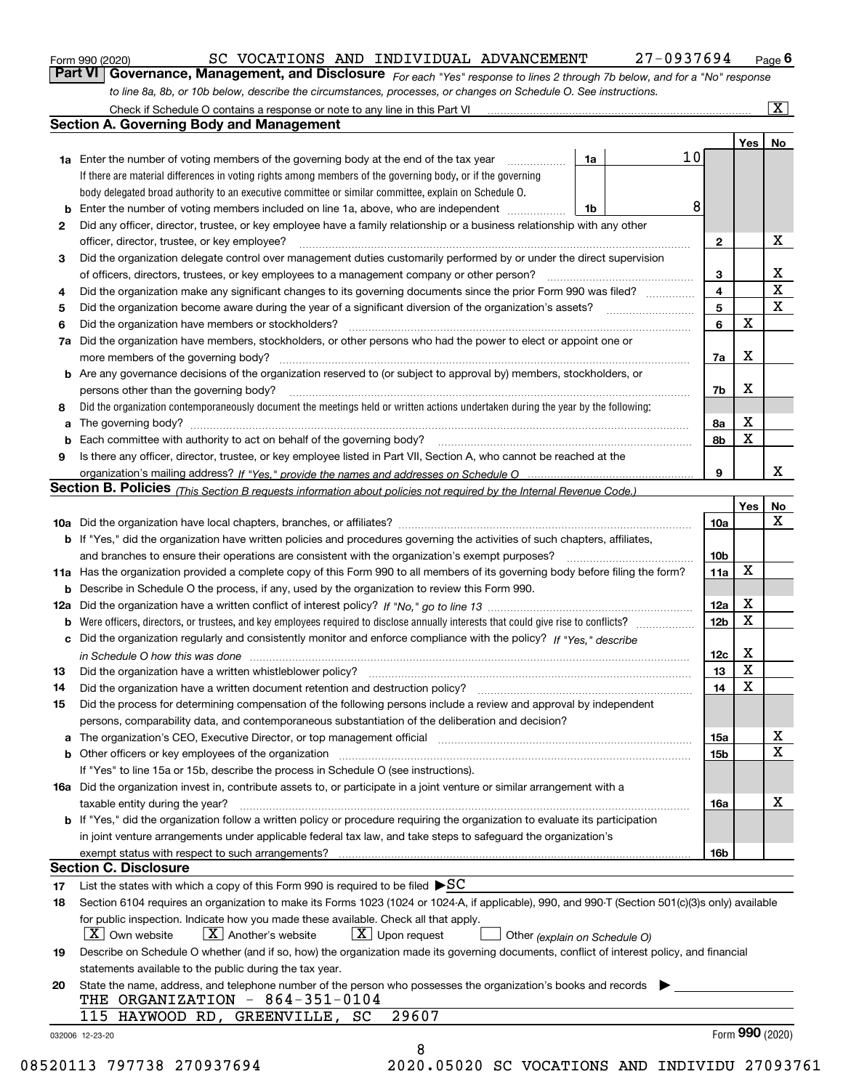|  | Form 990 (2020) |
|--|-----------------|
|  |                 |

SC VOCATIONS AND INDIVIDUAL ADVANCEMENT 27-0937694

*For each "Yes" response to lines 2 through 7b below, and for a "No" response to line 8a, 8b, or 10b below, describe the circumstances, processes, or changes on Schedule O. See instructions.* Form 990 (2020) **Canal Concept Concept Concept Concept Concept Concept Concept Concept Concept Concept Concept Concept Page 6**<br>**Part VI Governance, Management, and Disclosure** For each "Yes" response to lines 2 through 7

|                 |                                                                                                                                                                               |    |    |                 | Yes   No        |             |
|-----------------|-------------------------------------------------------------------------------------------------------------------------------------------------------------------------------|----|----|-----------------|-----------------|-------------|
|                 | <b>1a</b> Enter the number of voting members of the governing body at the end of the tax year                                                                                 | 1a | 10 |                 |                 |             |
|                 | If there are material differences in voting rights among members of the governing body, or if the governing                                                                   |    |    |                 |                 |             |
|                 | body delegated broad authority to an executive committee or similar committee, explain on Schedule O.                                                                         |    |    |                 |                 |             |
|                 | <b>b</b> Enter the number of voting members included on line 1a, above, who are independent <i>manumum</i>                                                                    | 1b | 8  |                 |                 |             |
| 2               | Did any officer, director, trustee, or key employee have a family relationship or a business relationship with any other<br>officer, director, trustee, or key employee?      |    |    |                 |                 | X           |
|                 |                                                                                                                                                                               |    |    | $\mathbf{2}$    |                 |             |
| 3               | Did the organization delegate control over management duties customarily performed by or under the direct supervision                                                         |    |    |                 |                 | X           |
|                 |                                                                                                                                                                               |    |    | 3               |                 | $\mathbf X$ |
| 4               | Did the organization make any significant changes to its governing documents since the prior Form 990 was filed?                                                              |    |    | $\overline{4}$  |                 | X           |
| 5               |                                                                                                                                                                               |    |    | 5               | $\mathbf X$     |             |
| 6               | Did the organization have members or stockholders?                                                                                                                            |    |    | 6               |                 |             |
| 7a              | Did the organization have members, stockholders, or other persons who had the power to elect or appoint one or                                                                |    |    |                 |                 |             |
|                 |                                                                                                                                                                               |    |    | 7a              | Х               |             |
|                 | <b>b</b> Are any governance decisions of the organization reserved to (or subject to approval by) members, stockholders, or                                                   |    |    |                 |                 |             |
|                 | persons other than the governing body?                                                                                                                                        |    |    | 7b              | Х               |             |
| 8               | Did the organization contemporaneously document the meetings held or written actions undertaken during the year by the following:                                             |    |    |                 |                 |             |
| a               |                                                                                                                                                                               |    |    | 8a              | X               |             |
| b               |                                                                                                                                                                               |    |    | 8b              | X               |             |
| 9               | Is there any officer, director, trustee, or key employee listed in Part VII, Section A, who cannot be reached at the                                                          |    |    |                 |                 |             |
|                 |                                                                                                                                                                               |    |    | 9               |                 | x           |
|                 | Section B. Policies (This Section B requests information about policies not required by the Internal Revenue Code.)                                                           |    |    |                 |                 |             |
|                 |                                                                                                                                                                               |    |    |                 | Yes             | No          |
|                 |                                                                                                                                                                               |    |    | 10a             |                 | X           |
|                 | <b>b</b> If "Yes," did the organization have written policies and procedures governing the activities of such chapters, affiliates,                                           |    |    |                 |                 |             |
|                 |                                                                                                                                                                               |    |    | 10 <sub>b</sub> |                 |             |
|                 | 11a Has the organization provided a complete copy of this Form 990 to all members of its governing body before filing the form?                                               |    |    | 11a             | X               |             |
|                 | <b>b</b> Describe in Schedule O the process, if any, used by the organization to review this Form 990.                                                                        |    |    |                 |                 |             |
|                 |                                                                                                                                                                               |    |    | 12a             | X               |             |
| b               |                                                                                                                                                                               |    |    | 12 <sub>b</sub> | X               |             |
|                 | c Did the organization regularly and consistently monitor and enforce compliance with the policy? If "Yes." describe                                                          |    |    |                 |                 |             |
|                 | in Schedule O how this was done manufactured and continuum control of the Schedule O how this was done manufactured and continuum control of the Schedule O how this was done |    |    | 12c             | х               |             |
| 13              |                                                                                                                                                                               |    |    | 13              | X               |             |
| 14              | Did the organization have a written document retention and destruction policy? manufactured and the organization have a written document retention and destruction policy?    |    |    | 14              | X               |             |
| 15              | Did the process for determining compensation of the following persons include a review and approval by independent                                                            |    |    |                 |                 |             |
|                 | persons, comparability data, and contemporaneous substantiation of the deliberation and decision?                                                                             |    |    |                 |                 |             |
|                 |                                                                                                                                                                               |    |    | <b>15a</b>      |                 | X           |
|                 |                                                                                                                                                                               |    |    | 15 <sub>b</sub> |                 | $\mathbf X$ |
|                 | If "Yes" to line 15a or 15b, describe the process in Schedule O (see instructions).                                                                                           |    |    |                 |                 |             |
|                 | 16a Did the organization invest in, contribute assets to, or participate in a joint venture or similar arrangement with a                                                     |    |    |                 |                 |             |
|                 | taxable entity during the year?                                                                                                                                               |    |    | 16a             |                 | х           |
|                 | b If "Yes," did the organization follow a written policy or procedure requiring the organization to evaluate its participation                                                |    |    |                 |                 |             |
|                 | in joint venture arrangements under applicable federal tax law, and take steps to safeguard the organization's                                                                |    |    |                 |                 |             |
|                 | exempt status with respect to such arrangements?                                                                                                                              |    |    | <b>16b</b>      |                 |             |
|                 | <b>Section C. Disclosure</b>                                                                                                                                                  |    |    |                 |                 |             |
| 17              | List the states with which a copy of this Form 990 is required to be filed $\blacktriangleright$ SC                                                                           |    |    |                 |                 |             |
| 18              | Section 6104 requires an organization to make its Forms 1023 (1024 or 1024-A, if applicable), 990, and 990-T (Section 501(c)(3)s only) available                              |    |    |                 |                 |             |
|                 | for public inspection. Indicate how you made these available. Check all that apply.                                                                                           |    |    |                 |                 |             |
|                 | $X$ Upon request<br>$ X $ Own website<br>$X$ Another's website<br>Other (explain on Schedule O)                                                                               |    |    |                 |                 |             |
| 19              | Describe on Schedule O whether (and if so, how) the organization made its governing documents, conflict of interest policy, and financial                                     |    |    |                 |                 |             |
|                 | statements available to the public during the tax year.                                                                                                                       |    |    |                 |                 |             |
| 20              | State the name, address, and telephone number of the person who possesses the organization's books and records                                                                |    |    |                 |                 |             |
|                 | THE ORGANIZATION - 864-351-0104                                                                                                                                               |    |    |                 |                 |             |
|                 | 29607<br>115 HAYWOOD RD, GREENVILLE, SC                                                                                                                                       |    |    |                 |                 |             |
| 032006 12-23-20 |                                                                                                                                                                               |    |    |                 | Form 990 (2020) |             |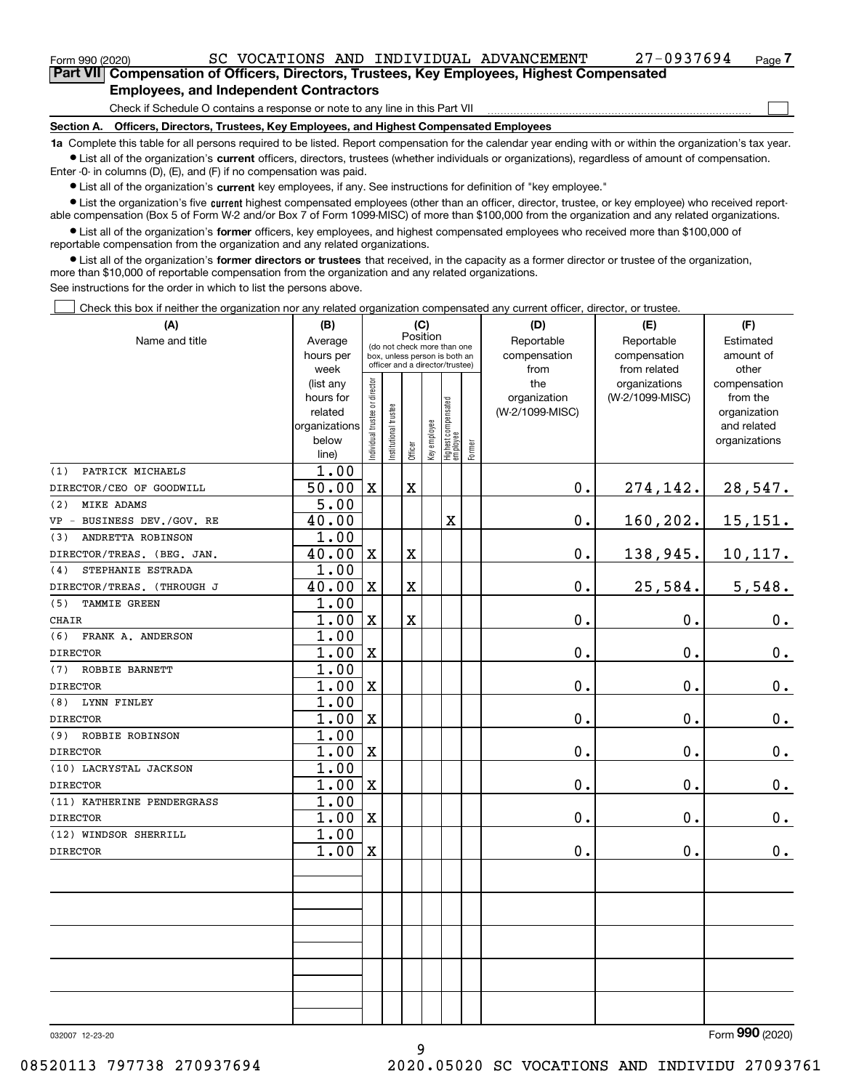#### **Employees, and Independent Contractors**

Check if Schedule O contains a response or note to any line in this Part VII

**Section A. Officers, Directors, Trustees, Key Employees, and Highest Compensated Employees**

**1a**  Complete this table for all persons required to be listed. Report compensation for the calendar year ending with or within the organization's tax year. **•** List all of the organization's current officers, directors, trustees (whether individuals or organizations), regardless of amount of compensation.

Enter -0- in columns (D), (E), and (F) if no compensation was paid.

 $\bullet$  List all of the organization's  $\,$ current key employees, if any. See instructions for definition of "key employee."

**•** List the organization's five current highest compensated employees (other than an officer, director, trustee, or key employee) who received reportable compensation (Box 5 of Form W-2 and/or Box 7 of Form 1099-MISC) of more than \$100,000 from the organization and any related organizations.

**•** List all of the organization's former officers, key employees, and highest compensated employees who received more than \$100,000 of reportable compensation from the organization and any related organizations.

**former directors or trustees**  ¥ List all of the organization's that received, in the capacity as a former director or trustee of the organization, more than \$10,000 of reportable compensation from the organization and any related organizations.

See instructions for the order in which to list the persons above.

Check this box if neither the organization nor any related organization compensated any current officer, director, or trustee.  $\mathcal{L}^{\text{max}}$ 

| (A)                        | (B)                  | (C)<br>Position                |                       |         |              |                                                                  |        | (D)                             | (E)             | (F)                         |  |  |  |
|----------------------------|----------------------|--------------------------------|-----------------------|---------|--------------|------------------------------------------------------------------|--------|---------------------------------|-----------------|-----------------------------|--|--|--|
| Name and title             | Average              |                                |                       |         |              | (do not check more than one                                      |        | Reportable                      | Reportable      | Estimated                   |  |  |  |
|                            | hours per            |                                |                       |         |              | box, unless person is both an<br>officer and a director/trustee) |        | compensation                    | compensation    | amount of                   |  |  |  |
|                            | week                 |                                |                       |         |              |                                                                  |        | from                            | from related    | other                       |  |  |  |
|                            | (list any            |                                |                       |         |              |                                                                  |        | the                             | organizations   | compensation                |  |  |  |
|                            | hours for<br>related |                                |                       |         |              |                                                                  |        | organization<br>(W-2/1099-MISC) | (W-2/1099-MISC) | from the                    |  |  |  |
|                            | organizations        |                                |                       |         |              |                                                                  |        |                                 |                 | organization<br>and related |  |  |  |
|                            | below                |                                |                       |         |              |                                                                  |        |                                 |                 | organizations               |  |  |  |
|                            | line)                | Individual trustee or director | Institutional trustee | Officer | Key employee | Highest compensated<br> employee                                 | Former |                                 |                 |                             |  |  |  |
| PATRICK MICHAELS<br>(1)    | 1.00                 |                                |                       |         |              |                                                                  |        |                                 |                 |                             |  |  |  |
| DIRECTOR/CEO OF GOODWILL   | 50.00                | $\mathbf X$                    |                       | X       |              |                                                                  |        | $0$ .                           | 274,142.        | 28,547.                     |  |  |  |
| (2)<br><b>MIKE ADAMS</b>   | $\overline{5.00}$    |                                |                       |         |              |                                                                  |        |                                 |                 |                             |  |  |  |
| VP - BUSINESS DEV./GOV. RE | 40.00                |                                |                       |         |              | X                                                                |        | 0.                              | 160,202.        | 15, 151.                    |  |  |  |
| ANDRETTA ROBINSON<br>(3)   | 1.00                 |                                |                       |         |              |                                                                  |        |                                 |                 |                             |  |  |  |
| DIRECTOR/TREAS. (BEG. JAN. | 40.00                | $\mathbf X$                    |                       | X       |              |                                                                  |        | 0.                              | 138,945.        | 10,117.                     |  |  |  |
| STEPHANIE ESTRADA<br>(4)   | 1.00                 |                                |                       |         |              |                                                                  |        |                                 |                 |                             |  |  |  |
| DIRECTOR/TREAS. (THROUGH J | 40.00                | X                              |                       | X       |              |                                                                  |        | $0$ .                           | 25,584.         | 5,548.                      |  |  |  |
| TAMMIE GREEN<br>(5)        | 1.00                 |                                |                       |         |              |                                                                  |        |                                 |                 |                             |  |  |  |
| <b>CHAIR</b>               | 1.00                 | $\mathbf X$                    |                       | X       |              |                                                                  |        | 0.                              | 0.              | $0_{.}$                     |  |  |  |
| (6)<br>FRANK A. ANDERSON   | 1.00                 |                                |                       |         |              |                                                                  |        |                                 |                 |                             |  |  |  |
| <b>DIRECTOR</b>            | 1.00                 | $\mathbf X$                    |                       |         |              |                                                                  |        | 0.                              | 0.              | $0_{.}$                     |  |  |  |
| ROBBIE BARNETT<br>(7)      | 1.00                 |                                |                       |         |              |                                                                  |        |                                 |                 |                             |  |  |  |
| <b>DIRECTOR</b>            | 1.00                 | $\mathbf X$                    |                       |         |              |                                                                  |        | 0.                              | 0.              | $\mathbf 0$ .               |  |  |  |
| LYNN FINLEY<br>(8)         | 1.00                 |                                |                       |         |              |                                                                  |        |                                 |                 |                             |  |  |  |
| <b>DIRECTOR</b>            | 1.00                 | $\mathbf X$                    |                       |         |              |                                                                  |        | 0.                              | 0.              | $\mathbf 0$ .               |  |  |  |
| (9) ROBBIE ROBINSON        | 1.00                 |                                |                       |         |              |                                                                  |        |                                 |                 |                             |  |  |  |
| <b>DIRECTOR</b>            | 1.00                 | $\mathbf X$                    |                       |         |              |                                                                  |        | 0.                              | 0.              | $\mathbf 0$ .               |  |  |  |
| (10) LACRYSTAL JACKSON     | 1.00                 |                                |                       |         |              |                                                                  |        |                                 |                 |                             |  |  |  |
| <b>DIRECTOR</b>            | 1.00                 | $\mathbf X$                    |                       |         |              |                                                                  |        | 0.                              | 0.              | $\mathbf 0$ .               |  |  |  |
| (11) KATHERINE PENDERGRASS | 1.00                 |                                |                       |         |              |                                                                  |        |                                 |                 |                             |  |  |  |
| <b>DIRECTOR</b>            | 1.00                 | $\mathbf X$                    |                       |         |              |                                                                  |        | 0.                              | 0.              | $\mathbf 0$ .               |  |  |  |
| (12) WINDSOR SHERRILL      | 1.00                 |                                |                       |         |              |                                                                  |        |                                 |                 |                             |  |  |  |
| <b>DIRECTOR</b>            | 1.00                 | $\mathbf X$                    |                       |         |              |                                                                  |        | 0.                              | 0.              | 0.                          |  |  |  |
|                            |                      |                                |                       |         |              |                                                                  |        |                                 |                 |                             |  |  |  |
|                            |                      |                                |                       |         |              |                                                                  |        |                                 |                 |                             |  |  |  |
|                            |                      |                                |                       |         |              |                                                                  |        |                                 |                 |                             |  |  |  |
|                            |                      |                                |                       |         |              |                                                                  |        |                                 |                 |                             |  |  |  |
|                            |                      |                                |                       |         |              |                                                                  |        |                                 |                 |                             |  |  |  |
|                            |                      |                                |                       |         |              |                                                                  |        |                                 |                 |                             |  |  |  |
|                            |                      |                                |                       |         |              |                                                                  |        |                                 |                 |                             |  |  |  |
|                            |                      |                                |                       |         |              |                                                                  |        |                                 |                 |                             |  |  |  |
|                            |                      |                                |                       |         |              |                                                                  |        |                                 |                 |                             |  |  |  |
|                            |                      |                                |                       |         |              |                                                                  |        |                                 |                 |                             |  |  |  |

032007 12-23-20

Form (2020) **990**

08520113 797738 270937694 2020.05020 SC VOCATIONS AND INDIVIDU 27093761

 $\mathcal{L}^{\text{max}}$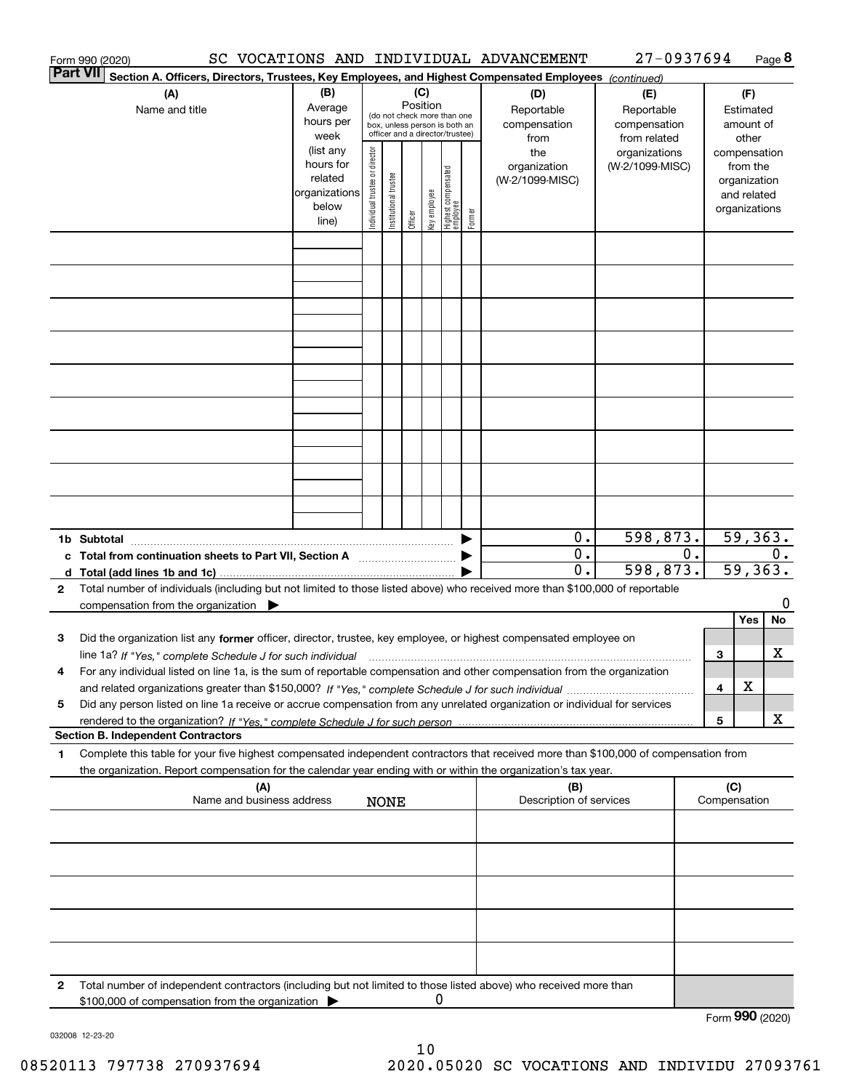|              | Form 990 (2020)                                                                                                                                                                                                                                                                                     |                                                                      |                                |                       |          |              |                                                                                                 |        | SC VOCATIONS AND INDIVIDUAL ADVANCEMENT        | 27-0937694                                       |    |        |                                                                                   | Page 8  |
|--------------|-----------------------------------------------------------------------------------------------------------------------------------------------------------------------------------------------------------------------------------------------------------------------------------------------------|----------------------------------------------------------------------|--------------------------------|-----------------------|----------|--------------|-------------------------------------------------------------------------------------------------|--------|------------------------------------------------|--------------------------------------------------|----|--------|-----------------------------------------------------------------------------------|---------|
|              | <b>Part VII</b><br>Section A. Officers, Directors, Trustees, Key Employees, and Highest Compensated Employees (continued)                                                                                                                                                                           |                                                                      |                                |                       |          |              |                                                                                                 |        |                                                |                                                  |    |        |                                                                                   |         |
|              | (A)<br>Name and title                                                                                                                                                                                                                                                                               | (B)<br>Average<br>hours per<br>week                                  |                                |                       | Position | (C)          | (do not check more than one<br>box, unless person is both an<br>officer and a director/trustee) |        | (D)<br>Reportable<br>compensation              | (E)<br>Reportable<br>compensation                |    |        | (F)<br>Estimated<br>amount of                                                     |         |
|              |                                                                                                                                                                                                                                                                                                     | (list any<br>hours for<br>related<br>organizations<br>below<br>line) | Individual trustee or director | Institutional trustee | Officer  | Key employee | Highest compensated<br>employee                                                                 | Former | from<br>the<br>organization<br>(W-2/1099-MISC) | from related<br>organizations<br>(W-2/1099-MISC) |    |        | other<br>compensation<br>from the<br>organization<br>and related<br>organizations |         |
|              |                                                                                                                                                                                                                                                                                                     |                                                                      |                                |                       |          |              |                                                                                                 |        |                                                |                                                  |    |        |                                                                                   |         |
|              |                                                                                                                                                                                                                                                                                                     |                                                                      |                                |                       |          |              |                                                                                                 |        |                                                |                                                  |    |        |                                                                                   |         |
|              |                                                                                                                                                                                                                                                                                                     |                                                                      |                                |                       |          |              |                                                                                                 |        |                                                |                                                  |    |        |                                                                                   |         |
|              |                                                                                                                                                                                                                                                                                                     |                                                                      |                                |                       |          |              |                                                                                                 |        |                                                |                                                  |    |        |                                                                                   |         |
|              |                                                                                                                                                                                                                                                                                                     |                                                                      |                                |                       |          |              |                                                                                                 |        |                                                |                                                  |    |        |                                                                                   |         |
|              |                                                                                                                                                                                                                                                                                                     |                                                                      |                                |                       |          |              |                                                                                                 |        |                                                |                                                  |    |        |                                                                                   |         |
|              |                                                                                                                                                                                                                                                                                                     |                                                                      |                                |                       |          |              |                                                                                                 |        |                                                |                                                  |    |        |                                                                                   |         |
|              | 1b Subtotal                                                                                                                                                                                                                                                                                         |                                                                      |                                |                       |          |              |                                                                                                 |        | 0.<br>$\overline{0}$ .                         | 598,873.                                         | 0. |        | 59, 363.                                                                          | 0.      |
| $\mathbf{2}$ | c Total from continuation sheets to Part VII, Section A <b>manufarity</b> contains the Total from continuum<br>d Total (add lines 1b and 1c).<br>Total number of individuals (including but not limited to those listed above) who received more than \$100,000 of reportable                       |                                                                      |                                |                       |          |              |                                                                                                 |        | 0.                                             | 598,873.                                         |    |        | 59, 363.                                                                          |         |
|              | compensation from the organization $\blacktriangleright$                                                                                                                                                                                                                                            |                                                                      |                                |                       |          |              |                                                                                                 |        |                                                |                                                  |    |        |                                                                                   | 0       |
| з            | Did the organization list any former officer, director, trustee, key employee, or highest compensated employee on                                                                                                                                                                                   |                                                                      |                                |                       |          |              |                                                                                                 |        |                                                |                                                  |    |        | Yes                                                                               | No<br>x |
| 4            | For any individual listed on line 1a, is the sum of reportable compensation and other compensation from the organization                                                                                                                                                                            |                                                                      |                                |                       |          |              |                                                                                                 |        |                                                |                                                  |    | 3<br>4 | х                                                                                 |         |
| 5            | Did any person listed on line 1a receive or accrue compensation from any unrelated organization or individual for services                                                                                                                                                                          |                                                                      |                                |                       |          |              |                                                                                                 |        |                                                |                                                  |    | 5      |                                                                                   | x       |
| 1            | <b>Section B. Independent Contractors</b><br>Complete this table for your five highest compensated independent contractors that received more than \$100,000 of compensation from<br>the organization. Report compensation for the calendar year ending with or within the organization's tax year. |                                                                      |                                |                       |          |              |                                                                                                 |        |                                                |                                                  |    |        |                                                                                   |         |
|              | (A)<br>Name and business address                                                                                                                                                                                                                                                                    |                                                                      |                                | <b>NONE</b>           |          |              |                                                                                                 |        | (B)<br>Description of services                 |                                                  |    | (C)    | Compensation                                                                      |         |
|              |                                                                                                                                                                                                                                                                                                     |                                                                      |                                |                       |          |              |                                                                                                 |        |                                                |                                                  |    |        |                                                                                   |         |
|              |                                                                                                                                                                                                                                                                                                     |                                                                      |                                |                       |          |              |                                                                                                 |        |                                                |                                                  |    |        |                                                                                   |         |
|              |                                                                                                                                                                                                                                                                                                     |                                                                      |                                |                       |          |              |                                                                                                 |        |                                                |                                                  |    |        |                                                                                   |         |
|              |                                                                                                                                                                                                                                                                                                     |                                                                      |                                |                       |          |              |                                                                                                 |        |                                                |                                                  |    |        |                                                                                   |         |
| 2            | Total number of independent contractors (including but not limited to those listed above) who received more than<br>\$100,000 of compensation from the organization                                                                                                                                 |                                                                      |                                |                       |          | 0            |                                                                                                 |        |                                                |                                                  |    |        |                                                                                   |         |
|              |                                                                                                                                                                                                                                                                                                     |                                                                      |                                |                       |          |              |                                                                                                 |        |                                                |                                                  |    |        | Form 990 (2020)                                                                   |         |

032008 12-23-20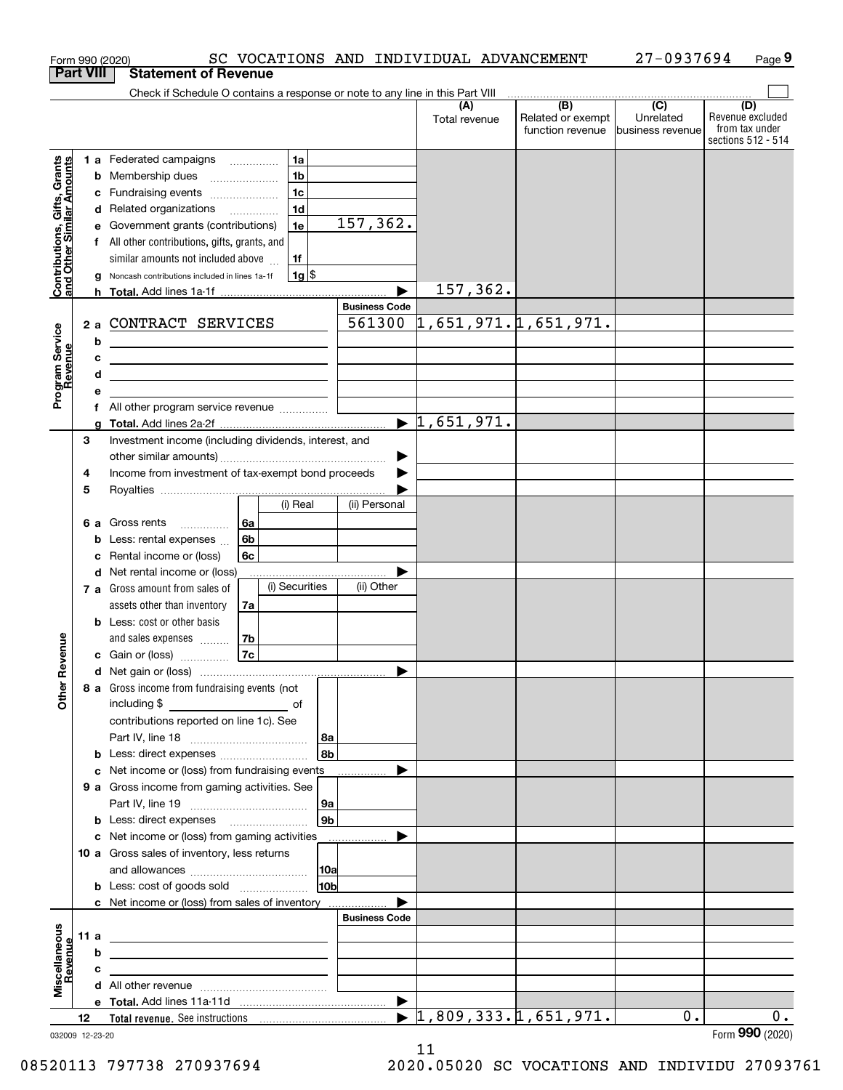|                                                           |                  | SC VOCATIONS AND INDIVIDUAL ADVANCEMENT<br>Form 990 (2020)                                                                |                       |                                  |                                                                                               | 27-0937694                     | Page 9                                                   |
|-----------------------------------------------------------|------------------|---------------------------------------------------------------------------------------------------------------------------|-----------------------|----------------------------------|-----------------------------------------------------------------------------------------------|--------------------------------|----------------------------------------------------------|
|                                                           | <b>Part VIII</b> | <b>Statement of Revenue</b>                                                                                               |                       |                                  |                                                                                               |                                |                                                          |
|                                                           |                  | Check if Schedule O contains a response or note to any line in this Part VIII                                             |                       | (A)                              | $\begin{array}{c c c c c c} \hline \text{ } & \text{(B)} & \text{(C)} & \text{ } \end{array}$ |                                | (D)                                                      |
|                                                           |                  |                                                                                                                           |                       | Total revenue                    | Related or exempt<br>function revenue                                                         | Unrelated<br> business revenue | Revenue excluded<br>from tax under<br>sections 512 - 514 |
|                                                           |                  | 1a<br>1 a Federated campaigns                                                                                             |                       |                                  |                                                                                               |                                |                                                          |
|                                                           | b                | 1 <sub>b</sub><br>Membership dues<br>$\ldots \ldots \ldots \ldots \ldots$                                                 |                       |                                  |                                                                                               |                                |                                                          |
|                                                           | с                | 1 <sub>c</sub><br>Fundraising events                                                                                      |                       |                                  |                                                                                               |                                |                                                          |
|                                                           |                  | 1 <sub>d</sub><br>d Related organizations                                                                                 |                       |                                  |                                                                                               |                                |                                                          |
|                                                           | е                | 1e<br>Government grants (contributions)                                                                                   | 157,362.              |                                  |                                                                                               |                                |                                                          |
|                                                           | f                | All other contributions, gifts, grants, and                                                                               |                       |                                  |                                                                                               |                                |                                                          |
| Contributions, Gifts, Grants<br>and Other Similar Amounts |                  | similar amounts not included above<br>1f                                                                                  |                       |                                  |                                                                                               |                                |                                                          |
|                                                           | g                | $1g$ \$<br>Noncash contributions included in lines 1a-1f                                                                  |                       | 157,362.                         |                                                                                               |                                |                                                          |
|                                                           |                  |                                                                                                                           | <b>Business Code</b>  |                                  |                                                                                               |                                |                                                          |
|                                                           |                  | 2 a CONTRACT SERVICES                                                                                                     | 561300                |                                  | 1,651,971.1,651,971.                                                                          |                                |                                                          |
| Program Service<br>Revenue                                | b                |                                                                                                                           |                       |                                  |                                                                                               |                                |                                                          |
|                                                           | с                | <u> 1989 - John Harry Harry Harry Harry Harry Harry Harry Harry Harry Harry Harry Harry Harry Harry Harry Harry H</u>     |                       |                                  |                                                                                               |                                |                                                          |
|                                                           | d                | <u> 1989 - Johann Stein, mars an de Brasilia (b. 1989)</u>                                                                |                       |                                  |                                                                                               |                                |                                                          |
|                                                           | е                |                                                                                                                           |                       |                                  |                                                                                               |                                |                                                          |
|                                                           | f                | All other program service revenue <i></i>                                                                                 |                       |                                  |                                                                                               |                                |                                                          |
|                                                           | g                |                                                                                                                           |                       | $\blacktriangleright$ 1,651,971. |                                                                                               |                                |                                                          |
|                                                           | 3                | Investment income (including dividends, interest, and                                                                     |                       |                                  |                                                                                               |                                |                                                          |
|                                                           |                  |                                                                                                                           | ▶                     |                                  |                                                                                               |                                |                                                          |
|                                                           | 4                | Income from investment of tax-exempt bond proceeds                                                                        |                       |                                  |                                                                                               |                                |                                                          |
|                                                           | 5                | (i) Real                                                                                                                  | (ii) Personal         |                                  |                                                                                               |                                |                                                          |
|                                                           |                  | 6a<br>6 a Gross rents                                                                                                     |                       |                                  |                                                                                               |                                |                                                          |
|                                                           | b                | $\overline{\phantom{a}}$<br>6 <sub>b</sub><br>Less: rental expenses                                                       |                       |                                  |                                                                                               |                                |                                                          |
|                                                           | с                | Rental income or (loss)<br>6с                                                                                             |                       |                                  |                                                                                               |                                |                                                          |
|                                                           |                  | d Net rental income or (loss)                                                                                             |                       |                                  |                                                                                               |                                |                                                          |
|                                                           |                  | (i) Securities<br>7 a Gross amount from sales of                                                                          | (ii) Other            |                                  |                                                                                               |                                |                                                          |
|                                                           |                  | assets other than inventory<br>7a                                                                                         |                       |                                  |                                                                                               |                                |                                                          |
|                                                           |                  | <b>b</b> Less: cost or other basis                                                                                        |                       |                                  |                                                                                               |                                |                                                          |
|                                                           |                  | 7 <sub>b</sub><br>and sales expenses                                                                                      |                       |                                  |                                                                                               |                                |                                                          |
| evenue                                                    |                  | 7c<br><b>c</b> Gain or (loss)                                                                                             |                       |                                  |                                                                                               |                                |                                                          |
| œ                                                         |                  |                                                                                                                           |                       |                                  |                                                                                               |                                |                                                          |
| Other                                                     |                  | 8 a Gross income from fundraising events (not                                                                             |                       |                                  |                                                                                               |                                |                                                          |
|                                                           |                  |                                                                                                                           |                       |                                  |                                                                                               |                                |                                                          |
|                                                           |                  | contributions reported on line 1c). See                                                                                   |                       |                                  |                                                                                               |                                |                                                          |
|                                                           |                  | 8a<br>8 <sub>b</sub><br><b>b</b> Less: direct expenses <i></i>                                                            |                       |                                  |                                                                                               |                                |                                                          |
|                                                           |                  | c Net income or (loss) from fundraising events                                                                            |                       |                                  |                                                                                               |                                |                                                          |
|                                                           |                  | 9 a Gross income from gaming activities. See                                                                              |                       |                                  |                                                                                               |                                |                                                          |
|                                                           |                  | 9a                                                                                                                        |                       |                                  |                                                                                               |                                |                                                          |
|                                                           |                  | 9 <sub>b</sub><br><b>b</b> Less: direct expenses <b>manually</b>                                                          |                       |                                  |                                                                                               |                                |                                                          |
|                                                           |                  | c Net income or (loss) from gaming activities                                                                             |                       |                                  |                                                                                               |                                |                                                          |
|                                                           |                  | 10 a Gross sales of inventory, less returns                                                                               |                       |                                  |                                                                                               |                                |                                                          |
|                                                           |                  | 10a                                                                                                                       |                       |                                  |                                                                                               |                                |                                                          |
|                                                           |                  | 10 <sub>b</sub>                                                                                                           |                       |                                  |                                                                                               |                                |                                                          |
|                                                           |                  | c Net income or (loss) from sales of inventory                                                                            |                       |                                  |                                                                                               |                                |                                                          |
|                                                           |                  |                                                                                                                           | <b>Business Code</b>  |                                  |                                                                                               |                                |                                                          |
|                                                           | 11 a             | <u> 1989 - Andrea Stadt Britain, amerikansk politiker (</u>                                                               |                       |                                  |                                                                                               |                                |                                                          |
| evenue                                                    | c                | b<br><u> 1989 - Johann Stein, marwolaethau a bhann an t-Amhair ann an t-Amhair an t-Amhair an t-Amhair an t-Amhair an</u> |                       |                                  |                                                                                               |                                |                                                          |
| Miscellaneous                                             |                  | the contract of the contract of the contract of the contract of the contract of                                           |                       |                                  |                                                                                               |                                |                                                          |
|                                                           |                  |                                                                                                                           | $\blacktriangleright$ |                                  |                                                                                               |                                |                                                          |
|                                                           | 12               |                                                                                                                           |                       |                                  | $\blacktriangleright$ 1,809,333.1,651,971.                                                    | 0.                             | $0$ .                                                    |
|                                                           | 032009 12-23-20  |                                                                                                                           |                       |                                  |                                                                                               |                                | Form 990 (2020)                                          |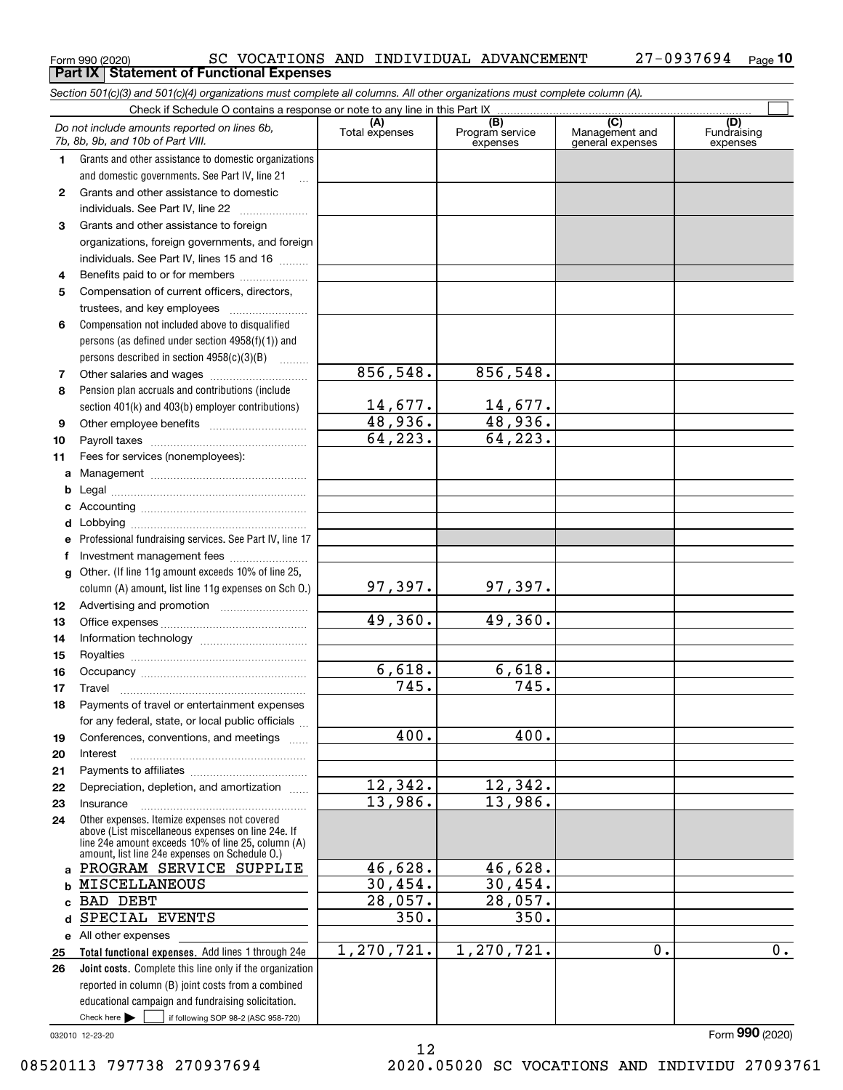| Form 990 (2020) |                                                   |  | SC VOCATIONS AND INDIVIDUAL ADVANCEMENT | 27-0937694 <sub>Page</sub> 10 |  |
|-----------------|---------------------------------------------------|--|-----------------------------------------|-------------------------------|--|
|                 | <b>Part IX   Statement of Functional Expenses</b> |  |                                         |                               |  |

*Section 501(c)(3) and 501(c)(4) organizations must complete all columns. All other organizations must complete column (A).*

|         | Do not include amounts reported on lines 6b,<br>7b, 8b, 9b, and 10b of Part VIII.                  | (A)<br>Total expenses | $\overline{(B)}$<br>Program service<br>expenses | $\overline{C}$<br>Management and<br>general expenses | (D)<br>Fundraising<br>expenses |
|---------|----------------------------------------------------------------------------------------------------|-----------------------|-------------------------------------------------|------------------------------------------------------|--------------------------------|
| 1.      | Grants and other assistance to domestic organizations                                              |                       |                                                 |                                                      |                                |
|         | and domestic governments. See Part IV, line 21                                                     |                       |                                                 |                                                      |                                |
| 2       | Grants and other assistance to domestic                                                            |                       |                                                 |                                                      |                                |
|         | individuals. See Part IV, line 22                                                                  |                       |                                                 |                                                      |                                |
| З       | Grants and other assistance to foreign                                                             |                       |                                                 |                                                      |                                |
|         | organizations, foreign governments, and foreign                                                    |                       |                                                 |                                                      |                                |
|         | individuals. See Part IV, lines 15 and 16                                                          |                       |                                                 |                                                      |                                |
| 4       | Benefits paid to or for members                                                                    |                       |                                                 |                                                      |                                |
| 5       | Compensation of current officers, directors,                                                       |                       |                                                 |                                                      |                                |
|         | trustees, and key employees                                                                        |                       |                                                 |                                                      |                                |
| 6       | Compensation not included above to disqualified                                                    |                       |                                                 |                                                      |                                |
|         | persons (as defined under section 4958(f)(1)) and                                                  |                       |                                                 |                                                      |                                |
|         | persons described in section 4958(c)(3)(B)                                                         |                       |                                                 |                                                      |                                |
| 7       |                                                                                                    | 856, 548.             | 856,548.                                        |                                                      |                                |
| 8       | Pension plan accruals and contributions (include                                                   |                       |                                                 |                                                      |                                |
|         | section 401(k) and 403(b) employer contributions)                                                  | $14,677$ .            | $\frac{14,677.}{48,936.}$                       |                                                      |                                |
| 9       |                                                                                                    | 48,936.               |                                                 |                                                      |                                |
| 10      |                                                                                                    | 64, 223.              | 64, 223.                                        |                                                      |                                |
| 11      | Fees for services (nonemployees):                                                                  |                       |                                                 |                                                      |                                |
| a       |                                                                                                    |                       |                                                 |                                                      |                                |
| b       |                                                                                                    |                       |                                                 |                                                      |                                |
| c       |                                                                                                    |                       |                                                 |                                                      |                                |
| d       |                                                                                                    |                       |                                                 |                                                      |                                |
| е       | Professional fundraising services. See Part IV, line 17                                            |                       |                                                 |                                                      |                                |
| f       | Investment management fees                                                                         |                       |                                                 |                                                      |                                |
| g       | Other. (If line 11g amount exceeds 10% of line 25,                                                 |                       |                                                 |                                                      |                                |
|         | column (A) amount, list line 11g expenses on Sch 0.)                                               | 97,397.               | 97,397.                                         |                                                      |                                |
| 12      |                                                                                                    |                       |                                                 |                                                      |                                |
| 13      |                                                                                                    | 49,360.               | 49,360.                                         |                                                      |                                |
| 14      |                                                                                                    |                       |                                                 |                                                      |                                |
| 15      |                                                                                                    |                       |                                                 |                                                      |                                |
| 16      |                                                                                                    | 6,618.                | 6,618.                                          |                                                      |                                |
| 17      | Travel                                                                                             | 745.                  | 745.                                            |                                                      |                                |
| 18      | Payments of travel or entertainment expenses                                                       |                       |                                                 |                                                      |                                |
|         | for any federal, state, or local public officials                                                  |                       |                                                 |                                                      |                                |
| 19      | Conferences, conventions, and meetings                                                             | 400.                  | 400.                                            |                                                      |                                |
| 20      | Interest                                                                                           |                       |                                                 |                                                      |                                |
| 21      |                                                                                                    |                       |                                                 |                                                      |                                |
| 22      | Depreciation, depletion, and amortization                                                          | 12,342.<br>13,986.    | 12,342.<br>13,986.                              |                                                      |                                |
| 23      | Insurance                                                                                          |                       |                                                 |                                                      |                                |
| 24      | Other expenses. Itemize expenses not covered<br>above (List miscellaneous expenses on line 24e. If |                       |                                                 |                                                      |                                |
|         | line 24e amount exceeds 10% of line 25, column (A)                                                 |                       |                                                 |                                                      |                                |
|         | amount, list line 24e expenses on Schedule O.)<br>PROGRAM SERVICE SUPPLIE                          | 46,628.               | 46,628.                                         |                                                      |                                |
| a       | <b>MISCELLANEOUS</b>                                                                               | 30,454.               | 30,454.                                         |                                                      |                                |
| b       | <b>BAD DEBT</b>                                                                                    | 28,057.               | 28,057.                                         |                                                      |                                |
| c.<br>d | SPECIAL EVENTS                                                                                     | 350.                  | 350.                                            |                                                      |                                |
|         |                                                                                                    |                       |                                                 |                                                      |                                |
| 25      | e All other expenses<br>Total functional expenses. Add lines 1 through 24e                         | 1, 270, 721.          | 1, 270, 721.                                    | 0.                                                   | 0.                             |
| 26      | Joint costs. Complete this line only if the organization                                           |                       |                                                 |                                                      |                                |
|         | reported in column (B) joint costs from a combined                                                 |                       |                                                 |                                                      |                                |
|         | educational campaign and fundraising solicitation.                                                 |                       |                                                 |                                                      |                                |
|         | Check here $\blacktriangleright$<br>if following SOP 98-2 (ASC 958-720)                            |                       |                                                 |                                                      |                                |
|         |                                                                                                    |                       |                                                 |                                                      |                                |

032010 12-23-20

08520113 797738 270937694 2020.05020 SC VOCATIONS AND INDIVIDU 27093761

Form (2020) **990**

12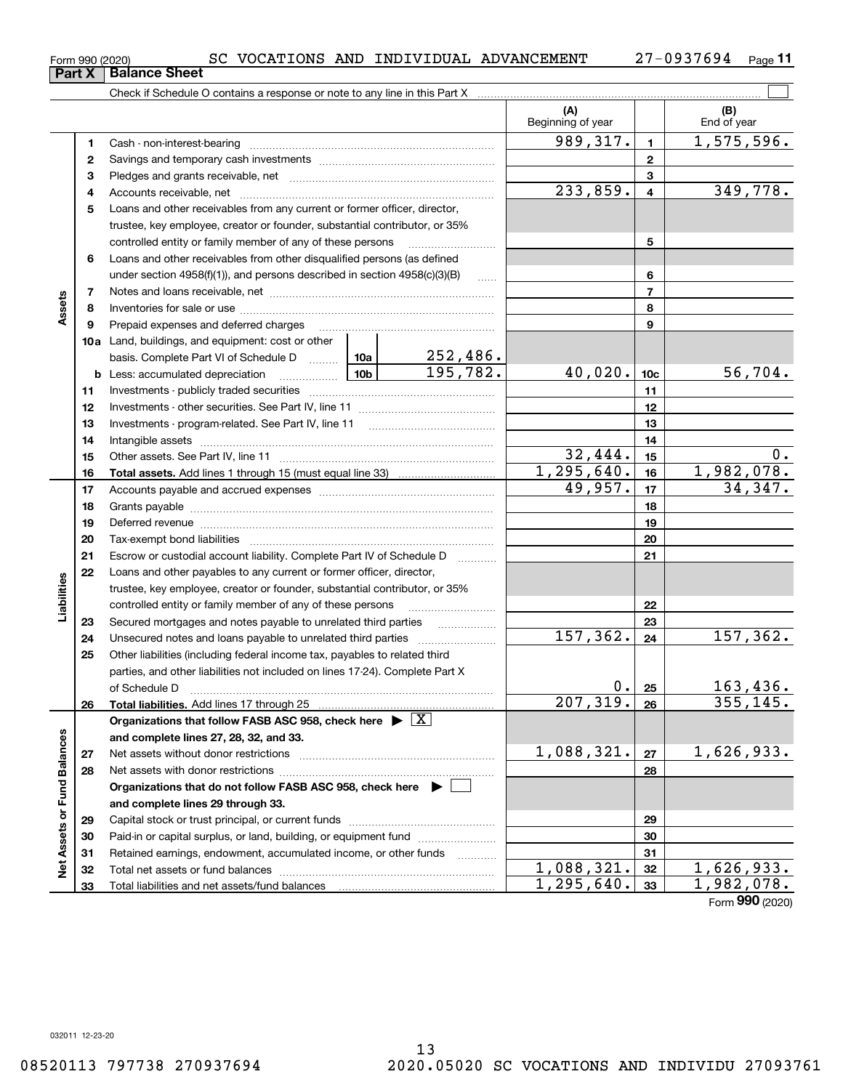Total liabilities and net assets/fund balances

 $1,088,321.$   $32$   $1,626,933.$  $1,295,640.$   $33$  1,982,078.

Form (2020) **990**

|                             | Form 990 (2020)<br>Part X | SC VOCATIONS AND INDIVIDUAL ADVANCEMENT<br><b>Balance Sheet</b>                                                                                                                                                                |            |                     |                          |                 | $27 - 0937694$ Page 11 |
|-----------------------------|---------------------------|--------------------------------------------------------------------------------------------------------------------------------------------------------------------------------------------------------------------------------|------------|---------------------|--------------------------|-----------------|------------------------|
|                             |                           |                                                                                                                                                                                                                                |            |                     |                          |                 |                        |
|                             |                           |                                                                                                                                                                                                                                |            |                     | (A)<br>Beginning of year |                 | (B)<br>End of year     |
|                             | 1                         |                                                                                                                                                                                                                                |            |                     | 989, 317.                | $\mathbf{1}$    | 1,575,596.             |
|                             | $\mathbf{2}$              |                                                                                                                                                                                                                                |            |                     | $\mathbf{2}$             |                 |                        |
|                             | 3                         |                                                                                                                                                                                                                                |            |                     | 3                        |                 |                        |
|                             | 4                         |                                                                                                                                                                                                                                |            |                     | 233,859.                 | $\overline{4}$  | 349,778.               |
|                             | 5                         | Loans and other receivables from any current or former officer, director,                                                                                                                                                      |            |                     |                          |                 |                        |
|                             |                           | trustee, key employee, creator or founder, substantial contributor, or 35%                                                                                                                                                     |            |                     |                          |                 |                        |
|                             |                           | controlled entity or family member of any of these persons                                                                                                                                                                     |            |                     |                          | 5               |                        |
|                             | 6                         | Loans and other receivables from other disqualified persons (as defined                                                                                                                                                        |            |                     |                          |                 |                        |
|                             |                           | under section 4958(f)(1)), and persons described in section 4958(c)(3)(B)                                                                                                                                                      |            | <b>Carlos</b>       |                          | 6               |                        |
|                             | 7                         |                                                                                                                                                                                                                                |            |                     |                          | $\overline{7}$  |                        |
| Assets                      | 8                         |                                                                                                                                                                                                                                |            |                     |                          | 8               |                        |
|                             | 9                         | Prepaid expenses and deferred charges [11] [11] Prepaid expenses and deferred charges [11] [11] American metal                                                                                                                 |            |                     |                          | 9               |                        |
|                             |                           | 10a Land, buildings, and equipment: cost or other                                                                                                                                                                              |            |                     |                          |                 |                        |
|                             |                           | basis. Complete Part VI of Schedule D  10a                                                                                                                                                                                     |            | 252,486.            |                          |                 |                        |
|                             |                           |                                                                                                                                                                                                                                | 10b        | 195, 782.           | 40,020.                  | 10 <sub>c</sub> | 56,704.                |
|                             | 11                        |                                                                                                                                                                                                                                |            |                     |                          | 11              |                        |
|                             | 12                        |                                                                                                                                                                                                                                |            |                     |                          | 12              |                        |
|                             | 13                        |                                                                                                                                                                                                                                |            |                     |                          | 13              |                        |
|                             | 14                        |                                                                                                                                                                                                                                |            | 14                  |                          |                 |                        |
|                             | 15                        |                                                                                                                                                                                                                                |            | 32,444.             | 15                       | 0.              |                        |
|                             | 16                        |                                                                                                                                                                                                                                |            |                     | $\overline{1,295,640}$ . | 16              | 1,982,078.             |
|                             | 17                        |                                                                                                                                                                                                                                |            |                     | 49,957.                  | 17              | 34,347.                |
|                             | 18                        |                                                                                                                                                                                                                                |            |                     |                          | 18              |                        |
|                             | 19                        | Deferred revenue manual contracts and contracts are all the contracts and contracts are contracted and contracts are contracted and contract are contracted and contract are contracted and contract are contracted and contra |            |                     |                          | 19              |                        |
|                             | 20                        |                                                                                                                                                                                                                                |            |                     |                          | 20              |                        |
|                             | 21                        | Escrow or custodial account liability. Complete Part IV of Schedule D                                                                                                                                                          |            | 1.1.1.1.1.1.1.1.1.1 |                          | 21              |                        |
|                             | 22                        | Loans and other payables to any current or former officer, director,                                                                                                                                                           |            |                     |                          |                 |                        |
|                             |                           | trustee, key employee, creator or founder, substantial contributor, or 35%                                                                                                                                                     |            |                     |                          |                 |                        |
| Liabilities                 |                           | controlled entity or family member of any of these persons                                                                                                                                                                     |            |                     |                          | 22              |                        |
|                             | 23                        | Secured mortgages and notes payable to unrelated third parties                                                                                                                                                                 |            | .                   |                          | 23              |                        |
|                             | 24                        |                                                                                                                                                                                                                                |            |                     | 157, 362.                | 24              | 157, 362.              |
|                             | 25                        | Other liabilities (including federal income tax, payables to related third                                                                                                                                                     |            |                     |                          |                 |                        |
|                             |                           | parties, and other liabilities not included on lines 17-24). Complete Part X                                                                                                                                                   |            |                     |                          |                 |                        |
|                             |                           | of Schedule D                                                                                                                                                                                                                  |            |                     | 0.                       | 25              | 163,436.               |
|                             | 26                        | Total liabilities. Add lines 17 through 25                                                                                                                                                                                     |            | . <u>.</u>          | 207, 319.                | 26              | 355, 145.              |
|                             |                           | Organizations that follow FASB ASC 958, check here $\triangleright \lfloor X \rfloor$                                                                                                                                          |            |                     |                          |                 |                        |
|                             |                           | and complete lines 27, 28, 32, and 33.                                                                                                                                                                                         |            |                     |                          |                 |                        |
|                             | 27                        | Net assets without donor restrictions                                                                                                                                                                                          |            |                     | 1,088,321.               | 27              | 1,626,933.             |
| Net Assets or Fund Balances | 28                        |                                                                                                                                                                                                                                |            |                     |                          | 28              |                        |
|                             |                           | Organizations that do not follow FASB ASC 958, check here $\blacktriangleright$                                                                                                                                                |            |                     |                          |                 |                        |
|                             |                           | and complete lines 29 through 33.                                                                                                                                                                                              |            |                     |                          |                 |                        |
|                             | 29                        |                                                                                                                                                                                                                                |            |                     |                          | 29              |                        |
|                             | 30                        | Paid-in or capital surplus, or land, building, or equipment fund                                                                                                                                                               |            |                     |                          | 30              |                        |
|                             | 31                        | Retained earnings, endowment, accumulated income, or other funds                                                                                                                                                               |            |                     |                          | 31              |                        |
|                             | 32                        |                                                                                                                                                                                                                                | 1,088,321. | 32                  | 1,626,933.               |                 |                        |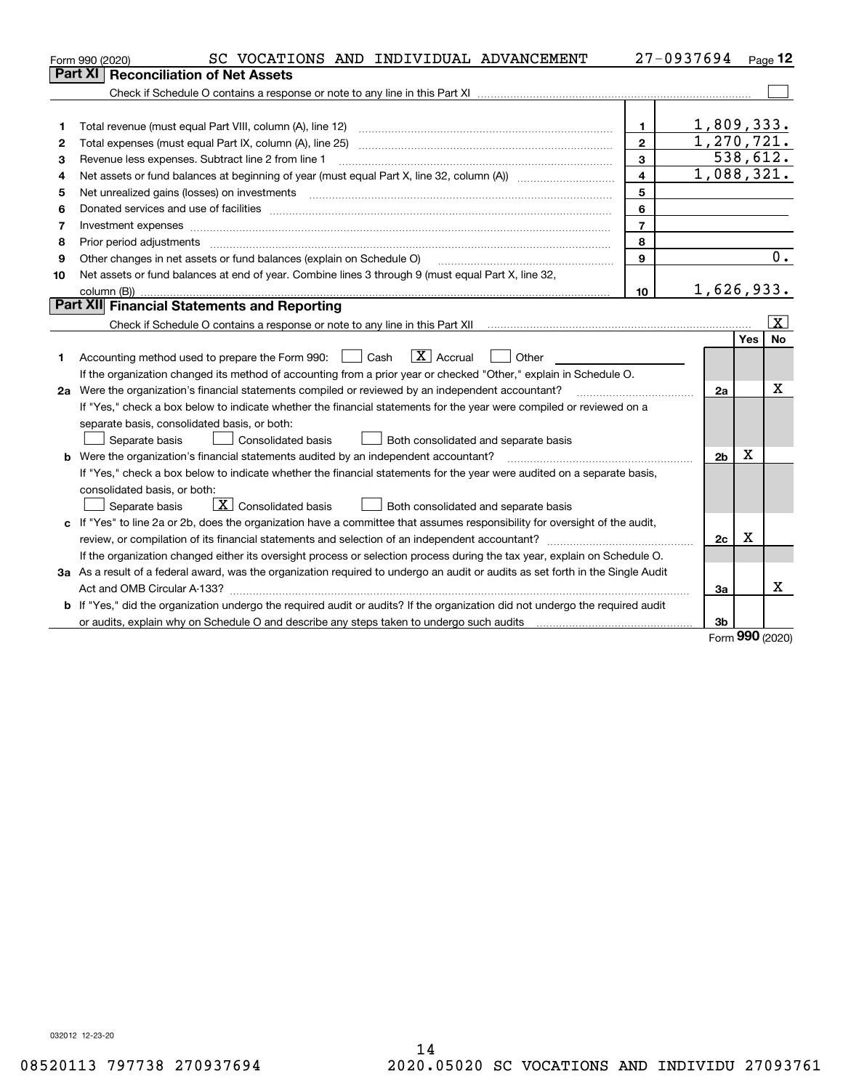|    | SC VOCATIONS AND INDIVIDUAL ADVANCEMENT<br>Form 990 (2020)                                                                      |                         | 27-0937694     |          | $_{\text{Page}}$ 12 |
|----|---------------------------------------------------------------------------------------------------------------------------------|-------------------------|----------------|----------|---------------------|
|    | <b>Reconciliation of Net Assets</b><br>Part XI                                                                                  |                         |                |          |                     |
|    |                                                                                                                                 |                         |                |          |                     |
|    |                                                                                                                                 |                         |                |          |                     |
| 1  | Total revenue (must equal Part VIII, column (A), line 12)                                                                       | $\mathbf 1$             | 1,809,333.     |          |                     |
| 2  | Total expenses (must equal Part IX, column (A), line 25)                                                                        | $\overline{2}$          | 1, 270, 721.   |          |                     |
| 3  | Revenue less expenses. Subtract line 2 from line 1                                                                              | $\mathbf{3}$            |                | 538,612. |                     |
| 4  |                                                                                                                                 | $\overline{\mathbf{4}}$ | 1,088,321.     |          |                     |
| 5  | Net unrealized gains (losses) on investments                                                                                    | 5                       |                |          |                     |
| 6  |                                                                                                                                 | 6                       |                |          |                     |
| 7  | Investment expenses www.communication.com/www.communication.com/www.communication.com/www.com                                   | $\overline{7}$          |                |          |                     |
| 8  | Prior period adjustments [11, 12] manuscription and prior period adjustments [11, 12] manuscription and prior                   | 8                       |                |          |                     |
| 9  | Other changes in net assets or fund balances (explain on Schedule O)                                                            | 9                       |                |          | 0.                  |
| 10 | Net assets or fund balances at end of year. Combine lines 3 through 9 (must equal Part X, line 32,                              |                         |                |          |                     |
|    |                                                                                                                                 | 10 <sup>10</sup>        | 1,626,933.     |          |                     |
|    | Part XII Financial Statements and Reporting                                                                                     |                         |                |          |                     |
|    |                                                                                                                                 |                         |                |          | $\vert X \vert$     |
|    |                                                                                                                                 |                         |                | Yes      | <b>No</b>           |
| 1  | $\boxed{\text{X}}$ Accrual<br>Accounting method used to prepare the Form 990: <u>June</u> Cash<br>Other                         |                         |                |          |                     |
|    | If the organization changed its method of accounting from a prior year or checked "Other," explain in Schedule O.               |                         |                |          |                     |
|    | 2a Were the organization's financial statements compiled or reviewed by an independent accountant?                              |                         | 2a             |          | x                   |
|    | If "Yes," check a box below to indicate whether the financial statements for the year were compiled or reviewed on a            |                         |                |          |                     |
|    | separate basis, consolidated basis, or both:                                                                                    |                         |                |          |                     |
|    | Separate basis<br><b>Consolidated basis</b><br>Both consolidated and separate basis                                             |                         |                |          |                     |
|    | <b>b</b> Were the organization's financial statements audited by an independent accountant?                                     |                         | 2 <sub>b</sub> | X        |                     |
|    | If "Yes," check a box below to indicate whether the financial statements for the year were audited on a separate basis,         |                         |                |          |                     |
|    | consolidated basis, or both:                                                                                                    |                         |                |          |                     |
|    | $\boxed{\textbf{X}}$ Consolidated basis<br>Separate basis<br>Both consolidated and separate basis                               |                         |                |          |                     |
|    | c If "Yes" to line 2a or 2b, does the organization have a committee that assumes responsibility for oversight of the audit,     |                         |                |          |                     |
|    |                                                                                                                                 |                         | 2c             | x        |                     |
|    | If the organization changed either its oversight process or selection process during the tax year, explain on Schedule O.       |                         |                |          |                     |
|    | 3a As a result of a federal award, was the organization required to undergo an audit or audits as set forth in the Single Audit |                         |                |          |                     |
|    |                                                                                                                                 |                         | 3a             |          | X                   |
|    | b If "Yes," did the organization undergo the required audit or audits? If the organization did not undergo the required audit   |                         |                |          |                     |
|    |                                                                                                                                 |                         | 3b             | מהה      |                     |

Form (2020) **990**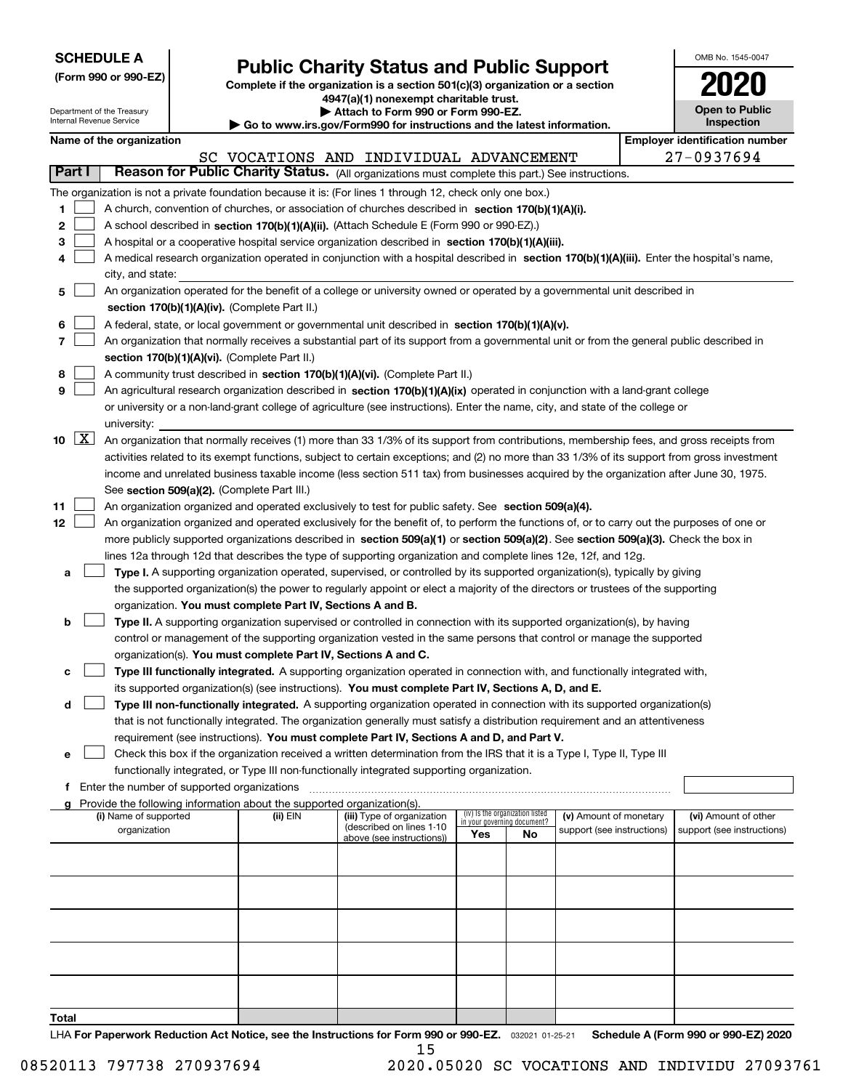| <b>SCHEDULE A</b> |  |  |  |  |  |  |
|-------------------|--|--|--|--|--|--|
|-------------------|--|--|--|--|--|--|

**(Form 990 or 990-EZ)**

## **Public Charity Status and Public Support**

**Complete if the organization is a section 501(c)(3) organization or a section 4947(a)(1) nonexempt charitable trust. | Attach to Form 990 or Form 990-EZ.** 

| OMB No. 1545-0047            |
|------------------------------|
| 2020                         |
| Open to Public<br>Inspection |

| Department of the Treasury<br>Internal Revenue Service |                                               |  | Attach to Form 990 or Form 990-EZ.                                     | <b>Open to Public</b><br>Inspection                                                                                                                                                                                                             |     |                                                                |                            |  |                                       |
|--------------------------------------------------------|-----------------------------------------------|--|------------------------------------------------------------------------|-------------------------------------------------------------------------------------------------------------------------------------------------------------------------------------------------------------------------------------------------|-----|----------------------------------------------------------------|----------------------------|--|---------------------------------------|
|                                                        | Name of the organization                      |  |                                                                        | $\blacktriangleright$ Go to www.irs.gov/Form990 for instructions and the latest information.                                                                                                                                                    |     |                                                                |                            |  | <b>Employer identification number</b> |
|                                                        |                                               |  |                                                                        | SC VOCATIONS AND INDIVIDUAL ADVANCEMENT                                                                                                                                                                                                         |     |                                                                |                            |  | 27-0937694                            |
| Part I                                                 |                                               |  |                                                                        | Reason for Public Charity Status. (All organizations must complete this part.) See instructions.                                                                                                                                                |     |                                                                |                            |  |                                       |
|                                                        |                                               |  |                                                                        |                                                                                                                                                                                                                                                 |     |                                                                |                            |  |                                       |
|                                                        |                                               |  |                                                                        | The organization is not a private foundation because it is: (For lines 1 through 12, check only one box.)                                                                                                                                       |     |                                                                |                            |  |                                       |
| 1                                                      |                                               |  |                                                                        | A church, convention of churches, or association of churches described in section 170(b)(1)(A)(i).                                                                                                                                              |     |                                                                |                            |  |                                       |
| 2                                                      |                                               |  |                                                                        | A school described in section 170(b)(1)(A)(ii). (Attach Schedule E (Form 990 or 990-EZ).)                                                                                                                                                       |     |                                                                |                            |  |                                       |
| з                                                      |                                               |  |                                                                        | A hospital or a cooperative hospital service organization described in section 170(b)(1)(A)(iii).<br>A medical research organization operated in conjunction with a hospital described in section 170(b)(1)(A)(iii). Enter the hospital's name, |     |                                                                |                            |  |                                       |
| 4                                                      |                                               |  |                                                                        |                                                                                                                                                                                                                                                 |     |                                                                |                            |  |                                       |
|                                                        | city, and state:                              |  |                                                                        | An organization operated for the benefit of a college or university owned or operated by a governmental unit described in                                                                                                                       |     |                                                                |                            |  |                                       |
| 5                                                      |                                               |  | section 170(b)(1)(A)(iv). (Complete Part II.)                          |                                                                                                                                                                                                                                                 |     |                                                                |                            |  |                                       |
|                                                        |                                               |  |                                                                        |                                                                                                                                                                                                                                                 |     |                                                                |                            |  |                                       |
| 6<br>7                                                 |                                               |  |                                                                        | A federal, state, or local government or governmental unit described in section 170(b)(1)(A)(v).                                                                                                                                                |     |                                                                |                            |  |                                       |
|                                                        |                                               |  |                                                                        | An organization that normally receives a substantial part of its support from a governmental unit or from the general public described in                                                                                                       |     |                                                                |                            |  |                                       |
| 8                                                      |                                               |  | section 170(b)(1)(A)(vi). (Complete Part II.)                          | A community trust described in section 170(b)(1)(A)(vi). (Complete Part II.)                                                                                                                                                                    |     |                                                                |                            |  |                                       |
| 9                                                      |                                               |  |                                                                        | An agricultural research organization described in section 170(b)(1)(A)(ix) operated in conjunction with a land-grant college                                                                                                                   |     |                                                                |                            |  |                                       |
|                                                        |                                               |  |                                                                        | or university or a non-land-grant college of agriculture (see instructions). Enter the name, city, and state of the college or                                                                                                                  |     |                                                                |                            |  |                                       |
|                                                        | university:                                   |  |                                                                        |                                                                                                                                                                                                                                                 |     |                                                                |                            |  |                                       |
| $\boxed{\text{X}}$<br>10                               |                                               |  |                                                                        | An organization that normally receives (1) more than 33 1/3% of its support from contributions, membership fees, and gross receipts from                                                                                                        |     |                                                                |                            |  |                                       |
|                                                        |                                               |  |                                                                        | activities related to its exempt functions, subject to certain exceptions; and (2) no more than 33 1/3% of its support from gross investment                                                                                                    |     |                                                                |                            |  |                                       |
|                                                        |                                               |  |                                                                        | income and unrelated business taxable income (less section 511 tax) from businesses acquired by the organization after June 30, 1975.                                                                                                           |     |                                                                |                            |  |                                       |
|                                                        |                                               |  | See section 509(a)(2). (Complete Part III.)                            |                                                                                                                                                                                                                                                 |     |                                                                |                            |  |                                       |
| 11                                                     |                                               |  |                                                                        | An organization organized and operated exclusively to test for public safety. See section 509(a)(4).                                                                                                                                            |     |                                                                |                            |  |                                       |
| 12                                                     |                                               |  |                                                                        | An organization organized and operated exclusively for the benefit of, to perform the functions of, or to carry out the purposes of one or                                                                                                      |     |                                                                |                            |  |                                       |
|                                                        |                                               |  |                                                                        | more publicly supported organizations described in section 509(a)(1) or section 509(a)(2). See section 509(a)(3). Check the box in                                                                                                              |     |                                                                |                            |  |                                       |
|                                                        |                                               |  |                                                                        | lines 12a through 12d that describes the type of supporting organization and complete lines 12e, 12f, and 12g.                                                                                                                                  |     |                                                                |                            |  |                                       |
| а                                                      |                                               |  |                                                                        | Type I. A supporting organization operated, supervised, or controlled by its supported organization(s), typically by giving                                                                                                                     |     |                                                                |                            |  |                                       |
|                                                        |                                               |  |                                                                        | the supported organization(s) the power to regularly appoint or elect a majority of the directors or trustees of the supporting                                                                                                                 |     |                                                                |                            |  |                                       |
|                                                        |                                               |  | organization. You must complete Part IV, Sections A and B.             |                                                                                                                                                                                                                                                 |     |                                                                |                            |  |                                       |
| b                                                      |                                               |  |                                                                        | Type II. A supporting organization supervised or controlled in connection with its supported organization(s), by having                                                                                                                         |     |                                                                |                            |  |                                       |
|                                                        |                                               |  |                                                                        | control or management of the supporting organization vested in the same persons that control or manage the supported                                                                                                                            |     |                                                                |                            |  |                                       |
|                                                        |                                               |  | organization(s). You must complete Part IV, Sections A and C.          |                                                                                                                                                                                                                                                 |     |                                                                |                            |  |                                       |
| с                                                      |                                               |  |                                                                        | Type III functionally integrated. A supporting organization operated in connection with, and functionally integrated with,                                                                                                                      |     |                                                                |                            |  |                                       |
|                                                        |                                               |  |                                                                        | its supported organization(s) (see instructions). You must complete Part IV, Sections A, D, and E.                                                                                                                                              |     |                                                                |                            |  |                                       |
| d                                                      |                                               |  |                                                                        | Type III non-functionally integrated. A supporting organization operated in connection with its supported organization(s)                                                                                                                       |     |                                                                |                            |  |                                       |
|                                                        |                                               |  |                                                                        | that is not functionally integrated. The organization generally must satisfy a distribution requirement and an attentiveness                                                                                                                    |     |                                                                |                            |  |                                       |
|                                                        |                                               |  |                                                                        | requirement (see instructions). You must complete Part IV, Sections A and D, and Part V.                                                                                                                                                        |     |                                                                |                            |  |                                       |
| е                                                      |                                               |  |                                                                        | Check this box if the organization received a written determination from the IRS that it is a Type I, Type II, Type III                                                                                                                         |     |                                                                |                            |  |                                       |
|                                                        |                                               |  |                                                                        | functionally integrated, or Type III non-functionally integrated supporting organization.                                                                                                                                                       |     |                                                                |                            |  |                                       |
|                                                        | f Enter the number of supported organizations |  |                                                                        |                                                                                                                                                                                                                                                 |     |                                                                |                            |  |                                       |
| a                                                      |                                               |  | Provide the following information about the supported organization(s). |                                                                                                                                                                                                                                                 |     |                                                                |                            |  |                                       |
|                                                        | (i) Name of supported                         |  | (ii) EIN                                                               | (iii) Type of organization<br>(described on lines 1-10                                                                                                                                                                                          |     | (iv) Is the organization listed<br>in your governing document? | (v) Amount of monetary     |  | (vi) Amount of other                  |
|                                                        | organization                                  |  |                                                                        | above (see instructions))                                                                                                                                                                                                                       | Yes | No                                                             | support (see instructions) |  | support (see instructions)            |
|                                                        |                                               |  |                                                                        |                                                                                                                                                                                                                                                 |     |                                                                |                            |  |                                       |
|                                                        |                                               |  |                                                                        |                                                                                                                                                                                                                                                 |     |                                                                |                            |  |                                       |
|                                                        |                                               |  |                                                                        |                                                                                                                                                                                                                                                 |     |                                                                |                            |  |                                       |
|                                                        |                                               |  |                                                                        |                                                                                                                                                                                                                                                 |     |                                                                |                            |  |                                       |
|                                                        |                                               |  |                                                                        |                                                                                                                                                                                                                                                 |     |                                                                |                            |  |                                       |
|                                                        |                                               |  |                                                                        |                                                                                                                                                                                                                                                 |     |                                                                |                            |  |                                       |
|                                                        |                                               |  |                                                                        |                                                                                                                                                                                                                                                 |     |                                                                |                            |  |                                       |
|                                                        |                                               |  |                                                                        |                                                                                                                                                                                                                                                 |     |                                                                |                            |  |                                       |
|                                                        |                                               |  |                                                                        |                                                                                                                                                                                                                                                 |     |                                                                |                            |  |                                       |
|                                                        |                                               |  |                                                                        |                                                                                                                                                                                                                                                 |     |                                                                |                            |  |                                       |
| Total                                                  |                                               |  |                                                                        |                                                                                                                                                                                                                                                 |     |                                                                |                            |  |                                       |

LHA For Paperwork Reduction Act Notice, see the Instructions for Form 990 or 990-EZ. <sub>032021</sub> o1-25-21 Schedule A (Form 990 or 990-EZ) 2020 15

 <sup>08520113 797738 270937694 2020.05020</sup> SC VOCATIONS AND INDIVIDU 27093761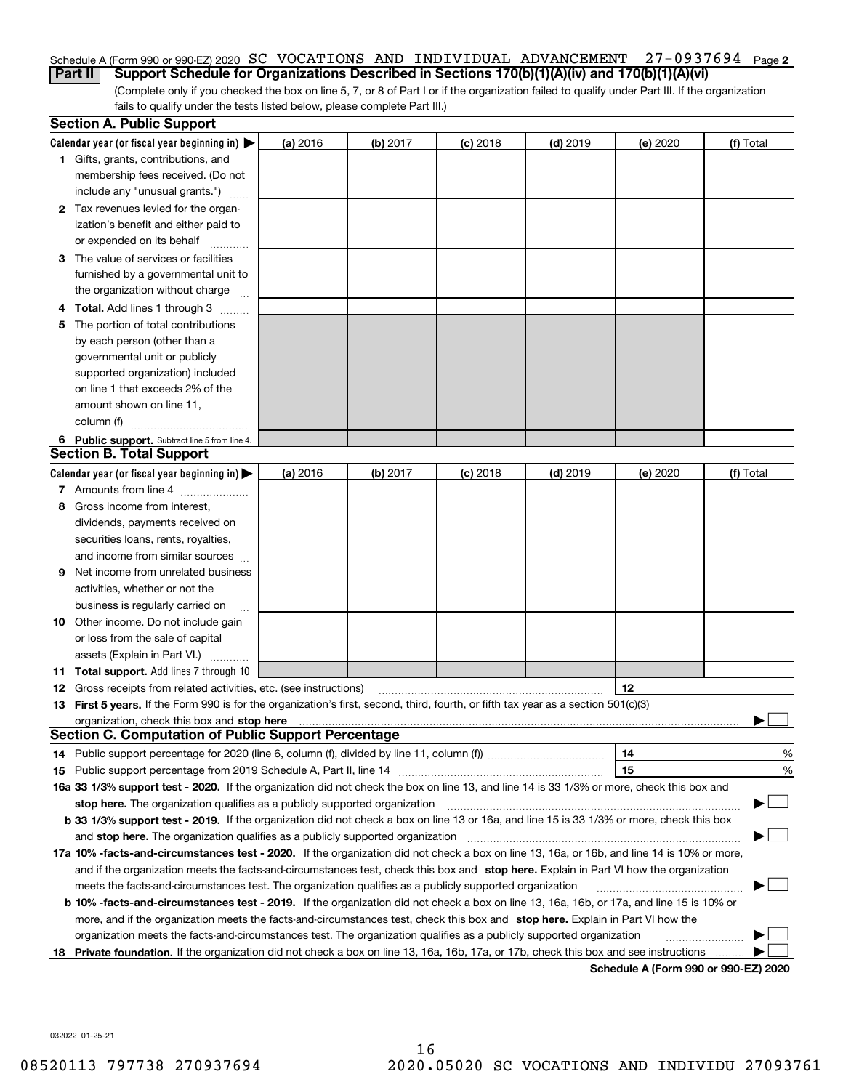#### Schedule A (Form 990 or 990-EZ) 2020  $\, {\rm SC} \,$  <code>VOCATIONS AND INDIVIDUAL ADVANCEMENT  $\,$  27–0937694  $\,$  Page <code>2</code></code> **Part II** Support Schedule for Organizations Described in Sections 170(b)(1)(A)(iv) and 170(b)(1)(A)(vi)

(Complete only if you checked the box on line 5, 7, or 8 of Part I or if the organization failed to qualify under Part III. If the organization fails to qualify under the tests listed below, please complete Part III.)

|    | <b>Section A. Public Support</b>                                                                                                               |          |                 |            |            |                                      |           |
|----|------------------------------------------------------------------------------------------------------------------------------------------------|----------|-----------------|------------|------------|--------------------------------------|-----------|
|    | Calendar year (or fiscal year beginning in) $\blacktriangleright$                                                                              | (a) 2016 | <b>(b)</b> 2017 | $(c)$ 2018 | $(d)$ 2019 | (e) 2020                             | (f) Total |
|    | <b>1</b> Gifts, grants, contributions, and                                                                                                     |          |                 |            |            |                                      |           |
|    | membership fees received. (Do not                                                                                                              |          |                 |            |            |                                      |           |
|    | include any "unusual grants.")                                                                                                                 |          |                 |            |            |                                      |           |
|    | 2 Tax revenues levied for the organ-                                                                                                           |          |                 |            |            |                                      |           |
|    | ization's benefit and either paid to                                                                                                           |          |                 |            |            |                                      |           |
|    | or expended on its behalf                                                                                                                      |          |                 |            |            |                                      |           |
|    | 3 The value of services or facilities                                                                                                          |          |                 |            |            |                                      |           |
|    | furnished by a governmental unit to                                                                                                            |          |                 |            |            |                                      |           |
|    | the organization without charge                                                                                                                |          |                 |            |            |                                      |           |
|    | 4 Total. Add lines 1 through 3                                                                                                                 |          |                 |            |            |                                      |           |
| 5  | The portion of total contributions                                                                                                             |          |                 |            |            |                                      |           |
|    | by each person (other than a                                                                                                                   |          |                 |            |            |                                      |           |
|    | governmental unit or publicly                                                                                                                  |          |                 |            |            |                                      |           |
|    | supported organization) included                                                                                                               |          |                 |            |            |                                      |           |
|    | on line 1 that exceeds 2% of the                                                                                                               |          |                 |            |            |                                      |           |
|    | amount shown on line 11,                                                                                                                       |          |                 |            |            |                                      |           |
|    | column (f)                                                                                                                                     |          |                 |            |            |                                      |           |
|    | 6 Public support. Subtract line 5 from line 4.                                                                                                 |          |                 |            |            |                                      |           |
|    | <b>Section B. Total Support</b>                                                                                                                |          |                 |            |            |                                      |           |
|    | Calendar year (or fiscal year beginning in) $\blacktriangleright$                                                                              | (a) 2016 | (b) 2017        | $(c)$ 2018 | $(d)$ 2019 | (e) 2020                             | (f) Total |
|    | 7 Amounts from line 4                                                                                                                          |          |                 |            |            |                                      |           |
|    | 8 Gross income from interest,                                                                                                                  |          |                 |            |            |                                      |           |
|    | dividends, payments received on                                                                                                                |          |                 |            |            |                                      |           |
|    | securities loans, rents, royalties,                                                                                                            |          |                 |            |            |                                      |           |
|    | and income from similar sources                                                                                                                |          |                 |            |            |                                      |           |
| 9. | Net income from unrelated business                                                                                                             |          |                 |            |            |                                      |           |
|    | activities, whether or not the                                                                                                                 |          |                 |            |            |                                      |           |
|    | business is regularly carried on                                                                                                               |          |                 |            |            |                                      |           |
|    | <b>10</b> Other income. Do not include gain                                                                                                    |          |                 |            |            |                                      |           |
|    | or loss from the sale of capital                                                                                                               |          |                 |            |            |                                      |           |
|    | assets (Explain in Part VI.)                                                                                                                   |          |                 |            |            |                                      |           |
|    | <b>11 Total support.</b> Add lines 7 through 10                                                                                                |          |                 |            |            |                                      |           |
|    | <b>12</b> Gross receipts from related activities, etc. (see instructions)                                                                      |          |                 |            |            | 12                                   |           |
|    | 13 First 5 years. If the Form 990 is for the organization's first, second, third, fourth, or fifth tax year as a section 501(c)(3)             |          |                 |            |            |                                      |           |
|    |                                                                                                                                                |          |                 |            |            |                                      |           |
|    | <b>Section C. Computation of Public Support Percentage</b>                                                                                     |          |                 |            |            |                                      |           |
|    |                                                                                                                                                |          |                 |            |            | 14                                   | %         |
|    |                                                                                                                                                |          |                 |            |            | 15                                   | %         |
|    | 16a 33 1/3% support test - 2020. If the organization did not check the box on line 13, and line 14 is 33 1/3% or more, check this box and      |          |                 |            |            |                                      |           |
|    | stop here. The organization qualifies as a publicly supported organization                                                                     |          |                 |            |            |                                      |           |
|    | b 33 1/3% support test - 2019. If the organization did not check a box on line 13 or 16a, and line 15 is 33 1/3% or more, check this box       |          |                 |            |            |                                      |           |
|    | and stop here. The organization qualifies as a publicly supported organization                                                                 |          |                 |            |            |                                      |           |
|    | 17a 10% -facts-and-circumstances test - 2020. If the organization did not check a box on line 13, 16a, or 16b, and line 14 is 10% or more,     |          |                 |            |            |                                      |           |
|    | and if the organization meets the facts-and-circumstances test, check this box and stop here. Explain in Part VI how the organization          |          |                 |            |            |                                      |           |
|    | meets the facts-and-circumstances test. The organization qualifies as a publicly supported organization                                        |          |                 |            |            |                                      |           |
|    | <b>b 10% -facts-and-circumstances test - 2019.</b> If the organization did not check a box on line 13, 16a, 16b, or 17a, and line 15 is 10% or |          |                 |            |            |                                      |           |
|    | more, and if the organization meets the facts-and-circumstances test, check this box and stop here. Explain in Part VI how the                 |          |                 |            |            |                                      |           |
|    | organization meets the facts-and-circumstances test. The organization qualifies as a publicly supported organization                           |          |                 |            |            |                                      |           |
| 18 | Private foundation. If the organization did not check a box on line 13, 16a, 16b, 17a, or 17b, check this box and see instructions             |          |                 |            |            | Schodule A (Form 000 or 000 F7) 2020 |           |

**Schedule A (Form 990 or 990-EZ) 2020**

032022 01-25-21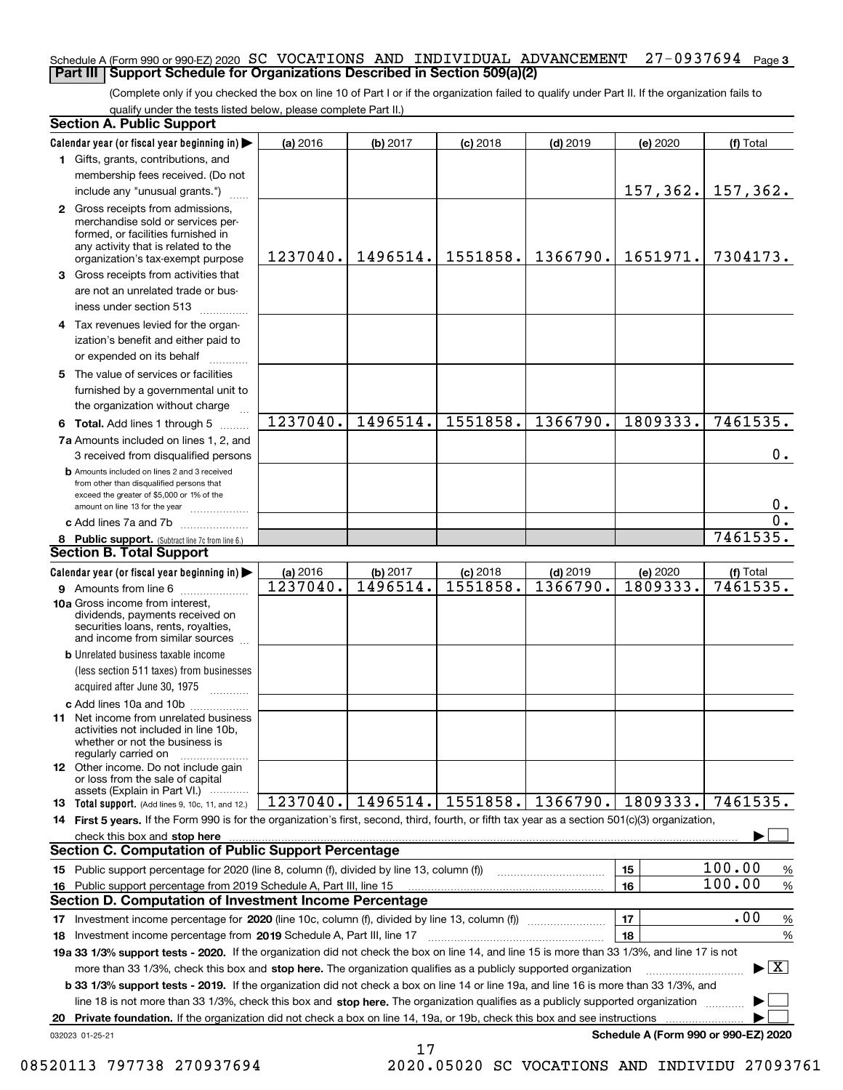#### Schedule A (Form 990 or 990-EZ) 2020  $\, {\rm SC} \,$  <code>VOCATIONS AND INDIVIDUAL ADVANCEMENT  $\,$  27–0937694  $\,$  Page 3</code> **Part III Support Schedule for Organizations Described in Section 509(a)(2)**

(Complete only if you checked the box on line 10 of Part I or if the organization failed to qualify under Part II. If the organization fails to qualify under the tests listed below, please complete Part II.)

| <b>Section A. Public Support</b>                                                                                                                                                         |          |          |            |            |                                      |                                         |
|------------------------------------------------------------------------------------------------------------------------------------------------------------------------------------------|----------|----------|------------|------------|--------------------------------------|-----------------------------------------|
| Calendar year (or fiscal year beginning in)                                                                                                                                              | (a) 2016 | (b) 2017 | $(c)$ 2018 | $(d)$ 2019 | (e) 2020                             | (f) Total                               |
| 1 Gifts, grants, contributions, and                                                                                                                                                      |          |          |            |            |                                      |                                         |
| membership fees received. (Do not                                                                                                                                                        |          |          |            |            |                                      |                                         |
| include any "unusual grants.")                                                                                                                                                           |          |          |            |            | 157, 362.                            | 157,362.                                |
| 2 Gross receipts from admissions,<br>merchandise sold or services per-<br>formed, or facilities furnished in<br>any activity that is related to the<br>organization's tax-exempt purpose | 1237040. | 1496514. | 1551858.   | 1366790.   | 1651971.                             | 7304173.                                |
| 3 Gross receipts from activities that<br>are not an unrelated trade or bus-                                                                                                              |          |          |            |            |                                      |                                         |
| iness under section 513                                                                                                                                                                  |          |          |            |            |                                      |                                         |
| 4 Tax revenues levied for the organ-<br>ization's benefit and either paid to<br>or expended on its behalf                                                                                |          |          |            |            |                                      |                                         |
| 5 The value of services or facilities<br>furnished by a governmental unit to                                                                                                             |          |          |            |            |                                      |                                         |
| the organization without charge                                                                                                                                                          |          |          |            |            |                                      |                                         |
| 6 Total. Add lines 1 through 5                                                                                                                                                           | 1237040. | 1496514. | 1551858.   | 1366790.   | 1809333.                             | 7461535.                                |
| 7a Amounts included on lines 1, 2, and<br>3 received from disqualified persons                                                                                                           |          |          |            |            |                                      | $0$ .                                   |
| <b>b</b> Amounts included on lines 2 and 3 received<br>from other than disqualified persons that<br>exceed the greater of \$5,000 or 1% of the                                           |          |          |            |            |                                      | $0$ .                                   |
| amount on line 13 for the year<br>c Add lines 7a and 7b                                                                                                                                  |          |          |            |            |                                      | $\overline{0}$ .                        |
| 8 Public support. (Subtract line 7c from line 6.)                                                                                                                                        |          |          |            |            |                                      | 7461535.                                |
| <b>Section B. Total Support</b>                                                                                                                                                          |          |          |            |            |                                      |                                         |
| Calendar year (or fiscal year beginning in)                                                                                                                                              | (a) 2016 | (b) 2017 | $(c)$ 2018 | $(d)$ 2019 | (e) 2020                             | (f) Total                               |
|                                                                                                                                                                                          | 1237040. | 1496514. | 1551858.   | 1366790.   | 1809333.                             | 7461535.                                |
| 10a Gross income from interest,<br>dividends, payments received on<br>securities loans, rents, royalties,<br>and income from similar sources                                             |          |          |            |            |                                      |                                         |
| <b>b</b> Unrelated business taxable income                                                                                                                                               |          |          |            |            |                                      |                                         |
| (less section 511 taxes) from businesses                                                                                                                                                 |          |          |            |            |                                      |                                         |
| acquired after June 30, 1975                                                                                                                                                             |          |          |            |            |                                      |                                         |
| c Add lines 10a and 10b<br>11 Net income from unrelated business<br>activities not included in line 10b,<br>whether or not the business is<br>regularly carried on                       |          |          |            |            |                                      |                                         |
| <b>12</b> Other income. Do not include gain<br>or loss from the sale of capital<br>assets (Explain in Part VI.)                                                                          |          |          |            |            |                                      |                                         |
| 13 Total support. (Add lines 9, 10c, 11, and 12.)                                                                                                                                        | 1237040. | 1496514. | 1551858.   | 1366790.   | 1809333.                             | 7461535.                                |
| 14 First 5 years. If the Form 990 is for the organization's first, second, third, fourth, or fifth tax year as a section 501(c)(3) organization,                                         |          |          |            |            |                                      |                                         |
| check this box and stop here                                                                                                                                                             |          |          |            |            |                                      |                                         |
| <b>Section C. Computation of Public Support Percentage</b>                                                                                                                               |          |          |            |            |                                      |                                         |
| 15 Public support percentage for 2020 (line 8, column (f), divided by line 13, column (f))                                                                                               |          |          |            |            | 15                                   | 100.00<br>%<br>100.00                   |
| 16 Public support percentage from 2019 Schedule A, Part III, line 15<br><b>Section D. Computation of Investment Income Percentage</b>                                                    |          |          |            |            | 16                                   | $\%$                                    |
| 17 Investment income percentage for 2020 (line 10c, column (f), divided by line 13, column (f))                                                                                          |          |          |            |            | 17                                   | .00                                     |
| <b>18</b> Investment income percentage from <b>2019</b> Schedule A, Part III, line 17                                                                                                    |          |          |            |            | 18                                   | %<br>%                                  |
| 19a 33 1/3% support tests - 2020. If the organization did not check the box on line 14, and line 15 is more than 33 1/3%, and line 17 is not                                             |          |          |            |            |                                      |                                         |
| more than 33 1/3%, check this box and stop here. The organization qualifies as a publicly supported organization                                                                         |          |          |            |            |                                      | $\blacktriangleright$ $\vert$ X $\vert$ |
| <b>b 33 1/3% support tests - 2019.</b> If the organization did not check a box on line 14 or line 19a, and line 16 is more than 33 1/3%, and                                             |          |          |            |            |                                      |                                         |
| line 18 is not more than 33 1/3%, check this box and stop here. The organization qualifies as a publicly supported organization                                                          |          |          |            |            |                                      |                                         |
| 20 Private foundation. If the organization did not check a box on line 14, 19a, or 19b, check this box and see instructions                                                              |          |          |            |            |                                      |                                         |
| 032023 01-25-21                                                                                                                                                                          |          |          |            |            | Schedule A (Form 990 or 990-EZ) 2020 |                                         |

17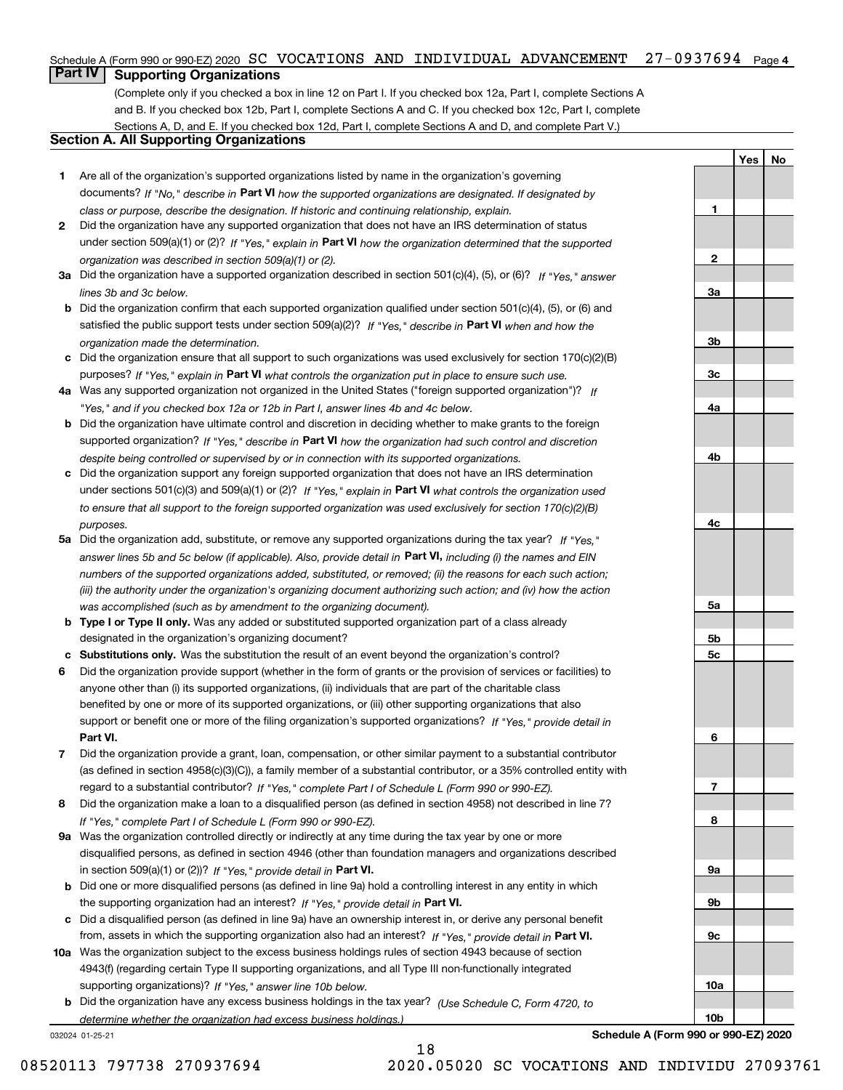#### Schedule A (Form 990 or 990-EZ) 2020  $\, {\rm SC} \,$  <code>VOCATIONS AND INDIVIDUAL ADVANCEMENT  $\,$  27-0937694  $\,$  Page 4  $\,$ </code>

## **Part IV Supporting Organizations**

(Complete only if you checked a box in line 12 on Part I. If you checked box 12a, Part I, complete Sections A and B. If you checked box 12b, Part I, complete Sections A and C. If you checked box 12c, Part I, complete Sections A, D, and E. If you checked box 12d, Part I, complete Sections A and D, and complete Part V.)

### **Section A. All Supporting Organizations**

- **1** Are all of the organization's supported organizations listed by name in the organization's governing documents? If "No," describe in **Part VI** how the supported organizations are designated. If designated by *class or purpose, describe the designation. If historic and continuing relationship, explain.*
- **2** Did the organization have any supported organization that does not have an IRS determination of status under section 509(a)(1) or (2)? If "Yes," explain in Part VI how the organization determined that the supported *organization was described in section 509(a)(1) or (2).*
- **3a** Did the organization have a supported organization described in section 501(c)(4), (5), or (6)? If "Yes," answer *lines 3b and 3c below.*
- **b** Did the organization confirm that each supported organization qualified under section 501(c)(4), (5), or (6) and satisfied the public support tests under section 509(a)(2)? If "Yes," describe in **Part VI** when and how the *organization made the determination.*
- **c**Did the organization ensure that all support to such organizations was used exclusively for section 170(c)(2)(B) purposes? If "Yes," explain in **Part VI** what controls the organization put in place to ensure such use.
- **4a***If* Was any supported organization not organized in the United States ("foreign supported organization")? *"Yes," and if you checked box 12a or 12b in Part I, answer lines 4b and 4c below.*
- **b** Did the organization have ultimate control and discretion in deciding whether to make grants to the foreign supported organization? If "Yes," describe in **Part VI** how the organization had such control and discretion *despite being controlled or supervised by or in connection with its supported organizations.*
- **c** Did the organization support any foreign supported organization that does not have an IRS determination under sections 501(c)(3) and 509(a)(1) or (2)? If "Yes," explain in **Part VI** what controls the organization used *to ensure that all support to the foreign supported organization was used exclusively for section 170(c)(2)(B) purposes.*
- **5a** Did the organization add, substitute, or remove any supported organizations during the tax year? If "Yes," answer lines 5b and 5c below (if applicable). Also, provide detail in **Part VI,** including (i) the names and EIN *numbers of the supported organizations added, substituted, or removed; (ii) the reasons for each such action; (iii) the authority under the organization's organizing document authorizing such action; and (iv) how the action was accomplished (such as by amendment to the organizing document).*
- **b** Type I or Type II only. Was any added or substituted supported organization part of a class already designated in the organization's organizing document?
- **cSubstitutions only.**  Was the substitution the result of an event beyond the organization's control?
- **6** Did the organization provide support (whether in the form of grants or the provision of services or facilities) to **Part VI.** *If "Yes," provide detail in* support or benefit one or more of the filing organization's supported organizations? anyone other than (i) its supported organizations, (ii) individuals that are part of the charitable class benefited by one or more of its supported organizations, or (iii) other supporting organizations that also
- **7**Did the organization provide a grant, loan, compensation, or other similar payment to a substantial contributor *If "Yes," complete Part I of Schedule L (Form 990 or 990-EZ).* regard to a substantial contributor? (as defined in section 4958(c)(3)(C)), a family member of a substantial contributor, or a 35% controlled entity with
- **8** Did the organization make a loan to a disqualified person (as defined in section 4958) not described in line 7? *If "Yes," complete Part I of Schedule L (Form 990 or 990-EZ).*
- **9a** Was the organization controlled directly or indirectly at any time during the tax year by one or more in section 509(a)(1) or (2))? If "Yes," *provide detail in* <code>Part VI.</code> disqualified persons, as defined in section 4946 (other than foundation managers and organizations described
- **b** Did one or more disqualified persons (as defined in line 9a) hold a controlling interest in any entity in which the supporting organization had an interest? If "Yes," provide detail in P**art VI**.
- **c**Did a disqualified person (as defined in line 9a) have an ownership interest in, or derive any personal benefit from, assets in which the supporting organization also had an interest? If "Yes," provide detail in P**art VI.**
- **10a** Was the organization subject to the excess business holdings rules of section 4943 because of section supporting organizations)? If "Yes," answer line 10b below. 4943(f) (regarding certain Type II supporting organizations, and all Type III non-functionally integrated
- **b** Did the organization have any excess business holdings in the tax year? (Use Schedule C, Form 4720, to *determine whether the organization had excess business holdings.)*

18

032024 01-25-21

**Schedule A (Form 990 or 990-EZ) 2020**

**YesNo**

**1**

**2**

**3a**

**3b**

**3c**

**4a**

**4b**

**4c**

**5a**

**5b5c**

**6**

**7**

**8**

**9a**

**9b**

**9c**

**10a**

**10b**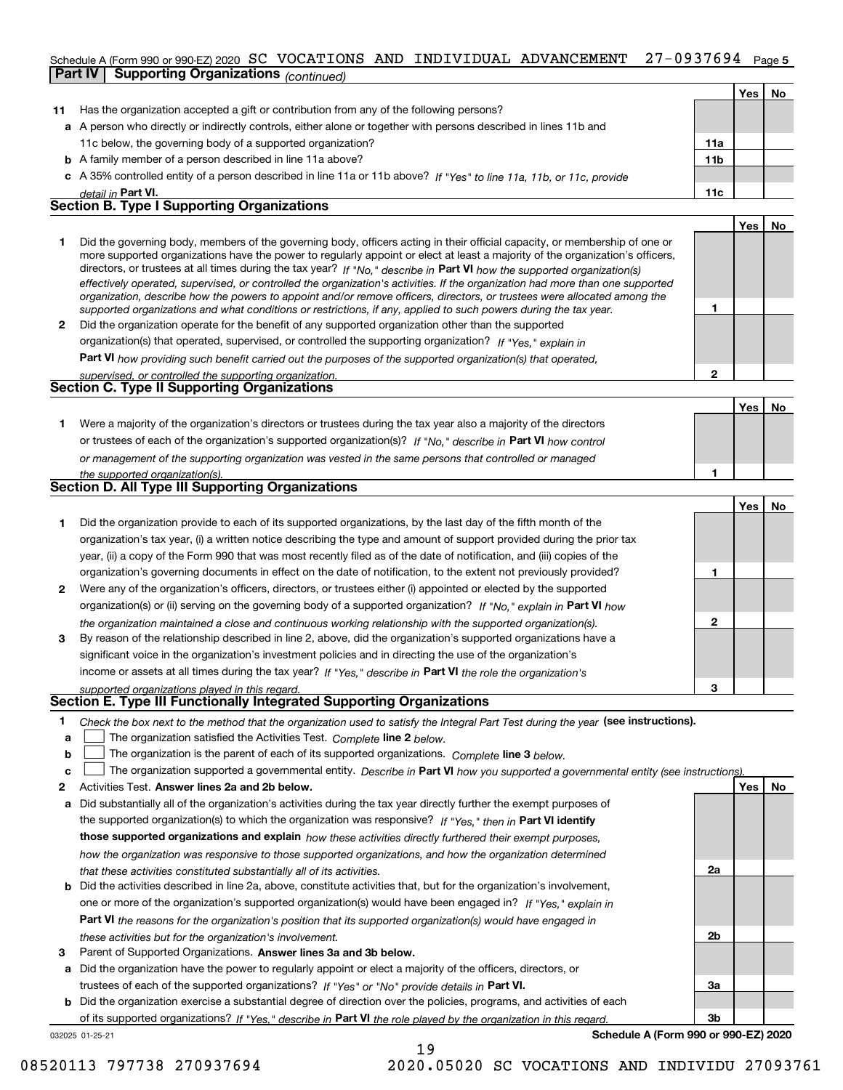#### 27-0937694 Page 5 Schedule A (Form 990 or 990-EZ) 2020 Page SC VOCATIONS AND INDIVIDUAL ADVANCEMENT 27-0937694 **Part IV Supporting Organizations** *(continued)*

|    |                                                                                                                                                                                                                                                                                                                                                                                                                                                                                                                                                                                                                                                      |                 | Yes I | No  |
|----|------------------------------------------------------------------------------------------------------------------------------------------------------------------------------------------------------------------------------------------------------------------------------------------------------------------------------------------------------------------------------------------------------------------------------------------------------------------------------------------------------------------------------------------------------------------------------------------------------------------------------------------------------|-----------------|-------|-----|
| 11 | Has the organization accepted a gift or contribution from any of the following persons?                                                                                                                                                                                                                                                                                                                                                                                                                                                                                                                                                              |                 |       |     |
|    | a A person who directly or indirectly controls, either alone or together with persons described in lines 11b and                                                                                                                                                                                                                                                                                                                                                                                                                                                                                                                                     |                 |       |     |
|    | 11c below, the governing body of a supported organization?                                                                                                                                                                                                                                                                                                                                                                                                                                                                                                                                                                                           | 11a             |       |     |
|    | <b>b</b> A family member of a person described in line 11a above?                                                                                                                                                                                                                                                                                                                                                                                                                                                                                                                                                                                    | 11 <sub>b</sub> |       |     |
|    | c A 35% controlled entity of a person described in line 11a or 11b above? If "Yes" to line 11a, 11b, or 11c, provide                                                                                                                                                                                                                                                                                                                                                                                                                                                                                                                                 |                 |       |     |
|    | detail in Part VI.                                                                                                                                                                                                                                                                                                                                                                                                                                                                                                                                                                                                                                   | 11c             |       |     |
|    | <b>Section B. Type I Supporting Organizations</b>                                                                                                                                                                                                                                                                                                                                                                                                                                                                                                                                                                                                    |                 |       |     |
|    |                                                                                                                                                                                                                                                                                                                                                                                                                                                                                                                                                                                                                                                      |                 | Yes   | No. |
| 1  | Did the governing body, members of the governing body, officers acting in their official capacity, or membership of one or<br>more supported organizations have the power to regularly appoint or elect at least a majority of the organization's officers,<br>directors, or trustees at all times during the tax year? If "No." describe in Part VI how the supported organization(s)<br>effectively operated, supervised, or controlled the organization's activities. If the organization had more than one supported<br>organization, describe how the powers to appoint and/or remove officers, directors, or trustees were allocated among the |                 |       |     |
|    | supported organizations and what conditions or restrictions, if any, applied to such powers during the tax year.                                                                                                                                                                                                                                                                                                                                                                                                                                                                                                                                     |                 |       |     |
| 2  | Did the organization operate for the benefit of any supported organization other than the supported                                                                                                                                                                                                                                                                                                                                                                                                                                                                                                                                                  |                 |       |     |
|    | organization(s) that operated, supervised, or controlled the supporting organization? If "Yes," explain in                                                                                                                                                                                                                                                                                                                                                                                                                                                                                                                                           |                 |       |     |
|    | <b>Part VI</b> how providing such benefit carried out the purposes of the supported organization(s) that operated,                                                                                                                                                                                                                                                                                                                                                                                                                                                                                                                                   |                 |       |     |
|    | supervised, or controlled the supporting organization.                                                                                                                                                                                                                                                                                                                                                                                                                                                                                                                                                                                               | 2               |       |     |
|    | <b>Section C. Type II Supporting Organizations</b>                                                                                                                                                                                                                                                                                                                                                                                                                                                                                                                                                                                                   |                 |       |     |
|    |                                                                                                                                                                                                                                                                                                                                                                                                                                                                                                                                                                                                                                                      |                 | Yes   | No  |
|    | Were a majority of the organization's directors or trustees during the tax year also a majority of the directors                                                                                                                                                                                                                                                                                                                                                                                                                                                                                                                                     |                 |       |     |

| or trustees of each of the organization's supported organization(s)? If "No." describe in Part VI how control |
|---------------------------------------------------------------------------------------------------------------|
| or management of the supporting organization was vested in the same persons that controlled or managed        |
| the supported organization(s).                                                                                |

| Section D. All Type III Supporting Organizations |  |
|--------------------------------------------------|--|
|                                                  |  |

|              |                                                                                                                        |   | Yes | No |
|--------------|------------------------------------------------------------------------------------------------------------------------|---|-----|----|
|              | Did the organization provide to each of its supported organizations, by the last day of the fifth month of the         |   |     |    |
|              | organization's tax year, (i) a written notice describing the type and amount of support provided during the prior tax  |   |     |    |
|              | year, (ii) a copy of the Form 990 that was most recently filed as of the date of notification, and (iii) copies of the |   |     |    |
|              | organization's governing documents in effect on the date of notification, to the extent not previously provided?       |   |     |    |
| $\mathbf{2}$ | Were any of the organization's officers, directors, or trustees either (i) appointed or elected by the supported       |   |     |    |
|              | organization(s) or (ii) serving on the governing body of a supported organization? If "No," explain in Part VI how     |   |     |    |
|              | the organization maintained a close and continuous working relationship with the supported organization(s).            | 2 |     |    |
| 3            | By reason of the relationship described in line 2, above, did the organization's supported organizations have a        |   |     |    |
|              | significant voice in the organization's investment policies and in directing the use of the organization's             |   |     |    |
|              | income or assets at all times during the tax year? If "Yes," describe in Part VI the role the organization's           |   |     |    |
|              | supported organizations played in this regard.                                                                         | з |     |    |

# *supported organizations played in this regard.* **Section E. Type III Functionally Integrated Supporting Organizations**

|  | Check the box next to the method that the organization used to satisfy the Integral Part Test during the year (see instructions). |  |  |  |
|--|-----------------------------------------------------------------------------------------------------------------------------------|--|--|--|
|--|-----------------------------------------------------------------------------------------------------------------------------------|--|--|--|

- **a**The organization satisfied the Activities Test. *Complete* line 2 below.  $\mathcal{L}^{\text{max}}$
- **b**The organization is the parent of each of its supported organizations. *Complete* line 3 *below.*  $\mathcal{L}^{\text{max}}$

|  |  |  | c $\Box$ The organization supported a governmental entity. Describe in Part VI how you supported a governmental entity (see instructions) |  |
|--|--|--|-------------------------------------------------------------------------------------------------------------------------------------------|--|
|--|--|--|-------------------------------------------------------------------------------------------------------------------------------------------|--|

19

- **2Answer lines 2a and 2b below. Yes No** Activities Test.
- **a** Did substantially all of the organization's activities during the tax year directly further the exempt purposes of the supported organization(s) to which the organization was responsive? If "Yes," then in **Part VI identify those supported organizations and explain**  *how these activities directly furthered their exempt purposes, how the organization was responsive to those supported organizations, and how the organization determined that these activities constituted substantially all of its activities.*
- **b** Did the activities described in line 2a, above, constitute activities that, but for the organization's involvement, **Part VI**  *the reasons for the organization's position that its supported organization(s) would have engaged in* one or more of the organization's supported organization(s) would have been engaged in? If "Yes," e*xplain in these activities but for the organization's involvement.*
- **3** Parent of Supported Organizations. Answer lines 3a and 3b below.

**a** Did the organization have the power to regularly appoint or elect a majority of the officers, directors, or trustees of each of the supported organizations? If "Yes" or "No" provide details in **Part VI.** 

**b** Did the organization exercise a substantial degree of direction over the policies, programs, and activities of each of its supported organizations? If "Yes," describe in Part VI the role played by the organization in this regard.

032025 01-25-21

**Schedule A (Form 990 or 990-EZ) 2020**

**2a**

**2b**

**3a**

**3b**

**1**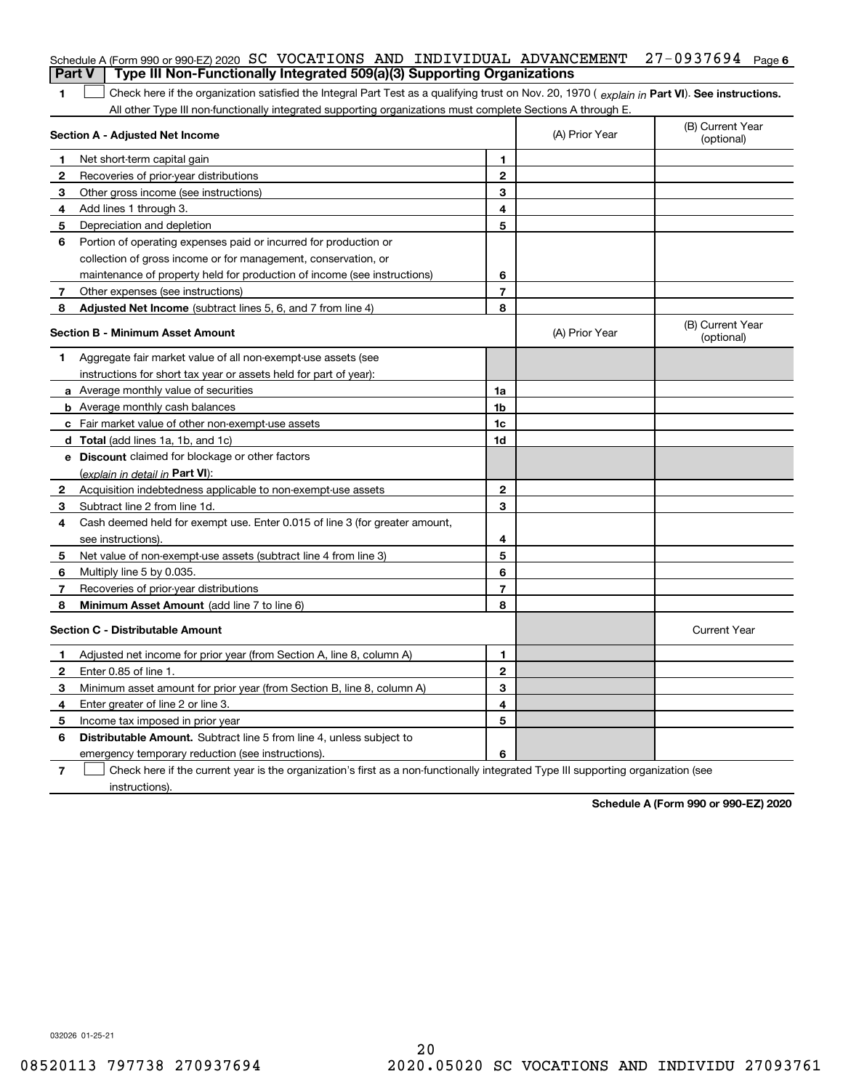|              | Schedule A (Form 990 or 990-EZ) 2020 SC VOCATIONS AND INDIVIDUAL ADVANCEMENT                                                                                                                                                                                  |                         |                | 27-0937694 Page 6              |  |
|--------------|---------------------------------------------------------------------------------------------------------------------------------------------------------------------------------------------------------------------------------------------------------------|-------------------------|----------------|--------------------------------|--|
|              | Type III Non-Functionally Integrated 509(a)(3) Supporting Organizations<br><b>Part V</b>                                                                                                                                                                      |                         |                |                                |  |
| 1            | Check here if the organization satisfied the Integral Part Test as a qualifying trust on Nov. 20, 1970 (explain in Part VI). See instructions.<br>All other Type III non-functionally integrated supporting organizations must complete Sections A through E. |                         |                |                                |  |
|              | Section A - Adjusted Net Income                                                                                                                                                                                                                               |                         | (A) Prior Year | (B) Current Year<br>(optional) |  |
| 1            | Net short-term capital gain                                                                                                                                                                                                                                   | 1                       |                |                                |  |
| $\mathbf{2}$ | Recoveries of prior-year distributions                                                                                                                                                                                                                        | $\mathbf{2}$            |                |                                |  |
| 3            | Other gross income (see instructions)                                                                                                                                                                                                                         | 3                       |                |                                |  |
| 4            | Add lines 1 through 3.                                                                                                                                                                                                                                        | 4                       |                |                                |  |
| 5            | Depreciation and depletion                                                                                                                                                                                                                                    | 5                       |                |                                |  |
| 6            | Portion of operating expenses paid or incurred for production or                                                                                                                                                                                              |                         |                |                                |  |
|              | collection of gross income or for management, conservation, or                                                                                                                                                                                                |                         |                |                                |  |
|              | maintenance of property held for production of income (see instructions)                                                                                                                                                                                      | 6                       |                |                                |  |
| 7            | Other expenses (see instructions)                                                                                                                                                                                                                             | $\overline{\mathbf{r}}$ |                |                                |  |
| 8            | Adjusted Net Income (subtract lines 5, 6, and 7 from line 4)                                                                                                                                                                                                  | 8                       |                |                                |  |
|              | <b>Section B - Minimum Asset Amount</b>                                                                                                                                                                                                                       |                         | (A) Prior Year | (B) Current Year<br>(optional) |  |
| 1            | Aggregate fair market value of all non-exempt-use assets (see                                                                                                                                                                                                 |                         |                |                                |  |
|              | instructions for short tax year or assets held for part of year):                                                                                                                                                                                             |                         |                |                                |  |
|              | a Average monthly value of securities                                                                                                                                                                                                                         | 1a                      |                |                                |  |
|              | <b>b</b> Average monthly cash balances                                                                                                                                                                                                                        | 1b                      |                |                                |  |
|              | <b>c</b> Fair market value of other non-exempt-use assets                                                                                                                                                                                                     | 1c                      |                |                                |  |
|              | <b>d</b> Total (add lines 1a, 1b, and 1c)                                                                                                                                                                                                                     | 1d                      |                |                                |  |
|              | e Discount claimed for blockage or other factors                                                                                                                                                                                                              |                         |                |                                |  |
|              | (explain in detail in Part VI):                                                                                                                                                                                                                               |                         |                |                                |  |
| 2            | Acquisition indebtedness applicable to non-exempt-use assets                                                                                                                                                                                                  | $\mathbf{2}$            |                |                                |  |
| 3            | Subtract line 2 from line 1d.                                                                                                                                                                                                                                 | 3                       |                |                                |  |
| 4            | Cash deemed held for exempt use. Enter 0.015 of line 3 (for greater amount,                                                                                                                                                                                   |                         |                |                                |  |
|              | see instructions).                                                                                                                                                                                                                                            | 4                       |                |                                |  |
| 5            | Net value of non-exempt-use assets (subtract line 4 from line 3)                                                                                                                                                                                              | 5                       |                |                                |  |
| 6            | Multiply line 5 by 0.035.                                                                                                                                                                                                                                     | 6                       |                |                                |  |
| 7            | Recoveries of prior-year distributions                                                                                                                                                                                                                        | $\overline{7}$          |                |                                |  |
| 8            | Minimum Asset Amount (add line 7 to line 6)                                                                                                                                                                                                                   | 8                       |                |                                |  |
|              | <b>Section C - Distributable Amount</b>                                                                                                                                                                                                                       |                         |                | <b>Current Year</b>            |  |
|              | Adjusted net income for prior year (from Section A, line 8, column A)                                                                                                                                                                                         | 1                       |                |                                |  |
|              | Enter 0.85 of line 1.                                                                                                                                                                                                                                         | 2                       |                |                                |  |
| 3            | Minimum asset amount for prior year (from Section B, line 8, column A)                                                                                                                                                                                        | 3                       |                |                                |  |
| 4            | Enter greater of line 2 or line 3.                                                                                                                                                                                                                            | 4                       |                |                                |  |
| 5            | Income tax imposed in prior year                                                                                                                                                                                                                              | 5                       |                |                                |  |
| 6            | <b>Distributable Amount.</b> Subtract line 5 from line 4, unless subject to                                                                                                                                                                                   |                         |                |                                |  |
|              | emergency temporary reduction (see instructions).                                                                                                                                                                                                             | 6                       |                |                                |  |
| 7            | Check here if the current year is the organization's first as a non-functionally integrated Type III supporting organization (see                                                                                                                             |                         |                |                                |  |

instructions).

**Schedule A (Form 990 or 990-EZ) 2020**

032026 01-25-21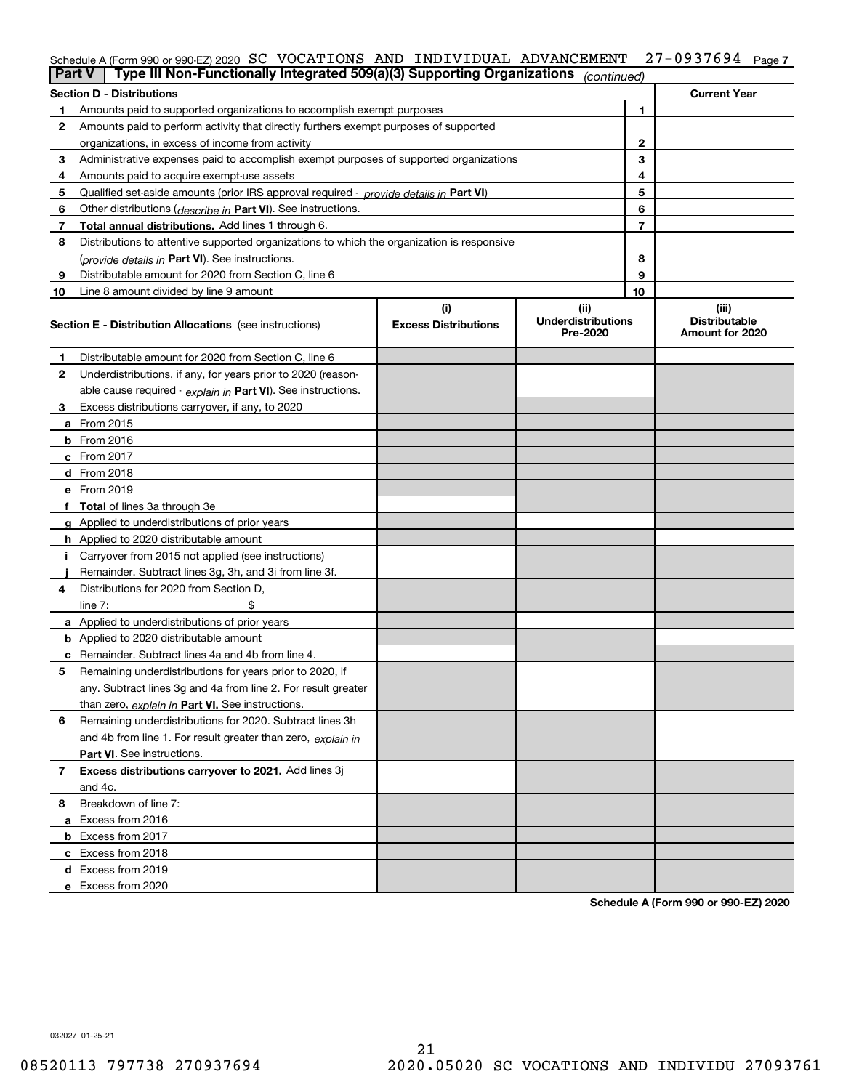## Schedule A (Form 990 or 990-EZ) 2020  $\, {\rm SC} \,$  <code>VOCATIONS AND INDIVIDUAL ADVANCEMENT  $\,$  27–0937694  $\,$  Page 7</code>

|                | Type III Non-Functionally Integrated 509(a)(3) Supporting Organizations<br>Part V<br>(continued) |                             |                                       |    |                                         |  |
|----------------|--------------------------------------------------------------------------------------------------|-----------------------------|---------------------------------------|----|-----------------------------------------|--|
|                | <b>Section D - Distributions</b>                                                                 |                             |                                       |    | <b>Current Year</b>                     |  |
| 1.             | Amounts paid to supported organizations to accomplish exempt purposes                            |                             |                                       |    |                                         |  |
| 2              | Amounts paid to perform activity that directly furthers exempt purposes of supported             |                             |                                       |    |                                         |  |
|                | organizations, in excess of income from activity                                                 |                             |                                       | 2  |                                         |  |
| 3              | Administrative expenses paid to accomplish exempt purposes of supported organizations            |                             |                                       | 3  |                                         |  |
| 4              | Amounts paid to acquire exempt-use assets                                                        |                             |                                       | 4  |                                         |  |
| 5              | Qualified set-aside amounts (prior IRS approval required - provide details in Part VI)           |                             |                                       | 5  |                                         |  |
| 6              | Other distributions ( <i>describe in</i> Part VI). See instructions.                             |                             |                                       | 6  |                                         |  |
| 7              | Total annual distributions. Add lines 1 through 6.                                               |                             |                                       | 7  |                                         |  |
| 8              | Distributions to attentive supported organizations to which the organization is responsive       |                             |                                       |    |                                         |  |
|                | (provide details in Part VI). See instructions.                                                  |                             |                                       | 8  |                                         |  |
| 9              | Distributable amount for 2020 from Section C, line 6                                             |                             |                                       | 9  |                                         |  |
| 10             | Line 8 amount divided by line 9 amount                                                           |                             |                                       | 10 |                                         |  |
|                |                                                                                                  | (i)                         | (ii)                                  |    | (iii)                                   |  |
|                | <b>Section E - Distribution Allocations</b> (see instructions)                                   | <b>Excess Distributions</b> | <b>Underdistributions</b><br>Pre-2020 |    | <b>Distributable</b><br>Amount for 2020 |  |
| 1              | Distributable amount for 2020 from Section C, line 6                                             |                             |                                       |    |                                         |  |
| 2              | Underdistributions, if any, for years prior to 2020 (reason-                                     |                             |                                       |    |                                         |  |
|                | able cause required - explain in Part VI). See instructions.                                     |                             |                                       |    |                                         |  |
| 3              | Excess distributions carryover, if any, to 2020                                                  |                             |                                       |    |                                         |  |
|                | a From 2015                                                                                      |                             |                                       |    |                                         |  |
|                | <b>b</b> From 2016                                                                               |                             |                                       |    |                                         |  |
|                | $c$ From 2017                                                                                    |                             |                                       |    |                                         |  |
|                | <b>d</b> From 2018                                                                               |                             |                                       |    |                                         |  |
|                | e From 2019                                                                                      |                             |                                       |    |                                         |  |
|                | f Total of lines 3a through 3e                                                                   |                             |                                       |    |                                         |  |
|                | g Applied to underdistributions of prior years                                                   |                             |                                       |    |                                         |  |
|                | <b>h</b> Applied to 2020 distributable amount                                                    |                             |                                       |    |                                         |  |
|                | Carryover from 2015 not applied (see instructions)                                               |                             |                                       |    |                                         |  |
|                | Remainder. Subtract lines 3g, 3h, and 3i from line 3f.                                           |                             |                                       |    |                                         |  |
| 4              | Distributions for 2020 from Section D,                                                           |                             |                                       |    |                                         |  |
|                | line $7:$                                                                                        |                             |                                       |    |                                         |  |
|                | a Applied to underdistributions of prior years                                                   |                             |                                       |    |                                         |  |
|                | <b>b</b> Applied to 2020 distributable amount                                                    |                             |                                       |    |                                         |  |
|                | c Remainder. Subtract lines 4a and 4b from line 4.                                               |                             |                                       |    |                                         |  |
| 5              | Remaining underdistributions for years prior to 2020, if                                         |                             |                                       |    |                                         |  |
|                | any. Subtract lines 3g and 4a from line 2. For result greater                                    |                             |                                       |    |                                         |  |
|                | than zero, explain in Part VI. See instructions.                                                 |                             |                                       |    |                                         |  |
| 6              | Remaining underdistributions for 2020. Subtract lines 3h                                         |                             |                                       |    |                                         |  |
|                | and 4b from line 1. For result greater than zero, explain in                                     |                             |                                       |    |                                         |  |
|                | Part VI. See instructions.                                                                       |                             |                                       |    |                                         |  |
| $\overline{7}$ | Excess distributions carryover to 2021. Add lines 3j                                             |                             |                                       |    |                                         |  |
|                | and 4c.                                                                                          |                             |                                       |    |                                         |  |
| 8              | Breakdown of line 7:                                                                             |                             |                                       |    |                                         |  |
|                | a Excess from 2016                                                                               |                             |                                       |    |                                         |  |
|                | <b>b</b> Excess from 2017                                                                        |                             |                                       |    |                                         |  |
|                | c Excess from 2018                                                                               |                             |                                       |    |                                         |  |
|                | d Excess from 2019                                                                               |                             |                                       |    |                                         |  |
|                | e Excess from 2020                                                                               |                             |                                       |    |                                         |  |
|                |                                                                                                  |                             |                                       |    |                                         |  |

**Schedule A (Form 990 or 990-EZ) 2020**

032027 01-25-21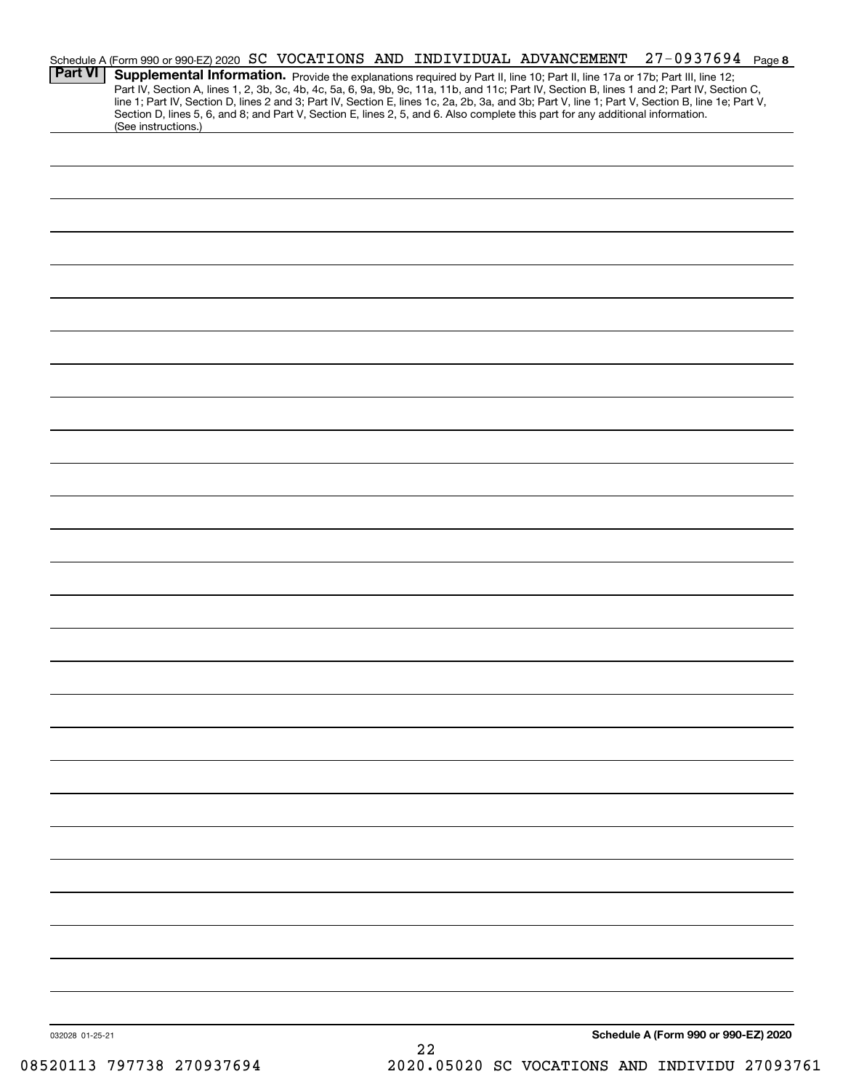| <b>Part VI</b>  | (See instructions.) |    | Schedule A (Form 990 or 990-EZ) 2020 SC VOCATIONS AND INDIVIDUAL ADVANCEMENT<br>Section D, lines 5, 6, and 8; and Part V, Section E, lines 2, 5, and 6. Also complete this part for any additional information. | $27 - 0937694$ Page 8<br>Supplemental Information. Provide the explanations required by Part II, line 10; Part II, line 17a or 17b; Part III, line 12;<br>Part IV, Section A, lines 1, 2, 3b, 3c, 4b, 4c, 5a, 6, 9a, 9b, 9c, 11a, 11b, and 11c; Part IV, Section B, lines 1 and 2; Part IV, Section C,<br>line 1; Part IV, Section D, lines 2 and 3; Part IV, Section E, lines 1c, 2a, 2b, 3a, and 3b; Part V, line 1; Part V, Section B, line 1e; Part V, |  |
|-----------------|---------------------|----|-----------------------------------------------------------------------------------------------------------------------------------------------------------------------------------------------------------------|------------------------------------------------------------------------------------------------------------------------------------------------------------------------------------------------------------------------------------------------------------------------------------------------------------------------------------------------------------------------------------------------------------------------------------------------------------|--|
|                 |                     |    |                                                                                                                                                                                                                 |                                                                                                                                                                                                                                                                                                                                                                                                                                                            |  |
|                 |                     |    |                                                                                                                                                                                                                 |                                                                                                                                                                                                                                                                                                                                                                                                                                                            |  |
|                 |                     |    |                                                                                                                                                                                                                 |                                                                                                                                                                                                                                                                                                                                                                                                                                                            |  |
|                 |                     |    |                                                                                                                                                                                                                 |                                                                                                                                                                                                                                                                                                                                                                                                                                                            |  |
|                 |                     |    |                                                                                                                                                                                                                 |                                                                                                                                                                                                                                                                                                                                                                                                                                                            |  |
|                 |                     |    |                                                                                                                                                                                                                 |                                                                                                                                                                                                                                                                                                                                                                                                                                                            |  |
|                 |                     |    |                                                                                                                                                                                                                 |                                                                                                                                                                                                                                                                                                                                                                                                                                                            |  |
|                 |                     |    |                                                                                                                                                                                                                 |                                                                                                                                                                                                                                                                                                                                                                                                                                                            |  |
|                 |                     |    |                                                                                                                                                                                                                 |                                                                                                                                                                                                                                                                                                                                                                                                                                                            |  |
|                 |                     |    |                                                                                                                                                                                                                 |                                                                                                                                                                                                                                                                                                                                                                                                                                                            |  |
|                 |                     |    |                                                                                                                                                                                                                 |                                                                                                                                                                                                                                                                                                                                                                                                                                                            |  |
|                 |                     |    |                                                                                                                                                                                                                 |                                                                                                                                                                                                                                                                                                                                                                                                                                                            |  |
|                 |                     |    |                                                                                                                                                                                                                 |                                                                                                                                                                                                                                                                                                                                                                                                                                                            |  |
|                 |                     |    |                                                                                                                                                                                                                 |                                                                                                                                                                                                                                                                                                                                                                                                                                                            |  |
|                 |                     |    |                                                                                                                                                                                                                 |                                                                                                                                                                                                                                                                                                                                                                                                                                                            |  |
|                 |                     |    |                                                                                                                                                                                                                 |                                                                                                                                                                                                                                                                                                                                                                                                                                                            |  |
|                 |                     |    |                                                                                                                                                                                                                 |                                                                                                                                                                                                                                                                                                                                                                                                                                                            |  |
|                 |                     |    |                                                                                                                                                                                                                 |                                                                                                                                                                                                                                                                                                                                                                                                                                                            |  |
|                 |                     |    |                                                                                                                                                                                                                 |                                                                                                                                                                                                                                                                                                                                                                                                                                                            |  |
|                 |                     |    |                                                                                                                                                                                                                 |                                                                                                                                                                                                                                                                                                                                                                                                                                                            |  |
|                 |                     |    |                                                                                                                                                                                                                 |                                                                                                                                                                                                                                                                                                                                                                                                                                                            |  |
|                 |                     |    |                                                                                                                                                                                                                 |                                                                                                                                                                                                                                                                                                                                                                                                                                                            |  |
| 032028 01-25-21 |                     | 22 |                                                                                                                                                                                                                 | Schedule A (Form 990 or 990-EZ) 2020                                                                                                                                                                                                                                                                                                                                                                                                                       |  |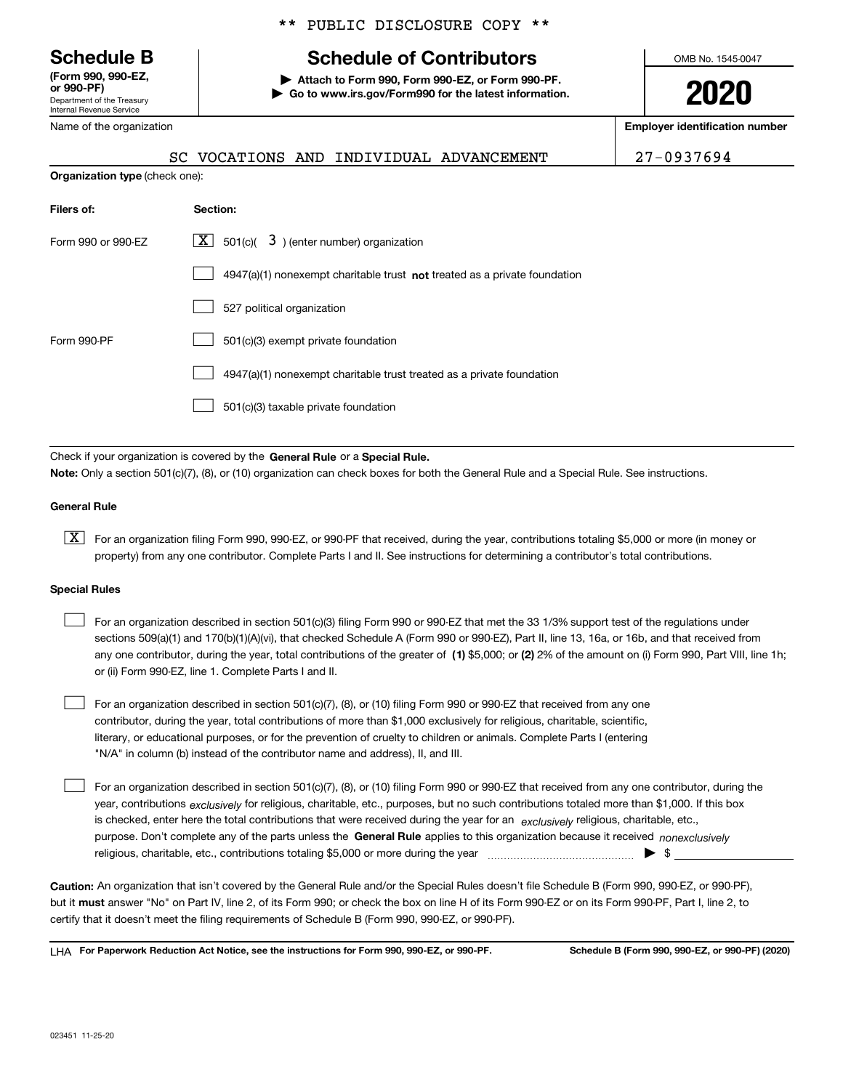Department of the Treasury Internal Revenue Service **(Form 990, 990-EZ, or 990-PF)**

\*\* PUBLIC DISCLOSURE COPY \*\*

# **Schedule B Schedule of Contributors**

**| Attach to Form 990, Form 990-EZ, or Form 990-PF. | Go to www.irs.gov/Form990 for the latest information.** OMB No. 1545-0047

**2020**

**Employer identification number**

| or 990-PF)                 |
|----------------------------|
| Department of the Treasury |
| Internal Revenue Service   |
| Name of the organization   |

## **Organization type** (check one): SC VOCATIONS AND INDIVIDUAL ADVANCEMENT 27-0937694

| Filers of:         | Section:                                                                    |
|--------------------|-----------------------------------------------------------------------------|
| Form 990 or 990-EZ | $X$ 501(c)( 3) (enter number) organization                                  |
|                    | $4947(a)(1)$ nonexempt charitable trust not treated as a private foundation |
|                    | 527 political organization                                                  |
| Form 990-PF        | 501(c)(3) exempt private foundation                                         |
|                    | 4947(a)(1) nonexempt charitable trust treated as a private foundation       |
|                    | 501(c)(3) taxable private foundation                                        |

Check if your organization is covered by the **General Rule** or a **Special Rule. Note:**  Only a section 501(c)(7), (8), or (10) organization can check boxes for both the General Rule and a Special Rule. See instructions.

### **General Rule**

 $\boxed{\textbf{X}}$  For an organization filing Form 990, 990-EZ, or 990-PF that received, during the year, contributions totaling \$5,000 or more (in money or property) from any one contributor. Complete Parts I and II. See instructions for determining a contributor's total contributions.

#### **Special Rules**

 $\sqrt{ }$ 

| For an organization described in section 501(c)(3) filing Form 990 or 990-EZ that met the 33 1/3% support test of the regulations under               |
|-------------------------------------------------------------------------------------------------------------------------------------------------------|
| sections 509(a)(1) and 170(b)(1)(A)(vi), that checked Schedule A (Form 990 or 990-EZ), Part II, line 13, 16a, or 16b, and that received from          |
| any one contributor, during the year, total contributions of the greater of (1) \$5,000; or (2) 2% of the amount on (i) Form 990, Part VIII, line 1h; |
| or (ii) Form 990-EZ, line 1. Complete Parts I and II.                                                                                                 |

For an organization described in section 501(c)(7), (8), or (10) filing Form 990 or 990-EZ that received from any one contributor, during the year, total contributions of more than \$1,000 exclusively for religious, charitable, scientific, literary, or educational purposes, or for the prevention of cruelty to children or animals. Complete Parts I (entering "N/A" in column (b) instead of the contributor name and address), II, and III.  $\mathcal{L}^{\text{max}}$ 

purpose. Don't complete any of the parts unless the **General Rule** applies to this organization because it received *nonexclusively* year, contributions <sub>exclusively</sub> for religious, charitable, etc., purposes, but no such contributions totaled more than \$1,000. If this box is checked, enter here the total contributions that were received during the year for an  $\;$ exclusively religious, charitable, etc., For an organization described in section 501(c)(7), (8), or (10) filing Form 990 or 990-EZ that received from any one contributor, during the religious, charitable, etc., contributions totaling \$5,000 or more during the year  $\Box$ — $\Box$  =  $\Box$  $\mathcal{L}^{\text{max}}$ 

**Caution:**  An organization that isn't covered by the General Rule and/or the Special Rules doesn't file Schedule B (Form 990, 990-EZ, or 990-PF),  **must** but it answer "No" on Part IV, line 2, of its Form 990; or check the box on line H of its Form 990-EZ or on its Form 990-PF, Part I, line 2, to certify that it doesn't meet the filing requirements of Schedule B (Form 990, 990-EZ, or 990-PF).

**For Paperwork Reduction Act Notice, see the instructions for Form 990, 990-EZ, or 990-PF. Schedule B (Form 990, 990-EZ, or 990-PF) (2020)** LHA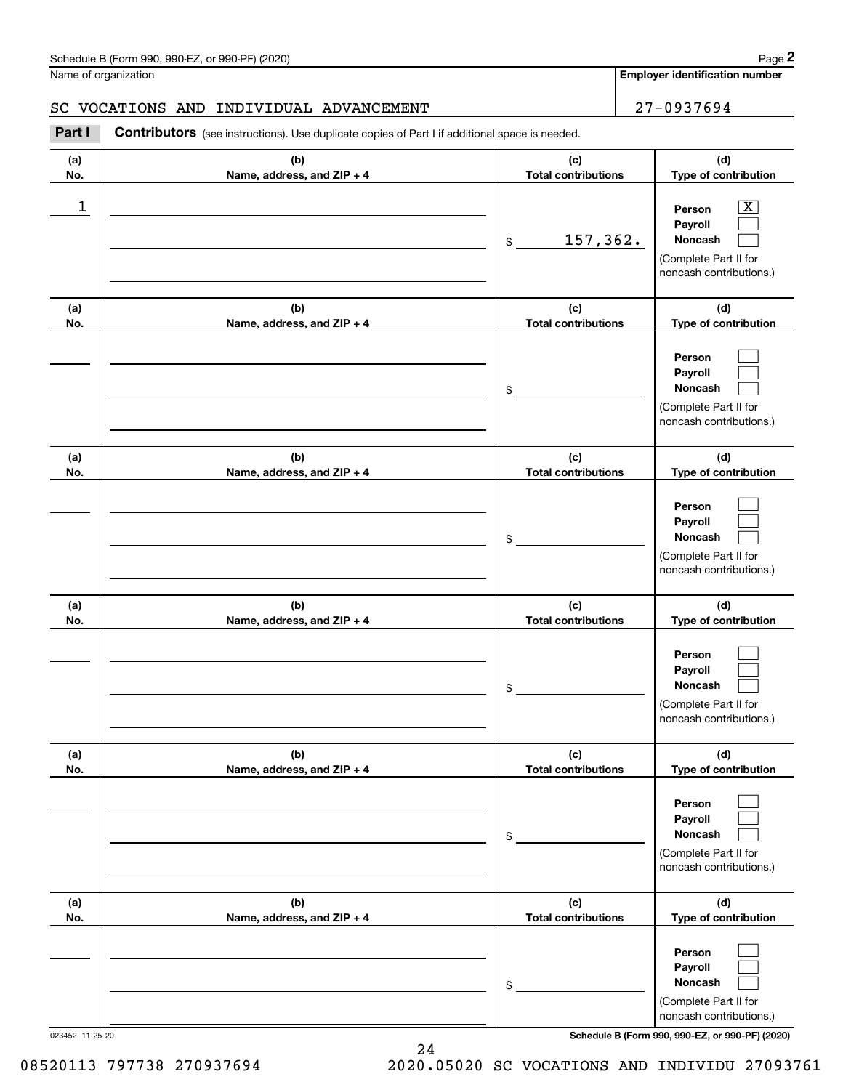### SC VOCATIONS AND INDIVIDUAL ADVANCEMENT 27-0937694

|            | Schedule B (Form 990, 990-EZ, or 990-PF) (2020)                                                       |                                   | Page 2                                                                                                    |
|------------|-------------------------------------------------------------------------------------------------------|-----------------------------------|-----------------------------------------------------------------------------------------------------------|
|            | Name of organization                                                                                  |                                   | <b>Employer identification number</b>                                                                     |
|            | SC VOCATIONS AND<br>INDIVIDUAL ADVANCEMENT                                                            |                                   | 27-0937694                                                                                                |
| Part I     | <b>Contributors</b> (see instructions). Use duplicate copies of Part I if additional space is needed. |                                   |                                                                                                           |
| (a)<br>No. | (b)<br>Name, address, and ZIP + 4                                                                     | (c)<br><b>Total contributions</b> | (d)<br>Type of contribution                                                                               |
| 1          |                                                                                                       | 157,362.<br>\$                    | $\overline{\text{X}}$<br>Person<br>Payroll<br>Noncash<br>(Complete Part II for<br>noncash contributions.) |
| (a)<br>No. | (b)<br>Name, address, and ZIP + 4                                                                     | (c)<br><b>Total contributions</b> | (d)<br>Type of contribution                                                                               |
|            |                                                                                                       | \$                                | Person<br>Payroll<br>Noncash<br>(Complete Part II for<br>noncash contributions.)                          |
| (a)<br>No. | (b)<br>Name, address, and ZIP + 4                                                                     | (c)<br><b>Total contributions</b> | (d)<br>Type of contribution                                                                               |
|            |                                                                                                       | \$                                | Person<br>Payroll<br>Noncash<br>(Complete Part II for<br>noncash contributions.)                          |
| (a)<br>No. | (b)<br>Name, address, and ZIP + 4                                                                     | (c)<br><b>Total contributions</b> | (d)<br>Type of contribution                                                                               |
|            |                                                                                                       | \$                                | Person<br>Payroll<br>Noncash<br>(Complete Part II for<br>noncash contributions.)                          |
| (a)<br>No. | (b)<br>Name, address, and ZIP + 4                                                                     | (c)<br><b>Total contributions</b> | (d)<br>Type of contribution                                                                               |
|            |                                                                                                       | \$                                | Person<br>Payroll<br>Noncash<br>(Complete Part II for<br>noncash contributions.)                          |
| (a)<br>No. | (b)<br>Name, address, and ZIP + 4                                                                     | (c)<br><b>Total contributions</b> | (d)<br>Type of contribution                                                                               |
|            |                                                                                                       | \$                                | Person<br>Payroll<br>Noncash<br>(Complete Part II for<br>noncash contributions.)                          |

023452 11-25-20 **Schedule B (Form 990, 990-EZ, or 990-PF) (2020)**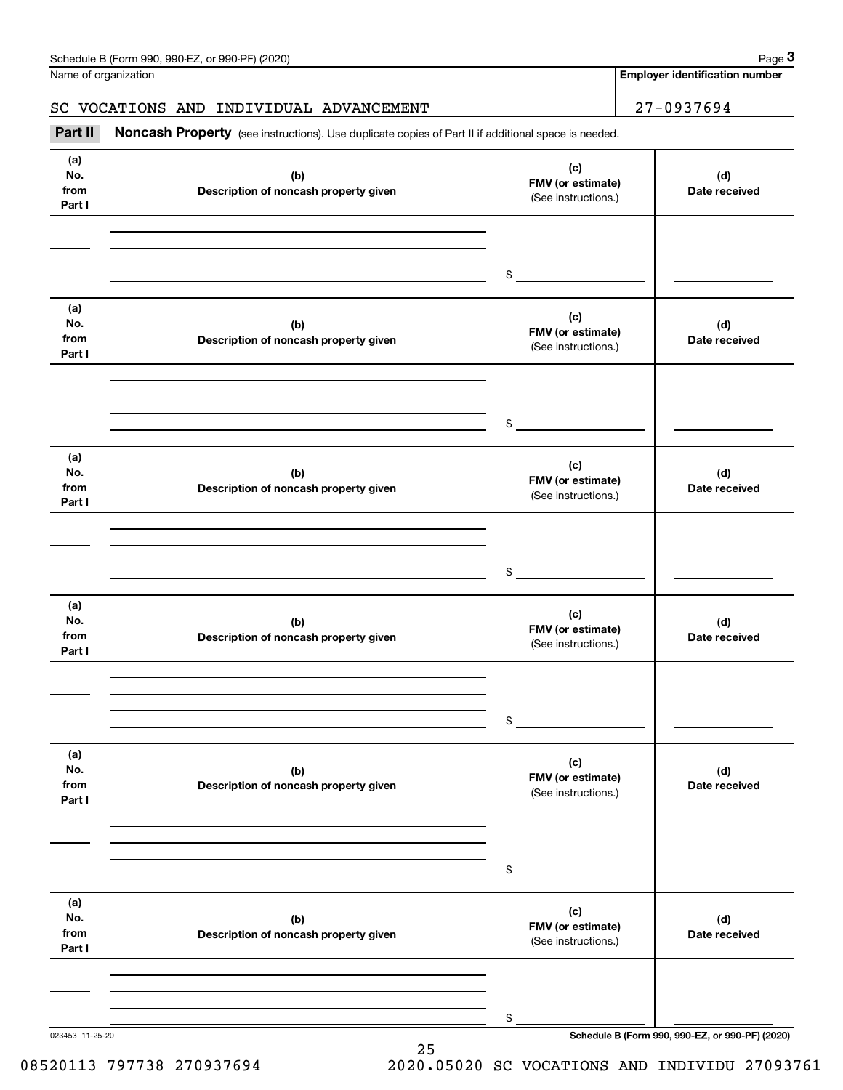**Employer identification number**

## SC VOCATIONS AND INDIVIDUAL ADVANCEMENT | 27-0937694

(see instructions). Use duplicate copies of Part II if additional space is needed.<br> **3Part II Noncash Property** (see instructions). Use duplicate copies of Part II if additional space is needed.

| (a)<br>No.<br>from<br>Part I | (b)<br>Description of noncash property given | (c)<br>FMV (or estimate)<br>(See instructions.) | (d)<br>Date received |
|------------------------------|----------------------------------------------|-------------------------------------------------|----------------------|
|                              |                                              | $\frac{1}{2}$                                   |                      |
| (a)<br>No.<br>from<br>Part I | (b)<br>Description of noncash property given | (c)<br>FMV (or estimate)<br>(See instructions.) | (d)<br>Date received |
|                              |                                              | $\frac{1}{2}$                                   |                      |
| (a)<br>No.<br>from<br>Part I | (b)<br>Description of noncash property given | (c)<br>FMV (or estimate)<br>(See instructions.) | (d)<br>Date received |
|                              |                                              | $\frac{1}{2}$                                   |                      |
| (a)<br>No.<br>from<br>Part I | (b)<br>Description of noncash property given | (c)<br>FMV (or estimate)<br>(See instructions.) | (d)<br>Date received |
|                              |                                              | $\frac{1}{2}$                                   |                      |
| (a)<br>No.<br>from<br>Part I | (b)<br>Description of noncash property given | (c)<br>FMV (or estimate)<br>(See instructions.) | (d)<br>Date received |
|                              |                                              | \$                                              |                      |
| (a)<br>No.<br>from<br>Part I | (b)<br>Description of noncash property given | (c)<br>FMV (or estimate)<br>(See instructions.) | (d)<br>Date received |
|                              |                                              | \$                                              |                      |

25

023453 11-25-20 **Schedule B (Form 990, 990-EZ, or 990-PF) (2020)**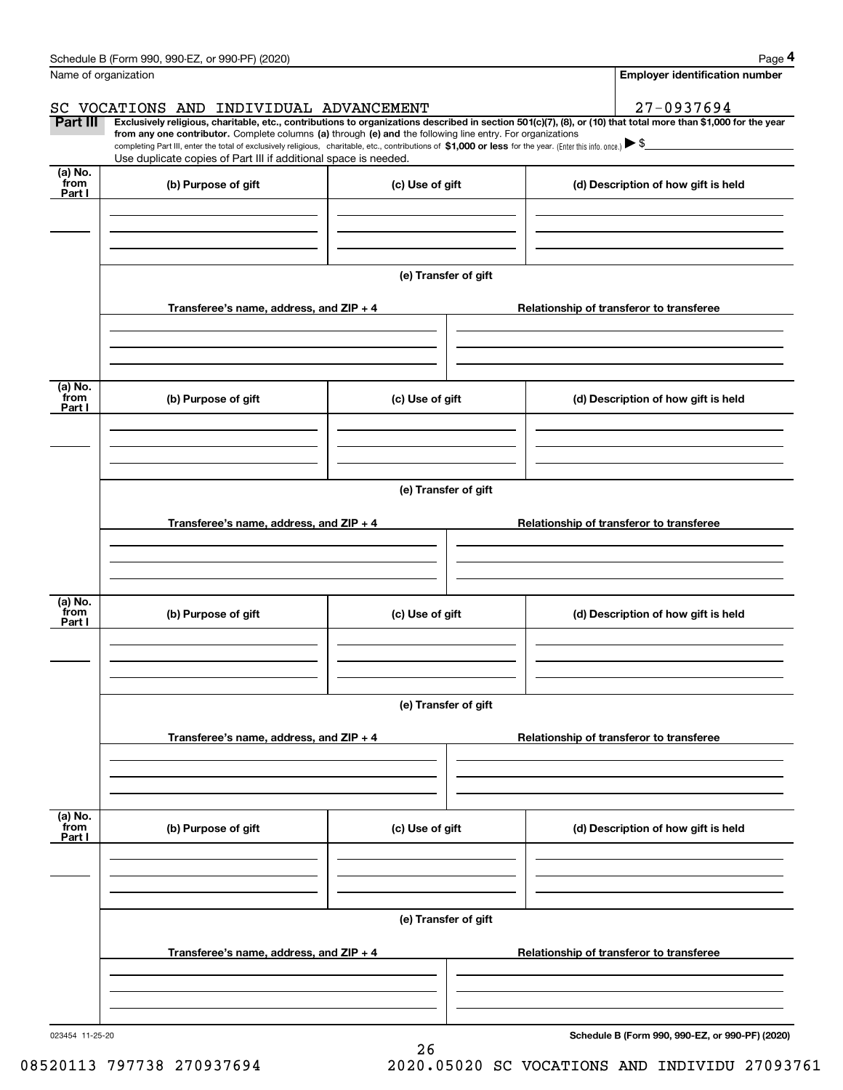| Schedule B (Form 990, 990-EZ, or 990-PF) (2020)                                                                                                                            | Page 4                         |
|----------------------------------------------------------------------------------------------------------------------------------------------------------------------------|--------------------------------|
| Name of organization                                                                                                                                                       | Employer identification number |
|                                                                                                                                                                            |                                |
| SC VOCATIONS AND INDIVIDUAL ADVANCEMENT                                                                                                                                    | 27-0937694                     |
| Part III<br>Exclusively religious, charitable, etc., contributions to organizations described in section 501(c)(7), (8), or (10) that total more than \$1,000 for the year |                                |

completing Part III, enter the total of exclusively religious, charitable, etc., contributions of **\$1,000 or less** for the year. (Enter this info. once.) **Exclusively religious, charitable, etc., contributions to organizations described in section 501(c)(7), (8), or (10) that total more than \$1,000 for the year from any one contributor.** Complete columns (a) through (e) and **\$1,000 or less** Complete columns (a) through (e) and the following line entry. For organizations<br>If of exclusively religious charitable etc. contributions of \$1.000 or less for the year (Enter this info once) Use duplicate copies of Part III if additional space is needed.

| (a) No.<br>from<br>Part I | (b) Purpose of gift                       | (c) Use of gift      | (d) Description of how gift is held             |
|---------------------------|-------------------------------------------|----------------------|-------------------------------------------------|
|                           |                                           |                      |                                                 |
|                           |                                           |                      |                                                 |
|                           |                                           | (e) Transfer of gift |                                                 |
|                           | Transferee's name, address, and $ZIP + 4$ |                      | Relationship of transferor to transferee        |
|                           |                                           |                      |                                                 |
|                           |                                           |                      |                                                 |
| (a) No.<br>from<br>Part I | (b) Purpose of gift                       | (c) Use of gift      | (d) Description of how gift is held             |
|                           |                                           |                      |                                                 |
|                           |                                           |                      |                                                 |
|                           |                                           | (e) Transfer of gift |                                                 |
|                           | Transferee's name, address, and $ZIP + 4$ |                      | Relationship of transferor to transferee        |
|                           |                                           |                      |                                                 |
|                           |                                           |                      |                                                 |
| (a) No.<br>from<br>Part I | (b) Purpose of gift                       | (c) Use of gift      | (d) Description of how gift is held             |
|                           |                                           |                      |                                                 |
|                           |                                           |                      |                                                 |
|                           |                                           | (e) Transfer of gift |                                                 |
|                           | Transferee's name, address, and ZIP + 4   |                      | Relationship of transferor to transferee        |
|                           |                                           |                      |                                                 |
|                           |                                           |                      |                                                 |
| (a) No.<br>from<br>Part I | (b) Purpose of gift                       | (c) Use of gift      | (d) Description of how gift is held             |
|                           |                                           |                      |                                                 |
|                           |                                           |                      |                                                 |
|                           |                                           | (e) Transfer of gift |                                                 |
|                           | Transferee's name, address, and ZIP + 4   |                      | Relationship of transferor to transferee        |
|                           |                                           |                      |                                                 |
|                           |                                           |                      |                                                 |
|                           |                                           |                      | Cahadula B (Farm 000, 000 F7, at 000 BE) (2020) |

26

**Schedule B (Form 990, 990-EZ, or 990-PF) (2020)**

08520113 797738 270937694 2020.05020 SC VOCATIONS AND INDIVIDU 27093761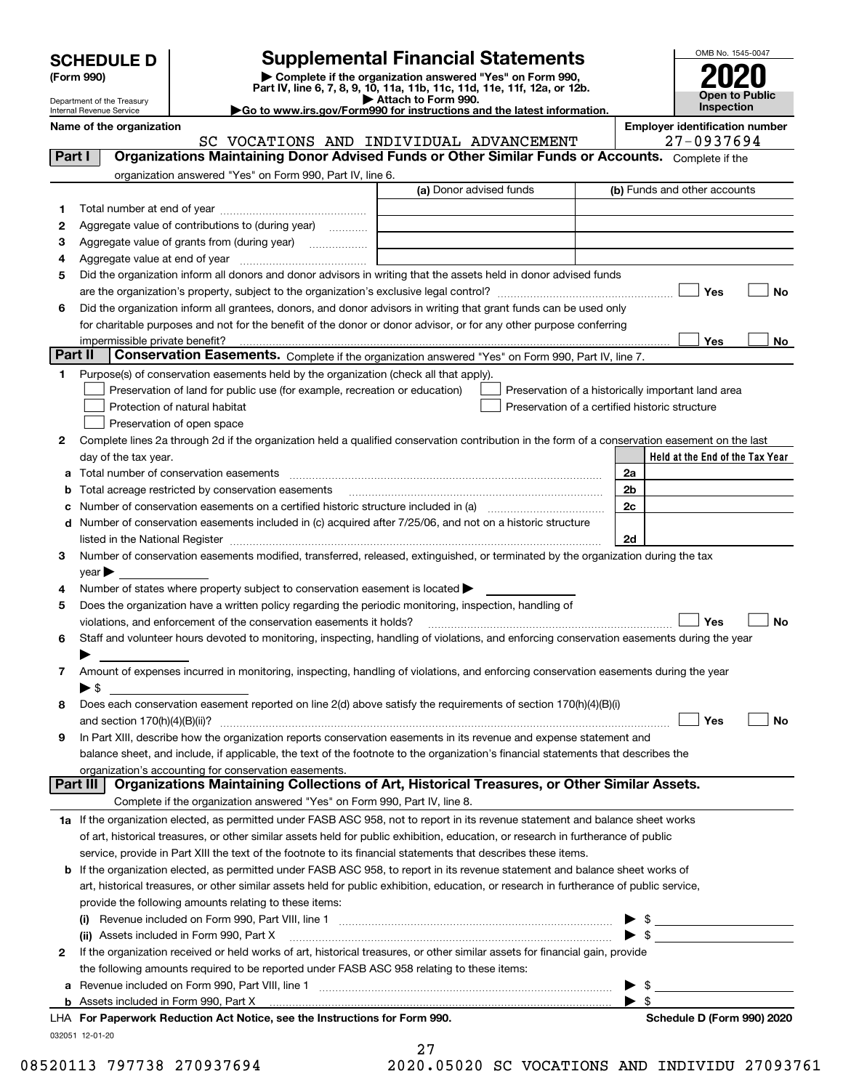| <b>SCHEDULE D</b> |
|-------------------|
|-------------------|

Department of the Treasury Internal Revenue Service

| (Form 990) |  |
|------------|--|
|------------|--|

## **SCHEDULE D Supplemental Financial Statements**

(Form 990)<br>
Pepartment of the Treasury<br>
Department of the Treasury<br>
Department of the Treasury<br>
Department of the Treasury<br> **Co to www.irs.gov/Form990 for instructions and the latest information.**<br> **Co to www.irs.gov/Form9** 

| Go to www.irs.gov/Form990 for instructions and the latest informati |  |  |  |
|---------------------------------------------------------------------|--|--|--|
|                                                                     |  |  |  |



| Name of the organization |  |
|--------------------------|--|
|--------------------------|--|

SC VOCATIONS AND INDIVIDUAL ADVANCEMENT

**Employer identification number**<br> $27 - 0937694$ 

| Part I  | Organizations Maintaining Donor Advised Funds or Other Similar Funds or Accounts. Complete if the                                                                                                                             |                         |                                                    |
|---------|-------------------------------------------------------------------------------------------------------------------------------------------------------------------------------------------------------------------------------|-------------------------|----------------------------------------------------|
|         | organization answered "Yes" on Form 990, Part IV, line 6.                                                                                                                                                                     |                         |                                                    |
|         |                                                                                                                                                                                                                               | (a) Donor advised funds | (b) Funds and other accounts                       |
| 1       |                                                                                                                                                                                                                               |                         |                                                    |
| 2       | Aggregate value of contributions to (during year)                                                                                                                                                                             |                         |                                                    |
| з       | Aggregate value of grants from (during year)                                                                                                                                                                                  |                         |                                                    |
| 4       |                                                                                                                                                                                                                               |                         |                                                    |
| 5       | Did the organization inform all donors and donor advisors in writing that the assets held in donor advised funds                                                                                                              |                         |                                                    |
|         |                                                                                                                                                                                                                               |                         | Yes<br>No                                          |
| 6       | Did the organization inform all grantees, donors, and donor advisors in writing that grant funds can be used only                                                                                                             |                         |                                                    |
|         | for charitable purposes and not for the benefit of the donor or donor advisor, or for any other purpose conferring                                                                                                            |                         |                                                    |
|         | impermissible private benefit?                                                                                                                                                                                                |                         | Yes<br>No                                          |
| Part II | Conservation Easements. Complete if the organization answered "Yes" on Form 990, Part IV, line 7.                                                                                                                             |                         |                                                    |
| 1.      | Purpose(s) of conservation easements held by the organization (check all that apply).                                                                                                                                         |                         |                                                    |
|         | Preservation of land for public use (for example, recreation or education)                                                                                                                                                    |                         | Preservation of a historically important land area |
|         | Protection of natural habitat                                                                                                                                                                                                 |                         | Preservation of a certified historic structure     |
|         | Preservation of open space                                                                                                                                                                                                    |                         |                                                    |
| 2       | Complete lines 2a through 2d if the organization held a qualified conservation contribution in the form of a conservation easement on the last                                                                                |                         |                                                    |
|         | day of the tax year.                                                                                                                                                                                                          |                         | Held at the End of the Tax Year                    |
| a       | Total number of conservation easements                                                                                                                                                                                        |                         | 2a                                                 |
| b       | Total acreage restricted by conservation easements                                                                                                                                                                            |                         | 2 <sub>b</sub>                                     |
| с       |                                                                                                                                                                                                                               |                         | 2c                                                 |
| d       | Number of conservation easements included in (c) acquired after 7/25/06, and not on a historic structure                                                                                                                      |                         |                                                    |
|         | listed in the National Register [111] Marshall Register [11] Marshall Register [11] Marshall Register [11] Marshall Register [11] Marshall Register [11] Marshall Register [11] Marshall Register [11] Marshall Register [11] |                         | 2d                                                 |
| З       | Number of conservation easements modified, transferred, released, extinguished, or terminated by the organization during the tax                                                                                              |                         |                                                    |
|         | year $\blacktriangleright$                                                                                                                                                                                                    |                         |                                                    |
| 4       | Number of states where property subject to conservation easement is located                                                                                                                                                   |                         |                                                    |
| 5       | Does the organization have a written policy regarding the periodic monitoring, inspection, handling of                                                                                                                        |                         |                                                    |
|         | violations, and enforcement of the conservation easements it holds?                                                                                                                                                           |                         | Yes<br>No                                          |
| 6       | Staff and volunteer hours devoted to monitoring, inspecting, handling of violations, and enforcing conservation easements during the year                                                                                     |                         |                                                    |
|         |                                                                                                                                                                                                                               |                         |                                                    |
| 7       | Amount of expenses incurred in monitoring, inspecting, handling of violations, and enforcing conservation easements during the year                                                                                           |                         |                                                    |
|         | ▶ \$                                                                                                                                                                                                                          |                         |                                                    |
| 8       | Does each conservation easement reported on line 2(d) above satisfy the requirements of section 170(h)(4)(B)(i)                                                                                                               |                         |                                                    |
|         | and section $170(h)(4)(B)(ii)?$                                                                                                                                                                                               |                         | Yes<br>No                                          |
| 9       | In Part XIII, describe how the organization reports conservation easements in its revenue and expense statement and                                                                                                           |                         |                                                    |
|         | balance sheet, and include, if applicable, the text of the footnote to the organization's financial statements that describes the                                                                                             |                         |                                                    |
|         | organization's accounting for conservation easements.<br>Organizations Maintaining Collections of Art, Historical Treasures, or Other Similar Assets.<br>Part III                                                             |                         |                                                    |
|         |                                                                                                                                                                                                                               |                         |                                                    |
|         | Complete if the organization answered "Yes" on Form 990, Part IV, line 8.                                                                                                                                                     |                         |                                                    |
|         | 1a If the organization elected, as permitted under FASB ASC 958, not to report in its revenue statement and balance sheet works                                                                                               |                         |                                                    |
|         | of art, historical treasures, or other similar assets held for public exhibition, education, or research in furtherance of public                                                                                             |                         |                                                    |
|         | service, provide in Part XIII the text of the footnote to its financial statements that describes these items.                                                                                                                |                         |                                                    |
| b       | If the organization elected, as permitted under FASB ASC 958, to report in its revenue statement and balance sheet works of                                                                                                   |                         |                                                    |
|         | art, historical treasures, or other similar assets held for public exhibition, education, or research in furtherance of public service,                                                                                       |                         |                                                    |
|         | provide the following amounts relating to these items:                                                                                                                                                                        |                         |                                                    |
|         | $\left( 1\right)$                                                                                                                                                                                                             |                         | $\frac{1}{\sqrt{2}}$<br>\$                         |
|         | (ii) Assets included in Form 990, Part X                                                                                                                                                                                      |                         |                                                    |
| 2       | If the organization received or held works of art, historical treasures, or other similar assets for financial gain, provide                                                                                                  |                         |                                                    |
|         | the following amounts required to be reported under FASB ASC 958 relating to these items:                                                                                                                                     |                         |                                                    |
| а       |                                                                                                                                                                                                                               |                         | $\frac{1}{2}$<br>$\blacktriangleright$ \$          |
|         | LHA For Paperwork Reduction Act Notice, see the Instructions for Form 990.                                                                                                                                                    |                         | Schedule D (Form 990) 2020                         |
|         | 032051 12-01-20                                                                                                                                                                                                               |                         |                                                    |

27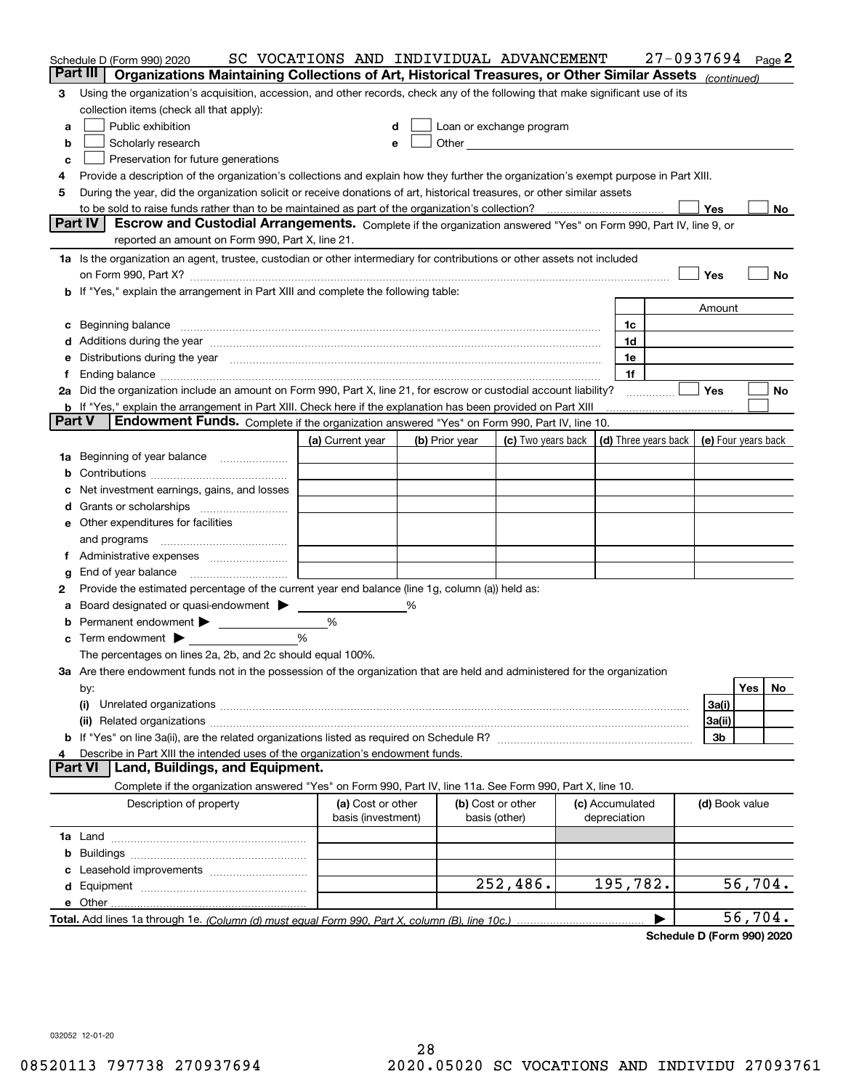|               | Schedule D (Form 990) 2020                                                                                                                                                                                                     | SC VOCATIONS AND INDIVIDUAL ADVANCEMENT |   |                |                                                                                                                                                                                                                                |                                 | $27 - 0937694$ Page 2 |                |         |      |
|---------------|--------------------------------------------------------------------------------------------------------------------------------------------------------------------------------------------------------------------------------|-----------------------------------------|---|----------------|--------------------------------------------------------------------------------------------------------------------------------------------------------------------------------------------------------------------------------|---------------------------------|-----------------------|----------------|---------|------|
|               | Part III<br>Organizations Maintaining Collections of Art, Historical Treasures, or Other Similar Assets (continued)                                                                                                            |                                         |   |                |                                                                                                                                                                                                                                |                                 |                       |                |         |      |
| 3             | Using the organization's acquisition, accession, and other records, check any of the following that make significant use of its                                                                                                |                                         |   |                |                                                                                                                                                                                                                                |                                 |                       |                |         |      |
|               | collection items (check all that apply):                                                                                                                                                                                       |                                         |   |                |                                                                                                                                                                                                                                |                                 |                       |                |         |      |
| а             | Public exhibition                                                                                                                                                                                                              |                                         | d |                | Loan or exchange program                                                                                                                                                                                                       |                                 |                       |                |         |      |
| b             | Scholarly research                                                                                                                                                                                                             |                                         | e |                | Other and the control of the control of the control of the control of the control of the control of the control of the control of the control of the control of the control of the control of the control of the control of th |                                 |                       |                |         |      |
| c             | Preservation for future generations                                                                                                                                                                                            |                                         |   |                |                                                                                                                                                                                                                                |                                 |                       |                |         |      |
| 4             | Provide a description of the organization's collections and explain how they further the organization's exempt purpose in Part XIII.                                                                                           |                                         |   |                |                                                                                                                                                                                                                                |                                 |                       |                |         |      |
| 5             | During the year, did the organization solicit or receive donations of art, historical treasures, or other similar assets                                                                                                       |                                         |   |                |                                                                                                                                                                                                                                |                                 |                       |                |         |      |
|               |                                                                                                                                                                                                                                |                                         |   |                |                                                                                                                                                                                                                                |                                 |                       | Yes            |         | No l |
|               | Part IV<br>Escrow and Custodial Arrangements. Complete if the organization answered "Yes" on Form 990, Part IV, line 9, or                                                                                                     |                                         |   |                |                                                                                                                                                                                                                                |                                 |                       |                |         |      |
|               | reported an amount on Form 990, Part X, line 21.                                                                                                                                                                               |                                         |   |                |                                                                                                                                                                                                                                |                                 |                       |                |         |      |
|               | 1a Is the organization an agent, trustee, custodian or other intermediary for contributions or other assets not included                                                                                                       |                                         |   |                |                                                                                                                                                                                                                                |                                 |                       |                |         |      |
|               |                                                                                                                                                                                                                                |                                         |   |                |                                                                                                                                                                                                                                |                                 |                       | Yes            |         | No   |
|               | <b>b</b> If "Yes," explain the arrangement in Part XIII and complete the following table:                                                                                                                                      |                                         |   |                |                                                                                                                                                                                                                                |                                 |                       |                |         |      |
|               |                                                                                                                                                                                                                                |                                         |   |                |                                                                                                                                                                                                                                |                                 |                       | Amount         |         |      |
|               |                                                                                                                                                                                                                                |                                         |   |                |                                                                                                                                                                                                                                | 1c                              |                       |                |         |      |
|               | c Beginning balance measurements and the contract of the contract of the contract of the contract of the contract of the contract of the contract of the contract of the contract of the contract of the contract of the contr |                                         |   |                |                                                                                                                                                                                                                                | 1d                              |                       |                |         |      |
|               |                                                                                                                                                                                                                                |                                         |   |                |                                                                                                                                                                                                                                | 1e                              |                       |                |         |      |
|               | e Distributions during the year manufactured and an intervention of the year manufactured by the state of the state of the state of the state of the state of the state of the state of the state of the state of the state of |                                         |   |                |                                                                                                                                                                                                                                | 1f                              |                       |                |         |      |
|               | 2a Did the organization include an amount on Form 990, Part X, line 21, for escrow or custodial account liability?                                                                                                             |                                         |   |                |                                                                                                                                                                                                                                |                                 |                       | <b>Yes</b>     |         | No   |
|               |                                                                                                                                                                                                                                |                                         |   |                |                                                                                                                                                                                                                                |                                 |                       |                |         |      |
| <b>Part V</b> | <b>b</b> If "Yes," explain the arrangement in Part XIII. Check here if the explanation has been provided on Part XIII<br>Endowment Funds. Complete if the organization answered "Yes" on Form 990, Part IV, line 10.           |                                         |   |                |                                                                                                                                                                                                                                |                                 |                       |                |         |      |
|               |                                                                                                                                                                                                                                |                                         |   |                |                                                                                                                                                                                                                                |                                 |                       |                |         |      |
|               |                                                                                                                                                                                                                                | (a) Current year                        |   | (b) Prior year | (c) Two years back $\vert$ (d) Three years back $\vert$ (e) Four years back                                                                                                                                                    |                                 |                       |                |         |      |
|               | 1a Beginning of year balance                                                                                                                                                                                                   |                                         |   |                |                                                                                                                                                                                                                                |                                 |                       |                |         |      |
| b             |                                                                                                                                                                                                                                |                                         |   |                |                                                                                                                                                                                                                                |                                 |                       |                |         |      |
| c             | Net investment earnings, gains, and losses                                                                                                                                                                                     |                                         |   |                |                                                                                                                                                                                                                                |                                 |                       |                |         |      |
|               |                                                                                                                                                                                                                                |                                         |   |                |                                                                                                                                                                                                                                |                                 |                       |                |         |      |
|               | <b>e</b> Other expenditures for facilities                                                                                                                                                                                     |                                         |   |                |                                                                                                                                                                                                                                |                                 |                       |                |         |      |
|               |                                                                                                                                                                                                                                |                                         |   |                |                                                                                                                                                                                                                                |                                 |                       |                |         |      |
|               |                                                                                                                                                                                                                                |                                         |   |                |                                                                                                                                                                                                                                |                                 |                       |                |         |      |
| g             | End of year balance                                                                                                                                                                                                            |                                         |   |                |                                                                                                                                                                                                                                |                                 |                       |                |         |      |
| 2             | Provide the estimated percentage of the current year end balance (line 1g, column (a)) held as:                                                                                                                                |                                         |   |                |                                                                                                                                                                                                                                |                                 |                       |                |         |      |
| а             | Board designated or quasi-endowment > _____                                                                                                                                                                                    |                                         | ℅ |                |                                                                                                                                                                                                                                |                                 |                       |                |         |      |
|               | <b>b</b> Permanent endowment <b>D</b>                                                                                                                                                                                          | %                                       |   |                |                                                                                                                                                                                                                                |                                 |                       |                |         |      |
|               | $\mathbf c$ Term endowment $\blacktriangleright$                                                                                                                                                                               | $\frac{9}{6}$                           |   |                |                                                                                                                                                                                                                                |                                 |                       |                |         |      |
|               | The percentages on lines 2a, 2b, and 2c should equal 100%.                                                                                                                                                                     |                                         |   |                |                                                                                                                                                                                                                                |                                 |                       |                |         |      |
|               | 3a Are there endowment funds not in the possession of the organization that are held and administered for the organization                                                                                                     |                                         |   |                |                                                                                                                                                                                                                                |                                 |                       |                |         |      |
|               | by:                                                                                                                                                                                                                            |                                         |   |                |                                                                                                                                                                                                                                |                                 |                       |                | Yes     | No   |
|               | (i)                                                                                                                                                                                                                            |                                         |   |                |                                                                                                                                                                                                                                |                                 |                       | 3a(i)          |         |      |
|               |                                                                                                                                                                                                                                |                                         |   |                |                                                                                                                                                                                                                                |                                 |                       | 3a(ii)         |         |      |
|               |                                                                                                                                                                                                                                |                                         |   |                |                                                                                                                                                                                                                                |                                 |                       | 3b             |         |      |
| 4             | Describe in Part XIII the intended uses of the organization's endowment funds.                                                                                                                                                 |                                         |   |                |                                                                                                                                                                                                                                |                                 |                       |                |         |      |
|               | Land, Buildings, and Equipment.<br><b>Part VI</b>                                                                                                                                                                              |                                         |   |                |                                                                                                                                                                                                                                |                                 |                       |                |         |      |
|               | Complete if the organization answered "Yes" on Form 990, Part IV, line 11a. See Form 990, Part X, line 10.                                                                                                                     |                                         |   |                |                                                                                                                                                                                                                                |                                 |                       |                |         |      |
|               | Description of property                                                                                                                                                                                                        | (a) Cost or other<br>basis (investment) |   |                | (b) Cost or other<br>basis (other)                                                                                                                                                                                             | (c) Accumulated<br>depreciation |                       | (d) Book value |         |      |
|               |                                                                                                                                                                                                                                |                                         |   |                |                                                                                                                                                                                                                                |                                 |                       |                |         |      |
|               |                                                                                                                                                                                                                                |                                         |   |                |                                                                                                                                                                                                                                |                                 |                       |                |         |      |
|               |                                                                                                                                                                                                                                |                                         |   |                |                                                                                                                                                                                                                                |                                 |                       |                |         |      |
|               |                                                                                                                                                                                                                                |                                         |   |                | 252,486.                                                                                                                                                                                                                       | 195,782.                        |                       |                | 56,704. |      |
|               |                                                                                                                                                                                                                                |                                         |   |                |                                                                                                                                                                                                                                |                                 |                       |                |         |      |
|               |                                                                                                                                                                                                                                |                                         |   |                |                                                                                                                                                                                                                                |                                 | ▶                     |                | 56,704. |      |
|               |                                                                                                                                                                                                                                |                                         |   |                |                                                                                                                                                                                                                                |                                 |                       |                |         |      |

**Schedule D (Form 990) 2020**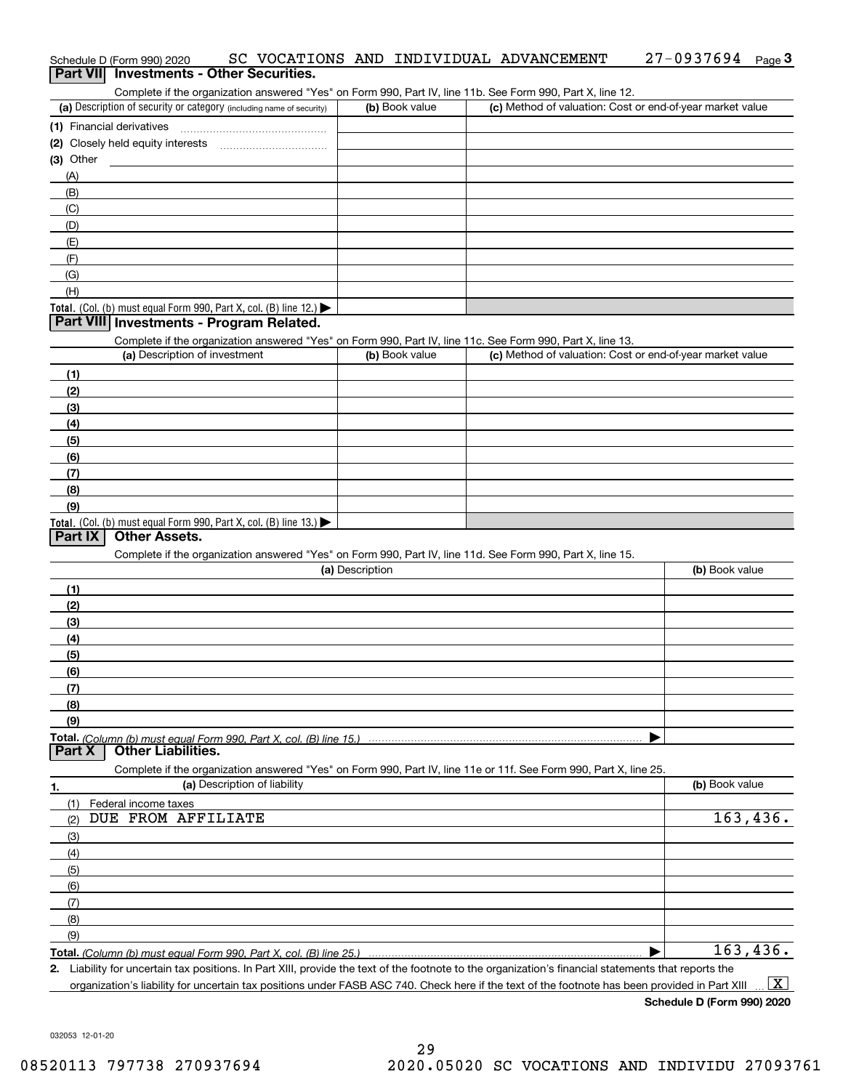### Schedule D (Form 990) 2020 SC VOCATIONS AND INDIVIDUAL ADVANCEMENT 27-0 9 3 7 6 9 4 <sub>Page</sub> 3<br>| **Part VII** | Investments - Other Securities. 27-0937694 Page 3

Complete if the organization answered "Yes" on Form 990, Part IV, line 11b. See Form 990, Part X, line 12.

| (a) Description of security or category (including name of security)                   | (b) Book value | (c) Method of valuation: Cost or end-of-year market value |
|----------------------------------------------------------------------------------------|----------------|-----------------------------------------------------------|
| (1) Financial derivatives                                                              |                |                                                           |
| (2) Closely held equity interests                                                      |                |                                                           |
| $(3)$ Other                                                                            |                |                                                           |
| (A)                                                                                    |                |                                                           |
| (B)                                                                                    |                |                                                           |
| (C)                                                                                    |                |                                                           |
| (D)                                                                                    |                |                                                           |
| (E)                                                                                    |                |                                                           |
| (F)                                                                                    |                |                                                           |
| (G)                                                                                    |                |                                                           |
| (H)                                                                                    |                |                                                           |
| Total. (Col. (b) must equal Form 990, Part X, col. (B) line 12.) $\blacktriangleright$ |                |                                                           |

#### **Part VIII Investments - Program Related.**

Complete if the organization answered "Yes" on Form 990, Part IV, line 11c. See Form 990, Part X, line 13.

| (a) Description of investment                                                          | (b) Book value | (c) Method of valuation: Cost or end-of-year market value |
|----------------------------------------------------------------------------------------|----------------|-----------------------------------------------------------|
| (1)                                                                                    |                |                                                           |
| (2)                                                                                    |                |                                                           |
| $\frac{1}{2}$                                                                          |                |                                                           |
| (4)                                                                                    |                |                                                           |
| (5)                                                                                    |                |                                                           |
| (6)                                                                                    |                |                                                           |
| (7)                                                                                    |                |                                                           |
| (8)                                                                                    |                |                                                           |
| (9)                                                                                    |                |                                                           |
| Total. (Col. (b) must equal Form 990, Part X, col. (B) line 13.) $\blacktriangleright$ |                |                                                           |

#### **Part IX Other Assets.**

Complete if the organization answered "Yes" on Form 990, Part IV, line 11d. See Form 990, Part X, line 15.

| (a) Description | (b) Book value |
|-----------------|----------------|
| (1)             |                |
| (2)             |                |
| (3)             |                |
| (4)             |                |
| (5)             |                |
| (6)             |                |
|                 |                |
| (8)             |                |
| (9)             |                |
|                 |                |
|                 |                |

**Part X Other Liabilities.**

Complete if the organization answered "Yes" on Form 990, Part IV, line 11e or 11f. See Form 990, Part X, line 25.

| 1.                  | (a) Description of liability | (b) Book value |
|---------------------|------------------------------|----------------|
|                     | (1) Federal income taxes     |                |
| (2)                 | DUE FROM AFFILIATE           | 163,436.       |
| $\qquad \qquad (3)$ |                              |                |
| (4)                 |                              |                |
| (5)                 |                              |                |
| (6)                 |                              |                |
| (7)                 |                              |                |
| (8)                 |                              |                |
| (9)                 |                              |                |
|                     |                              | 163,436.       |

**2.**Liability for uncertain tax positions. In Part XIII, provide the text of the footnote to the organization's financial statements that reports the

organization's liability for uncertain tax positions under FASB ASC 740. Check here if the text of the footnote has been provided in Part XIII  $\boxed{\text{X}}$ 

**Schedule D (Form 990) 2020**

032053 12-01-20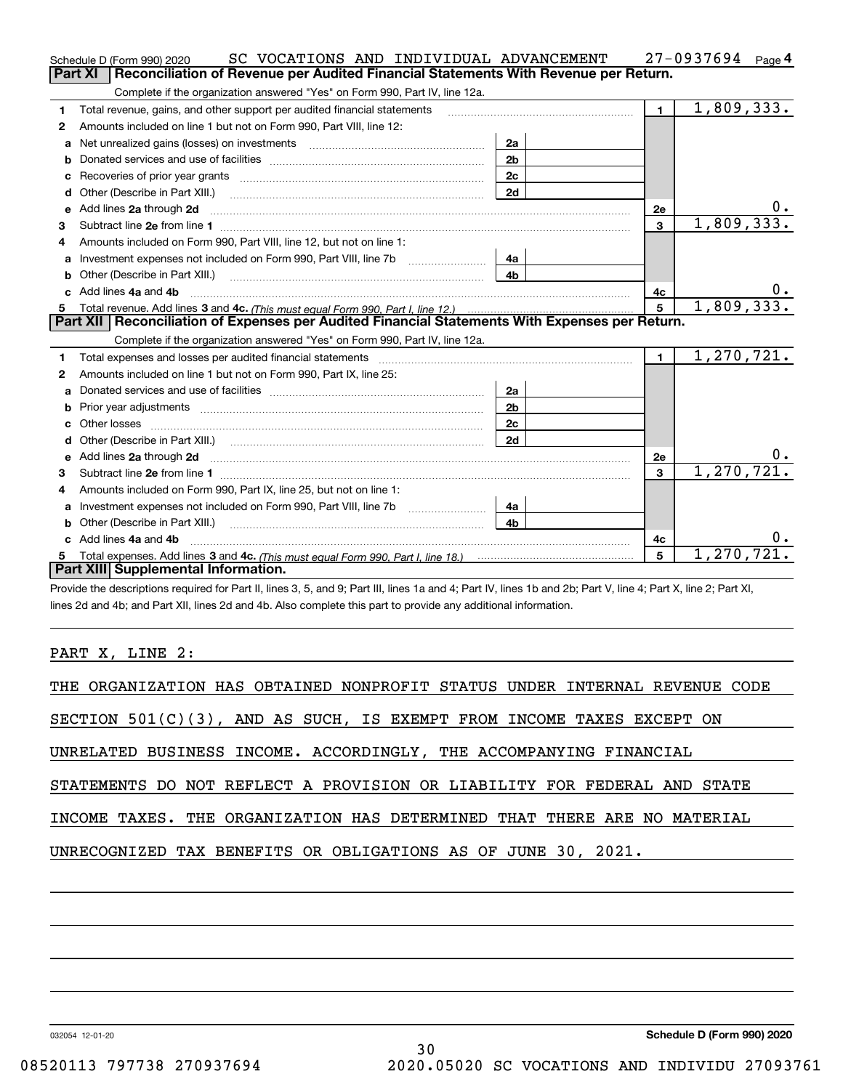|    | SC VOCATIONS AND INDIVIDUAL ADVANCEMENT<br>Schedule D (Form 990) 2020                                                                                                                                                               |                |              | 27-0937694<br>Page 4 |
|----|-------------------------------------------------------------------------------------------------------------------------------------------------------------------------------------------------------------------------------------|----------------|--------------|----------------------|
|    | Reconciliation of Revenue per Audited Financial Statements With Revenue per Return.<br><b>Part XI</b>                                                                                                                               |                |              |                      |
|    | Complete if the organization answered "Yes" on Form 990, Part IV, line 12a.                                                                                                                                                         |                |              |                      |
| 1  | Total revenue, gains, and other support per audited financial statements                                                                                                                                                            |                | $\mathbf{1}$ | 1,809,333.           |
| 2  | Amounts included on line 1 but not on Form 990, Part VIII, line 12:                                                                                                                                                                 |                |              |                      |
| a  |                                                                                                                                                                                                                                     | 2a             |              |                      |
|    |                                                                                                                                                                                                                                     | 2 <sub>b</sub> |              |                      |
|    |                                                                                                                                                                                                                                     | 2c             |              |                      |
| d  | Other (Describe in Part XIII.) <b>Construction Contract Construction</b> Chemical Construction Chemical Chemical Chemical Chemical Chemical Chemical Chemical Chemical Chemical Chemical Chemical Chemical Chemical Chemical Chemic | 2d             |              |                      |
| е  | Add lines 2a through 2d                                                                                                                                                                                                             |                | 2e           |                      |
| з  |                                                                                                                                                                                                                                     |                | $\mathbf{3}$ | 1,809,333.           |
| 4  | Amounts included on Form 990, Part VIII, line 12, but not on line 1:                                                                                                                                                                |                |              |                      |
|    | Investment expenses not included on Form 990, Part VIII, line 7b [1000000000000000000000000000000000                                                                                                                                | 4a             |              |                      |
| b  |                                                                                                                                                                                                                                     | 4 <sub>b</sub> |              |                      |
| c. | Add lines 4a and 4b                                                                                                                                                                                                                 |                | 4с           |                      |
|    |                                                                                                                                                                                                                                     |                | 5            |                      |
|    |                                                                                                                                                                                                                                     |                |              | 1,809,333.           |
|    | Part XII   Reconciliation of Expenses per Audited Financial Statements With Expenses per Return.                                                                                                                                    |                |              |                      |
|    | Complete if the organization answered "Yes" on Form 990, Part IV, line 12a.                                                                                                                                                         |                |              |                      |
| 1  | Total expenses and losses per audited financial statements [11, 11] manuscription control expenses and losses per audited financial statements [11] manuscription of the statements [11] manuscription of the statements and s      |                | $\mathbf{1}$ | 1,270,721.           |
| 2  | Amounts included on line 1 but not on Form 990, Part IX, line 25:                                                                                                                                                                   |                |              |                      |
| a  |                                                                                                                                                                                                                                     | 2a             |              |                      |
| b  |                                                                                                                                                                                                                                     | 2 <sub>b</sub> |              |                      |
|    |                                                                                                                                                                                                                                     | 2c             |              |                      |
| d  | Other (Describe in Part XIII.) (2000) (2000) (2000) (2010) (2010) (2010) (2010) (2010) (2010) (2010) (2010) (20                                                                                                                     | 2d             |              |                      |
| е  | Add lines 2a through 2d <b>contained a contained a contained a contained a</b> contained a contained a contained a contained a contained a contained a contained a contained a contained a contained a contained a contained a cont |                | 2e           | 0.                   |
| 3  |                                                                                                                                                                                                                                     |                | $\mathbf{3}$ | 1, 270, 721.         |
| 4  | Amounts included on Form 990, Part IX, line 25, but not on line 1:                                                                                                                                                                  |                |              |                      |
| a  | Investment expenses not included on Form 990, Part VIII, line 7b                                                                                                                                                                    | 4a             |              |                      |
|    | <b>b</b> Other (Describe in Part XIII.)                                                                                                                                                                                             | 4b             |              |                      |
| c. | Add lines 4a and 4b                                                                                                                                                                                                                 |                | 4с           | 0.                   |
|    | Part XIII Supplemental Information.                                                                                                                                                                                                 |                | 5            | 1,270,721.           |

Provide the descriptions required for Part II, lines 3, 5, and 9; Part III, lines 1a and 4; Part IV, lines 1b and 2b; Part V, line 4; Part X, line 2; Part XI, lines 2d and 4b; and Part XII, lines 2d and 4b. Also complete this part to provide any additional information.

### PART X, LINE 2:

| SECTION $501(C)(3)$ , AND AS SUCH, IS EXEMPT FROM INCOME TAXES EXCEPT ON |
|--------------------------------------------------------------------------|
| UNRELATED BUSINESS INCOME. ACCORDINGLY, THE ACCOMPANYING FINANCIAL       |
| STATEMENTS DO NOT REFLECT A PROVISION OR LIABILITY FOR FEDERAL AND STATE |
| INCOME TAXES. THE ORGANIZATION HAS DETERMINED THAT THERE ARE NO MATERIAL |
| UNRECOGNIZED TAX BENEFITS OR OBLIGATIONS AS OF JUNE 30, 2021.            |
|                                                                          |

032054 12-01-20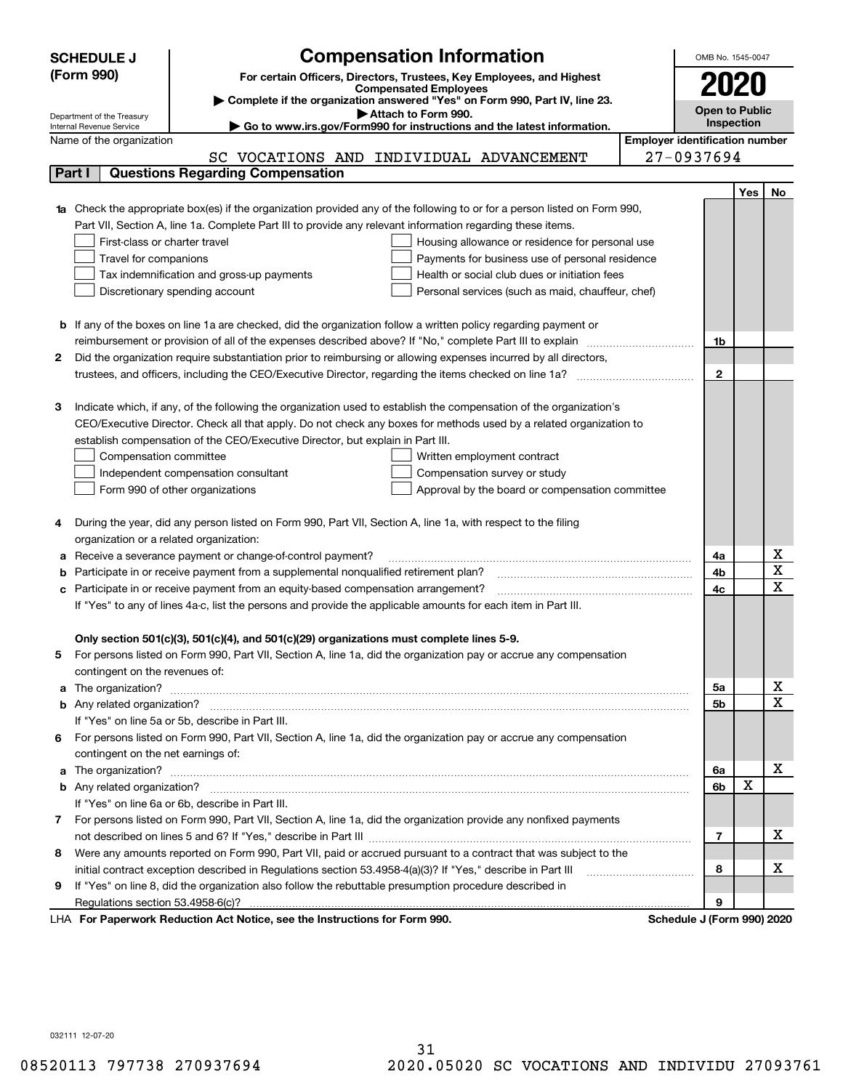|        | <b>Compensation Information</b><br><b>SCHEDULE J</b>                                                                                                    | OMB No. 1545-0047     |                   |                         |  |  |
|--------|---------------------------------------------------------------------------------------------------------------------------------------------------------|-----------------------|-------------------|-------------------------|--|--|
|        | (Form 990)<br>For certain Officers, Directors, Trustees, Key Employees, and Highest                                                                     |                       |                   |                         |  |  |
|        | <b>Compensated Employees</b>                                                                                                                            | 2020                  |                   |                         |  |  |
|        | Complete if the organization answered "Yes" on Form 990, Part IV, line 23.                                                                              | <b>Open to Public</b> |                   |                         |  |  |
|        | Attach to Form 990.<br>Department of the Treasury<br>Go to www.irs.gov/Form990 for instructions and the latest information.<br>Internal Revenue Service |                       | <b>Inspection</b> |                         |  |  |
|        | <b>Employer identification number</b><br>Name of the organization                                                                                       |                       |                   |                         |  |  |
|        | SC VOCATIONS AND INDIVIDUAL ADVANCEMENT                                                                                                                 | 27-0937694            |                   |                         |  |  |
| Part I | <b>Questions Regarding Compensation</b>                                                                                                                 |                       |                   |                         |  |  |
|        |                                                                                                                                                         |                       | Yes               | No                      |  |  |
|        | <b>1a</b> Check the appropriate box(es) if the organization provided any of the following to or for a person listed on Form 990,                        |                       |                   |                         |  |  |
|        | Part VII, Section A, line 1a. Complete Part III to provide any relevant information regarding these items.                                              |                       |                   |                         |  |  |
|        | First-class or charter travel<br>Housing allowance or residence for personal use                                                                        |                       |                   |                         |  |  |
|        | Payments for business use of personal residence<br>Travel for companions                                                                                |                       |                   |                         |  |  |
|        | Tax indemnification and gross-up payments<br>Health or social club dues or initiation fees                                                              |                       |                   |                         |  |  |
|        | Discretionary spending account<br>Personal services (such as maid, chauffeur, chef)                                                                     |                       |                   |                         |  |  |
|        |                                                                                                                                                         |                       |                   |                         |  |  |
|        | <b>b</b> If any of the boxes on line 1a are checked, did the organization follow a written policy regarding payment or                                  |                       |                   |                         |  |  |
|        | reimbursement or provision of all of the expenses described above? If "No," complete Part III to explain                                                | 1b                    |                   |                         |  |  |
| 2      | Did the organization require substantiation prior to reimbursing or allowing expenses incurred by all directors,                                        |                       |                   |                         |  |  |
|        |                                                                                                                                                         | $\mathbf{2}$          |                   |                         |  |  |
|        |                                                                                                                                                         |                       |                   |                         |  |  |
| З      | Indicate which, if any, of the following the organization used to establish the compensation of the organization's                                      |                       |                   |                         |  |  |
|        | CEO/Executive Director. Check all that apply. Do not check any boxes for methods used by a related organization to                                      |                       |                   |                         |  |  |
|        | establish compensation of the CEO/Executive Director, but explain in Part III.                                                                          |                       |                   |                         |  |  |
|        | Compensation committee<br>Written employment contract                                                                                                   |                       |                   |                         |  |  |
|        | Compensation survey or study<br>Independent compensation consultant                                                                                     |                       |                   |                         |  |  |
|        | Form 990 of other organizations<br>Approval by the board or compensation committee                                                                      |                       |                   |                         |  |  |
|        |                                                                                                                                                         |                       |                   |                         |  |  |
|        | During the year, did any person listed on Form 990, Part VII, Section A, line 1a, with respect to the filing                                            |                       |                   |                         |  |  |
|        | organization or a related organization:                                                                                                                 |                       |                   |                         |  |  |
| а      | Receive a severance payment or change-of-control payment?                                                                                               | 4a                    |                   | х                       |  |  |
| b      | Participate in or receive payment from a supplemental nonqualified retirement plan?                                                                     | 4b                    |                   | $\overline{\texttt{x}}$ |  |  |
| с      | Participate in or receive payment from an equity-based compensation arrangement?                                                                        | 4c                    |                   | $\overline{\text{x}}$   |  |  |
|        | If "Yes" to any of lines 4a-c, list the persons and provide the applicable amounts for each item in Part III.                                           |                       |                   |                         |  |  |
|        |                                                                                                                                                         |                       |                   |                         |  |  |
|        | Only section 501(c)(3), 501(c)(4), and 501(c)(29) organizations must complete lines 5-9.                                                                |                       |                   |                         |  |  |
|        | For persons listed on Form 990, Part VII, Section A, line 1a, did the organization pay or accrue any compensation                                       |                       |                   |                         |  |  |
|        | contingent on the revenues of:                                                                                                                          |                       |                   |                         |  |  |
| a      |                                                                                                                                                         | 5а                    |                   | x                       |  |  |
|        |                                                                                                                                                         | <b>5b</b>             |                   | $\overline{\text{x}}$   |  |  |
|        | If "Yes" on line 5a or 5b, describe in Part III.                                                                                                        |                       |                   |                         |  |  |
| 6.     | For persons listed on Form 990, Part VII, Section A, line 1a, did the organization pay or accrue any compensation                                       |                       |                   |                         |  |  |
|        | contingent on the net earnings of:                                                                                                                      |                       |                   |                         |  |  |
| a      |                                                                                                                                                         | 6a                    |                   | x                       |  |  |
|        |                                                                                                                                                         | 6b                    | X                 |                         |  |  |
|        | If "Yes" on line 6a or 6b, describe in Part III.                                                                                                        |                       |                   |                         |  |  |
|        | 7 For persons listed on Form 990, Part VII, Section A, line 1a, did the organization provide any nonfixed payments                                      |                       |                   |                         |  |  |
|        |                                                                                                                                                         | 7                     |                   | х                       |  |  |
| 8      | Were any amounts reported on Form 990, Part VII, paid or accrued pursuant to a contract that was subject to the                                         |                       |                   |                         |  |  |
|        | initial contract exception described in Regulations section 53.4958-4(a)(3)? If "Yes," describe in Part III                                             | 8                     |                   | х                       |  |  |
| 9      | If "Yes" on line 8, did the organization also follow the rebuttable presumption procedure described in                                                  |                       |                   |                         |  |  |
|        | <b>Departments Reduction Act Notice, see the Instructions for Form 000</b><br>Schodule I (Form 000) 2020                                                | 9                     |                   |                         |  |  |

LHA For Paperwork Reduction Act Notice, see the Instructions for Form 990. Schedule J (Form 990) 2020

032111 12-07-20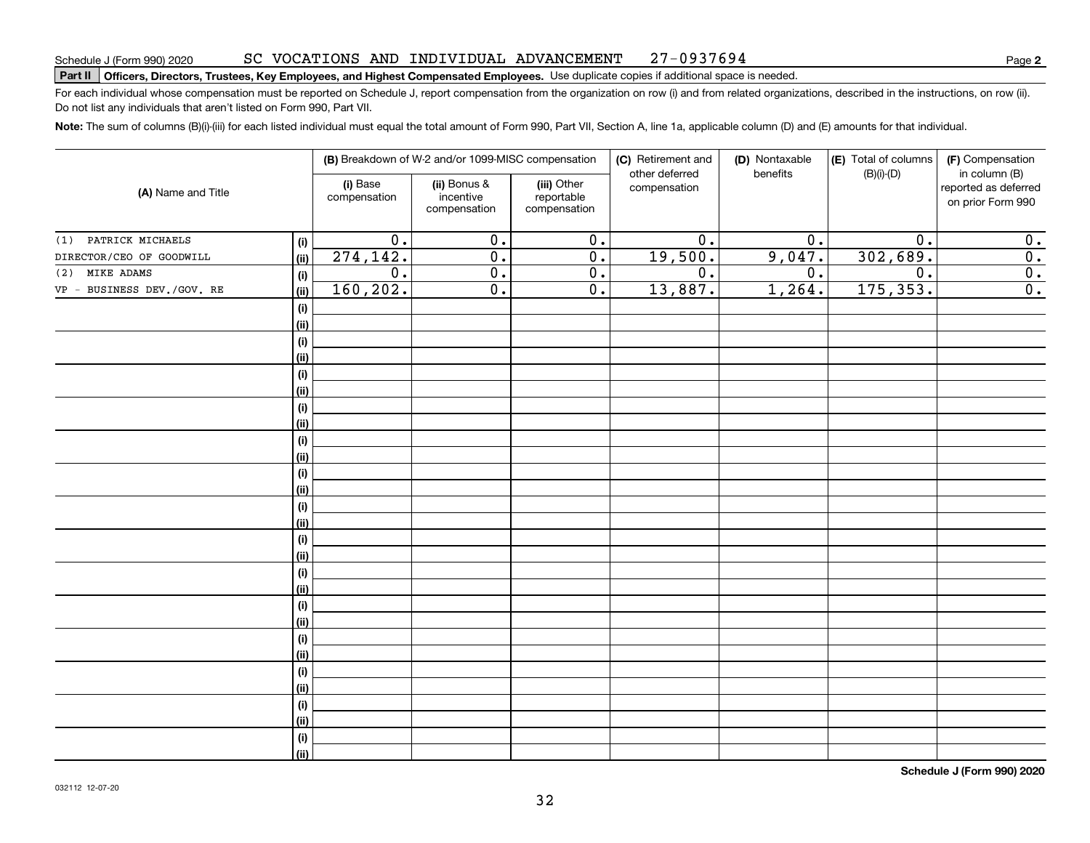#### SC VOCATIONS AND INDIVIDUAL ADVANCEMENT 27-0937694

# **Part II Officers, Directors, Trustees, Key Employees, and Highest Compensated Employees.**  Schedule J (Form 990) 2020 Page Use duplicate copies if additional space is needed.

For each individual whose compensation must be reported on Schedule J, report compensation from the organization on row (i) and from related organizations, described in the instructions, on row (ii). Do not list any individuals that aren't listed on Form 990, Part VII.

**Note:**  The sum of columns (B)(i)-(iii) for each listed individual must equal the total amount of Form 990, Part VII, Section A, line 1a, applicable column (D) and (E) amounts for that individual.

|                            |                                      |                          | (B) Breakdown of W-2 and/or 1099-MISC compensation |                                           | (C) Retirement and             | (D) Nontaxable   | (E) Total of columns | (F) Compensation                                           |
|----------------------------|--------------------------------------|--------------------------|----------------------------------------------------|-------------------------------------------|--------------------------------|------------------|----------------------|------------------------------------------------------------|
| (A) Name and Title         |                                      | (i) Base<br>compensation | (ii) Bonus &<br>incentive<br>compensation          | (iii) Other<br>reportable<br>compensation | other deferred<br>compensation | benefits         | $(B)(i)-(D)$         | in column (B)<br>reported as deferred<br>on prior Form 990 |
| PATRICK MICHAELS<br>(1)    | (i)                                  | $\overline{0}$ .         | $\overline{0}$ .                                   | $\overline{0}$ .                          | $\overline{0}$ .               | $\overline{0}$ . | $\overline{0}$ .     | $\mathbf 0$ .                                              |
| DIRECTOR/CEO OF GOODWILL   | (ii)                                 | 274, 142.                | $\overline{0}$ .                                   | $\overline{0}$ .                          | 19,500.                        | 9,047.           | 302,689.             | $\overline{\mathbf{0}}$ .                                  |
| MIKE ADAMS<br>(2)          | (i)                                  | $\overline{0}$ .         | $\overline{0}$ .                                   | $\overline{0}$ .                          | $\overline{\mathbf{0}}$ .      | $\overline{0}$ . | $\overline{0}$ .     | $\overline{\mathbf{0}}$ .                                  |
| VP - BUSINESS DEV./GOV. RE | (ii)                                 | 160, 202.                | $\overline{0}$ .                                   | $\overline{0}$ .                          | 13,887.                        | 1,264.           | 175, 353.            | $\overline{0}$ .                                           |
|                            | $\qquad \qquad \textbf{(i)}$         |                          |                                                    |                                           |                                |                  |                      |                                                            |
|                            | (ii)                                 |                          |                                                    |                                           |                                |                  |                      |                                                            |
|                            | $\qquad \qquad \textbf{(i)}$         |                          |                                                    |                                           |                                |                  |                      |                                                            |
|                            | (ii)                                 |                          |                                                    |                                           |                                |                  |                      |                                                            |
|                            | $(\sf{i})$                           |                          |                                                    |                                           |                                |                  |                      |                                                            |
|                            | (ii)                                 |                          |                                                    |                                           |                                |                  |                      |                                                            |
|                            | $(\sf{i})$                           |                          |                                                    |                                           |                                |                  |                      |                                                            |
|                            | (ii)                                 |                          |                                                    |                                           |                                |                  |                      |                                                            |
|                            | $(\sf{i})$                           |                          |                                                    |                                           |                                |                  |                      |                                                            |
|                            | (ii)                                 |                          |                                                    |                                           |                                |                  |                      |                                                            |
|                            | $\qquad \qquad \textbf{(i)}$         |                          |                                                    |                                           |                                |                  |                      |                                                            |
|                            | (ii)                                 |                          |                                                    |                                           |                                |                  |                      |                                                            |
|                            | $\qquad \qquad \textbf{(i)}$         |                          |                                                    |                                           |                                |                  |                      |                                                            |
|                            | (ii)                                 |                          |                                                    |                                           |                                |                  |                      |                                                            |
|                            | $\qquad \qquad \textbf{(i)}$<br>(ii) |                          |                                                    |                                           |                                |                  |                      |                                                            |
|                            | $\qquad \qquad \textbf{(i)}$         |                          |                                                    |                                           |                                |                  |                      |                                                            |
|                            | (ii)                                 |                          |                                                    |                                           |                                |                  |                      |                                                            |
|                            | $\qquad \qquad \textbf{(i)}$         |                          |                                                    |                                           |                                |                  |                      |                                                            |
|                            | (ii)                                 |                          |                                                    |                                           |                                |                  |                      |                                                            |
|                            | $\qquad \qquad \textbf{(i)}$         |                          |                                                    |                                           |                                |                  |                      |                                                            |
|                            | (ii)                                 |                          |                                                    |                                           |                                |                  |                      |                                                            |
|                            | $\qquad \qquad \textbf{(i)}$         |                          |                                                    |                                           |                                |                  |                      |                                                            |
|                            | (ii)                                 |                          |                                                    |                                           |                                |                  |                      |                                                            |
|                            | $(\sf{i})$                           |                          |                                                    |                                           |                                |                  |                      |                                                            |
|                            | (ii)                                 |                          |                                                    |                                           |                                |                  |                      |                                                            |
|                            | (i)                                  |                          |                                                    |                                           |                                |                  |                      |                                                            |
|                            | (ii)                                 |                          |                                                    |                                           |                                |                  |                      |                                                            |

**Schedule J (Form 990) 2020**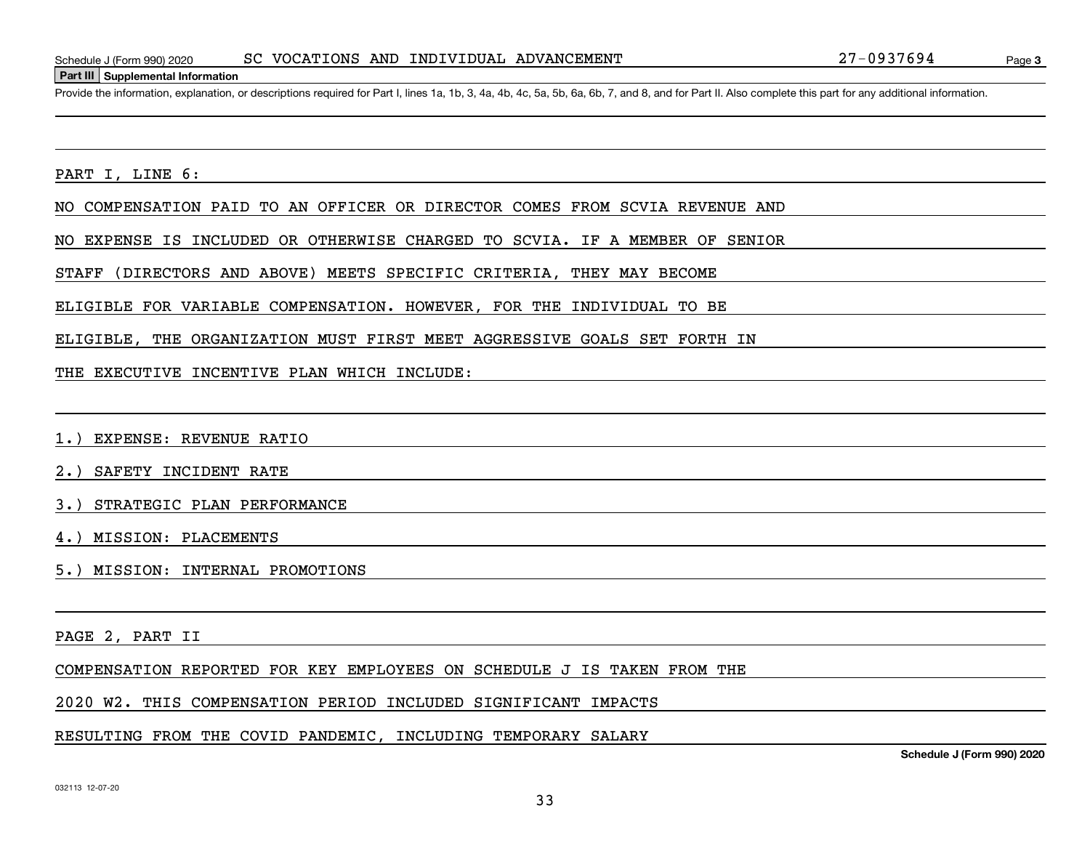#### **Part III Supplemental Information**

Schedule J (Form 990) 2020 SC VOCATIONS AND INDIVIDUAL ADVANCEMENT 27-0937694<br>Part III Supplemental Information<br>Provide the information, explanation, or descriptions required for Part I, lines 1a, 1b, 3, 4a, 4b, 4c, 5a, 5b

PART I, LINE 6:

NO COMPENSATION PAID TO AN OFFICER OR DIRECTOR COMES FROM SCVIA REVENUE AND

NO EXPENSE IS INCLUDED OR OTHERWISE CHARGED TO SCVIA. IF A MEMBER OF SENIOR

STAFF (DIRECTORS AND ABOVE) MEETS SPECIFIC CRITERIA, THEY MAY BECOME

ELIGIBLE FOR VARIABLE COMPENSATION. HOWEVER, FOR THE INDIVIDUAL TO BE

ELIGIBLE, THE ORGANIZATION MUST FIRST MEET AGGRESSIVE GOALS SET FORTH IN

THE EXECUTIVE INCENTIVE PLAN WHICH INCLUDE:

1.) EXPENSE: REVENUE RATIO

2.) SAFETY INCIDENT RATE

3.) STRATEGIC PLAN PERFORMANCE

4.) MISSION: PLACEMENTS

5.) MISSION: INTERNAL PROMOTIONS

PAGE 2, PART II

COMPENSATION REPORTED FOR KEY EMPLOYEES ON SCHEDULE J IS TAKEN FROM THE

2020 W2. THIS COMPENSATION PERIOD INCLUDED SIGNIFICANT IMPACTS

#### RESULTING FROM THE COVID PANDEMIC, INCLUDING TEMPORARY SALARY

**Schedule J (Form 990) 2020**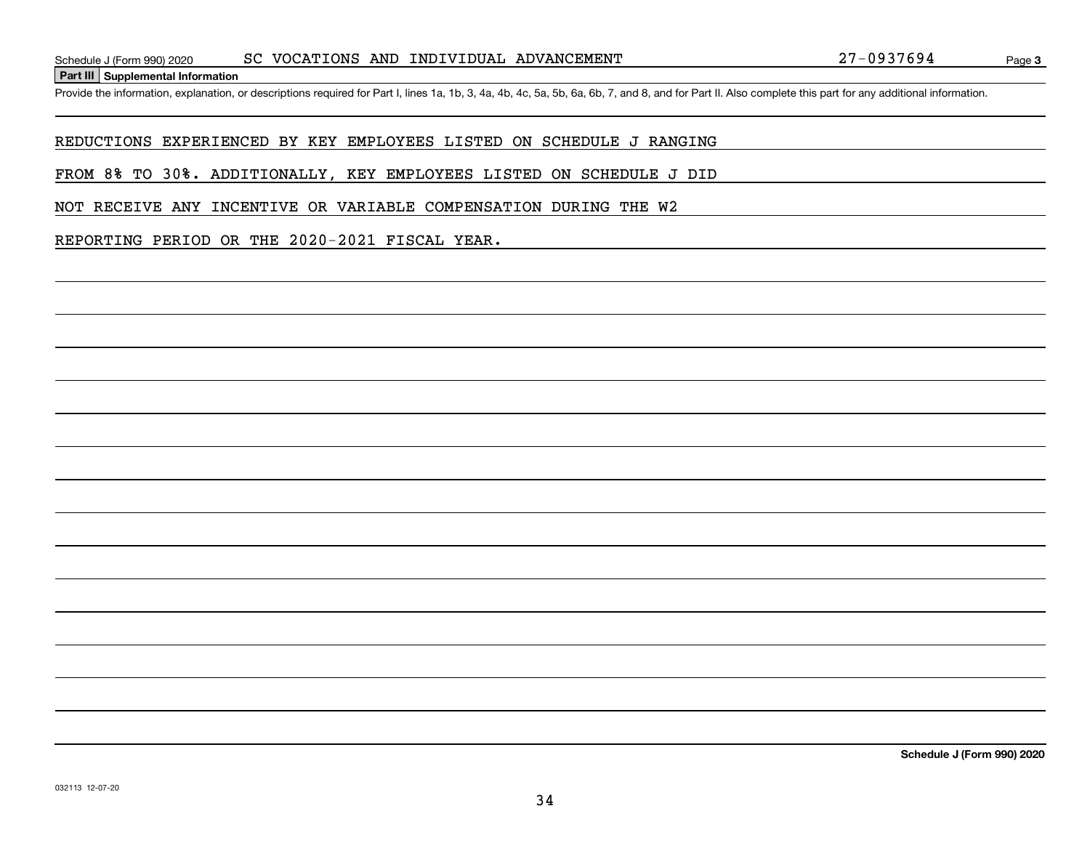**Part III Supplemental Information**

Schedule J (Form 990) 2020 SC VOCATIONS AND INDIVIDUAL ADVANCEMENT 27-0937694<br>Part III Supplemental Information<br>Provide the information, explanation, or descriptions required for Part I, lines 1a, 1b, 3, 4a, 4b, 4c, 5a, 5b

#### REDUCTIONS EXPERIENCED BY KEY EMPLOYEES LISTED ON SCHEDULE J RANGING

FROM 8% TO 30%. ADDITIONALLY, KEY EMPLOYEES LISTED ON SCHEDULE J DID

NOT RECEIVE ANY INCENTIVE OR VARIABLE COMPENSATION DURING THE W2

#### REPORTING PERIOD OR THE 2020-2021 FISCAL YEAR.

**Schedule J (Form 990) 2020**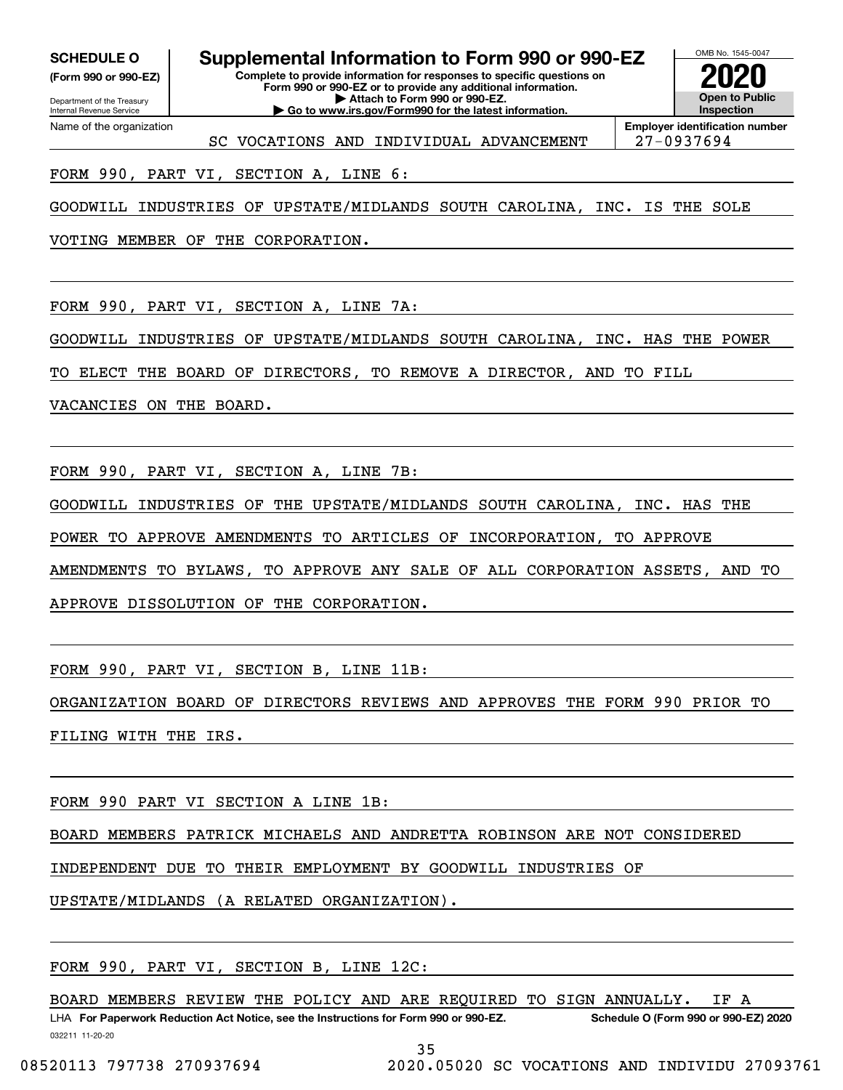**(Form 990 or 990-EZ)**

Department of the Treasury Internal Revenue Service Name of the organization

**SCHEDULE O Supplemental Information to Form 990 or 990-EZ**

**Complete to provide information for responses to specific questions on Form 990 or 990-EZ or to provide any additional information. | Attach to Form 990 or 990-EZ. | Go to www.irs.gov/Form990 for the latest information.**

OMB No. 1545-0047 **Open to Public Inspection2020**

SC VOCATIONS AND INDIVIDUAL ADVANCEMENT | 27-0937694

**Employer identification number**

FORM 990, PART VI, SECTION A, LINE 6:

GOODWILL INDUSTRIES OF UPSTATE/MIDLANDS SOUTH CAROLINA, INC. IS THE SOLE

VOTING MEMBER OF THE CORPORATION.

FORM 990, PART VI, SECTION A, LINE 7A:

GOODWILL INDUSTRIES OF UPSTATE/MIDLANDS SOUTH CAROLINA, INC. HAS THE POWER

TO ELECT THE BOARD OF DIRECTORS, TO REMOVE A DIRECTOR, AND TO FILL

VACANCIES ON THE BOARD.

FORM 990, PART VI, SECTION A, LINE 7B:

GOODWILL INDUSTRIES OF THE UPSTATE/MIDLANDS SOUTH CAROLINA, INC. HAS THE

POWER TO APPROVE AMENDMENTS TO ARTICLES OF INCORPORATION, TO APPROVE

AMENDMENTS TO BYLAWS, TO APPROVE ANY SALE OF ALL CORPORATION ASSETS, AND TO

APPROVE DISSOLUTION OF THE CORPORATION.

FORM 990, PART VI, SECTION B, LINE 11B:

ORGANIZATION BOARD OF DIRECTORS REVIEWS AND APPROVES THE FORM 990 PRIOR TO FILING WITH THE IRS.

FORM 990 PART VI SECTION A LINE 1B:

BOARD MEMBERS PATRICK MICHAELS AND ANDRETTA ROBINSON ARE NOT CONSIDERED

INDEPENDENT DUE TO THEIR EMPLOYMENT BY GOODWILL INDUSTRIES OF

UPSTATE/MIDLANDS (A RELATED ORGANIZATION).

FORM 990, PART VI, SECTION B, LINE 12C:

032211 11-20-20 LHA For Paperwork Reduction Act Notice, see the Instructions for Form 990 or 990-EZ. Schedule O (Form 990 or 990-EZ) 2020 BOARD MEMBERS REVIEW THE POLICY AND ARE REQUIRED TO SIGN ANNUALLY. IF A

35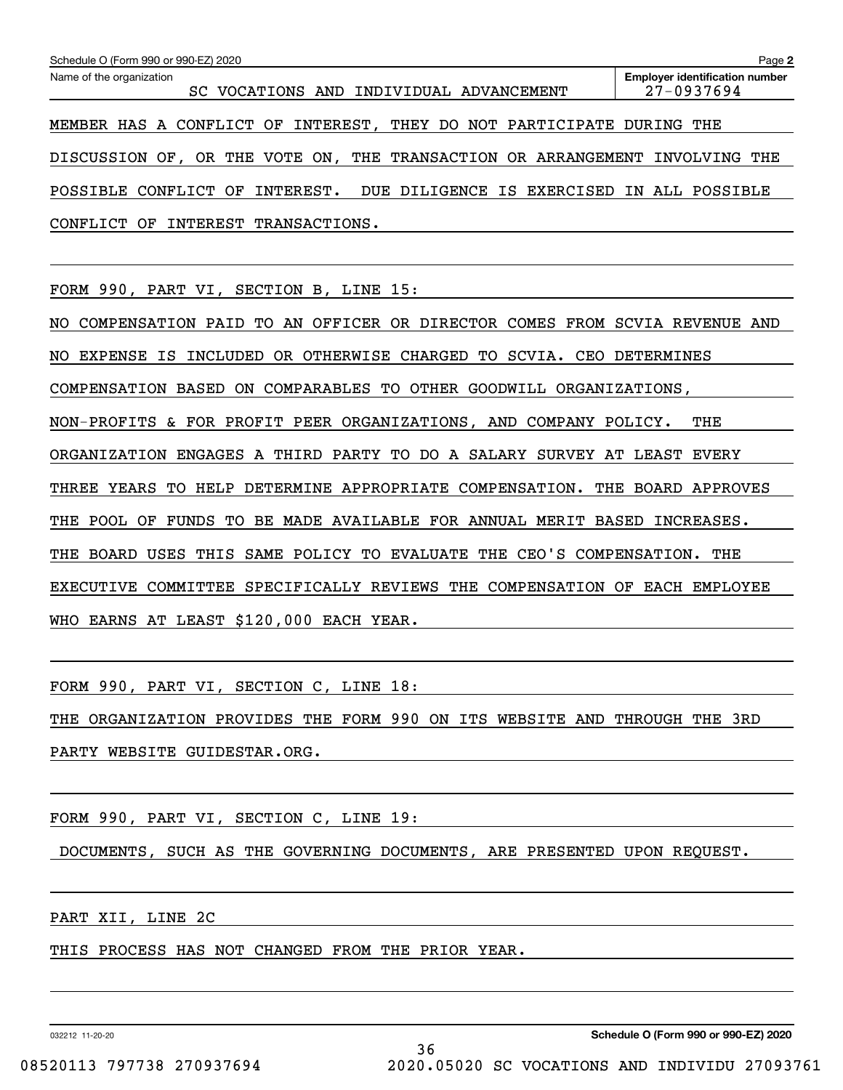| Schedule O (Form 990 or 990-EZ) 2020                                              | Page 2                                              |  |  |  |  |  |
|-----------------------------------------------------------------------------------|-----------------------------------------------------|--|--|--|--|--|
| Name of the organization<br>SC VOCATIONS AND INDIVIDUAL ADVANCEMENT               | <b>Employer identification number</b><br>27-0937694 |  |  |  |  |  |
| MEMBER HAS A CONFLICT OF INTEREST, THEY DO NOT<br>PARTICIPATE                     | DURING<br>THE                                       |  |  |  |  |  |
| DISCUSSION OF, OR THE VOTE ON,<br>THE TRANSACTION OR ARRANGEMENT                  | INVOLVING THE                                       |  |  |  |  |  |
| CONFLICT<br>INTEREST.<br>DUE DILIGENCE<br>EXERCISED<br>POSSIBLE<br>OF<br>IS       | IN ALL POSSIBLE                                     |  |  |  |  |  |
| CONFLICT OF<br>INTEREST TRANSACTIONS.                                             |                                                     |  |  |  |  |  |
|                                                                                   |                                                     |  |  |  |  |  |
| FORM 990, PART VI, SECTION B, LINE 15:                                            |                                                     |  |  |  |  |  |
| AN OFFICER OR DIRECTOR COMES FROM SCVIA REVENUE<br>COMPENSATION PAID<br>TO<br>NO. | AND                                                 |  |  |  |  |  |
| OR OTHERWISE<br>SCVIA.<br>EXPENSE<br>ΙS<br>INCLUDED<br>CHARGED TO<br>CEO<br>NO    | <b>DETERMINES</b>                                   |  |  |  |  |  |
| BASED<br>COMPARABLES TO<br>COMPENSATION<br>ON<br>OTHER GOODWILL<br>ORGANIZATIONS, |                                                     |  |  |  |  |  |
| NON-PROFITS & FOR PROFIT PEER ORGANIZATIONS, AND COMPANY POLICY.                  | THE                                                 |  |  |  |  |  |
| ORGANIZATION<br>ENGAGES A THIRD PARTY<br>TO DO<br>A SALARY                        | SURVEY AT LEAST EVERY                               |  |  |  |  |  |

THREE YEARS TO HELP DETERMINE APPROPRIATE COMPENSATION. THE BOARD APPROVES

THE POOL OF FUNDS TO BE MADE AVAILABLE FOR ANNUAL MERIT BASED INCREASES.

THE BOARD USES THIS SAME POLICY TO EVALUATE THE CEO'S COMPENSATION. THE

EXECUTIVE COMMITTEE SPECIFICALLY REVIEWS THE COMPENSATION OF EACH EMPLOYEE

WHO EARNS AT LEAST \$120,000 EACH YEAR.

FORM 990, PART VI, SECTION C, LINE 18:

THE ORGANIZATION PROVIDES THE FORM 990 ON ITS WEBSITE AND THROUGH THE 3RD PARTY WEBSITE GUIDESTAR.ORG.

FORM 990, PART VI, SECTION C, LINE 19:

DOCUMENTS, SUCH AS THE GOVERNING DOCUMENTS, ARE PRESENTED UPON REQUEST.

PART XII, LINE 2C

THIS PROCESS HAS NOT CHANGED FROM THE PRIOR YEAR.

032212 11-20-20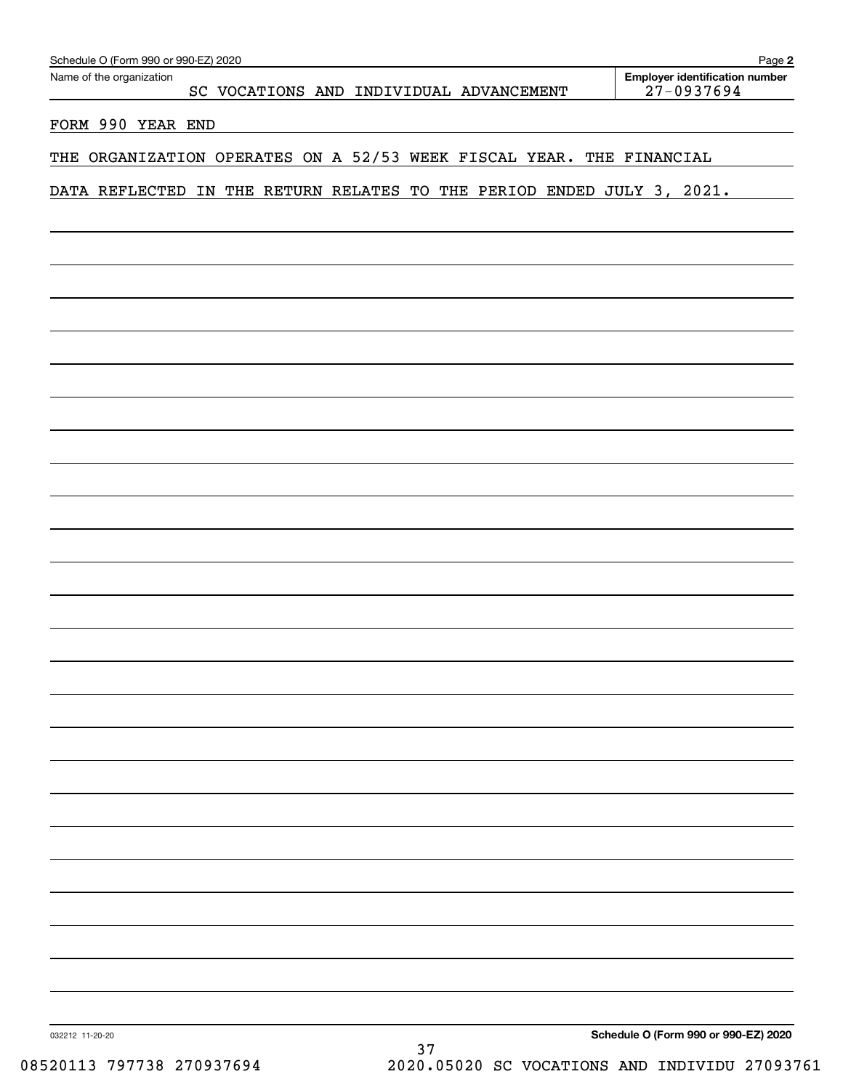| Schedule O (Form 990 or 990-EZ) 2020                                   | Page 2                                              |
|------------------------------------------------------------------------|-----------------------------------------------------|
| Name of the organization<br>SC VOCATIONS AND INDIVIDUAL ADVANCEMENT    | <b>Employer identification number</b><br>27-0937694 |
|                                                                        |                                                     |
| FORM 990 YEAR END                                                      |                                                     |
| THE ORGANIZATION OPERATES ON A 52/53 WEEK FISCAL YEAR. THE FINANCIAL   |                                                     |
| DATA REFLECTED IN THE RETURN RELATES TO THE PERIOD ENDED JULY 3, 2021. |                                                     |
|                                                                        |                                                     |
|                                                                        |                                                     |
|                                                                        |                                                     |
|                                                                        |                                                     |
|                                                                        |                                                     |
|                                                                        |                                                     |
|                                                                        |                                                     |
|                                                                        |                                                     |
|                                                                        |                                                     |
|                                                                        |                                                     |
|                                                                        |                                                     |
|                                                                        |                                                     |
|                                                                        |                                                     |
|                                                                        |                                                     |
|                                                                        |                                                     |
|                                                                        |                                                     |
|                                                                        |                                                     |
|                                                                        |                                                     |
|                                                                        |                                                     |
|                                                                        |                                                     |
|                                                                        |                                                     |
|                                                                        |                                                     |
|                                                                        |                                                     |
|                                                                        |                                                     |
|                                                                        |                                                     |
|                                                                        |                                                     |
|                                                                        |                                                     |
|                                                                        |                                                     |
|                                                                        |                                                     |
|                                                                        |                                                     |
|                                                                        |                                                     |
|                                                                        |                                                     |
| 032212 11-20-20                                                        | Schedule O (Form 990 or 990-EZ) 2020                |
| 37<br>101112 707729 27002760                                           | 2020 05020 CC VOCATIONS AND INDIVITUI 270935        |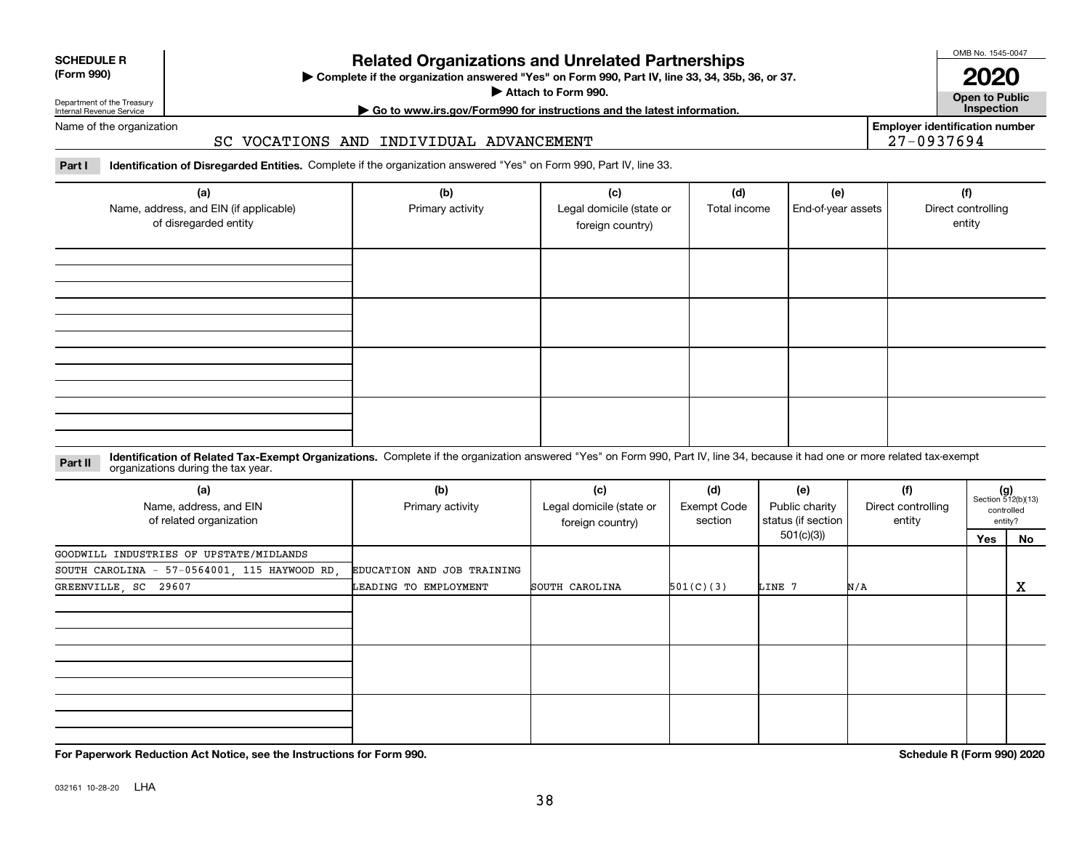| <b>SCHEDULE R</b> |  |
|-------------------|--|
| (Form 990)        |  |

#### **(Form 990)**

## **Related Organizations and Unrelated Partnerships**

**Complete if the organization answered "Yes" on Form 990, Part IV, line 33, 34, 35b, 36, or 37.** |

**Attach to Form 990.**  |

OMB No. 1545-0047

**Open to Public 2020**

**Employer identification number**

27-0937694

Department of the Treasury Internal Revenue Service

## **| Go to www.irs.gov/Form990 for instructions and the latest information. Inspection**

Name of the organization

#### SC VOCATIONS AND INDIVIDUAL ADVANCEMENT

**Part I Identification of Disregarded Entities.**  Complete if the organization answered "Yes" on Form 990, Part IV, line 33.

| (a)<br>Name, address, and EIN (if applicable)<br>of disregarded entity | (b)<br>Primary activity | (c)<br>Legal domicile (state or<br>foreign country) | (d)<br>Total income | (e)<br>End-of-year assets | (f)<br>Direct controlling<br>entity |
|------------------------------------------------------------------------|-------------------------|-----------------------------------------------------|---------------------|---------------------------|-------------------------------------|
|                                                                        |                         |                                                     |                     |                           |                                     |
|                                                                        |                         |                                                     |                     |                           |                                     |
|                                                                        |                         |                                                     |                     |                           |                                     |
|                                                                        |                         |                                                     |                     |                           |                                     |

#### **Identification of Related Tax-Exempt Organizations.** Complete if the organization answered "Yes" on Form 990, Part IV, line 34, because it had one or more related tax-exempt **Part II** organizations during the tax year.

| (a)<br>Name, address, and EIN<br>of related organization | (b)<br>Primary activity    | (c)<br>Legal domicile (state or<br>foreign country) | (d)<br>Exempt Code<br>section | (e)<br>Public charity<br>status (if section | (f)<br>Direct controlling<br>entity |     | $(g)$<br>Section 512(b)(13)<br>controlled<br>entity? |
|----------------------------------------------------------|----------------------------|-----------------------------------------------------|-------------------------------|---------------------------------------------|-------------------------------------|-----|------------------------------------------------------|
|                                                          |                            |                                                     |                               | 501(c)(3))                                  |                                     | Yes | No                                                   |
| GOODWILL INDUSTRIES OF UPSTATE/MIDLANDS                  |                            |                                                     |                               |                                             |                                     |     |                                                      |
| SOUTH CAROLINA - 57-0564001, 115 HAYWOOD RD,             | EDUCATION AND JOB TRAINING |                                                     |                               |                                             |                                     |     |                                                      |
| GREENVILLE, SC 29607                                     | LEADING TO EMPLOYMENT      | SOUTH CAROLINA                                      | 501(C)(3)                     | LINE 7                                      | N/A                                 |     | х                                                    |
|                                                          |                            |                                                     |                               |                                             |                                     |     |                                                      |
|                                                          |                            |                                                     |                               |                                             |                                     |     |                                                      |
|                                                          |                            |                                                     |                               |                                             |                                     |     |                                                      |

**For Paperwork Reduction Act Notice, see the Instructions for Form 990. Schedule R (Form 990) 2020**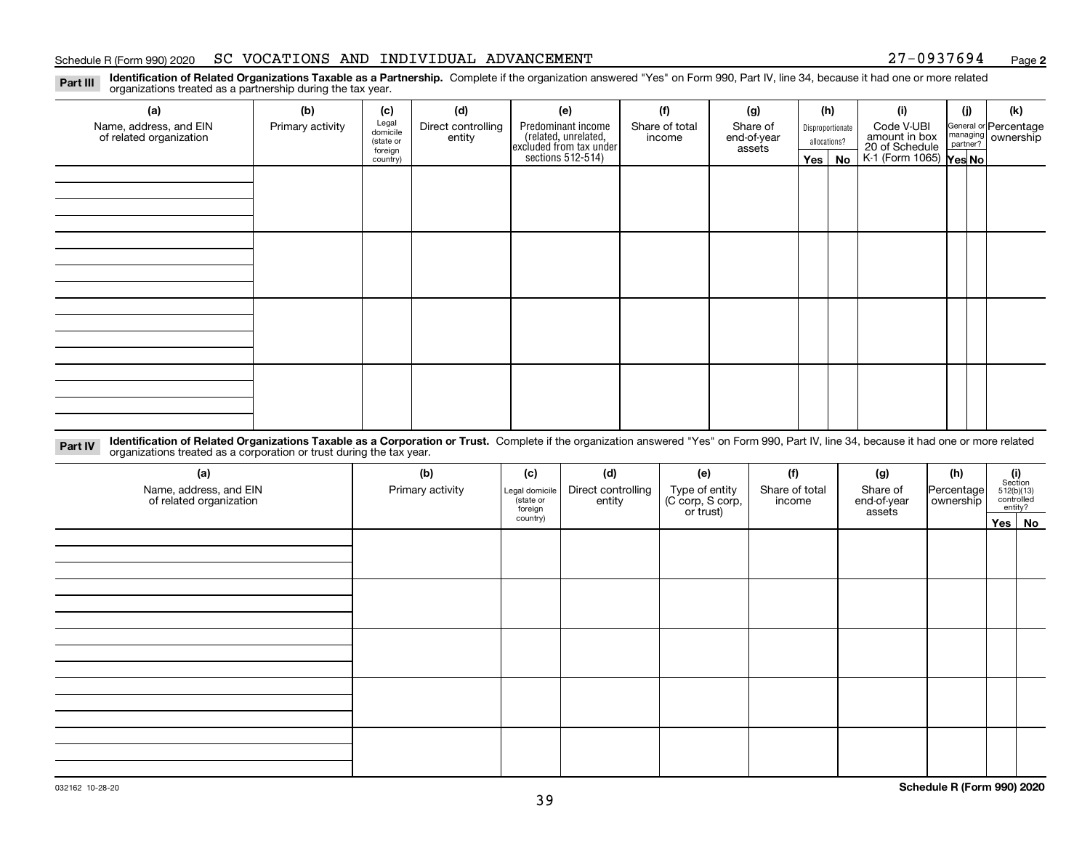#### Schedule R (Form 990) 2020 SC VOCATIONS AND INDIVIDUAL ADVANCEMENT 27-0937694 <sub>Page</sub>

**2**

**Identification of Related Organizations Taxable as a Partnership.** Complete if the organization answered "Yes" on Form 990, Part IV, line 34, because it had one or more related **Part III** organizations treated as a partnership during the tax year.

| (a)                     | (b)              | (c)                  | (d)                | (e)                                                                 | (f)            | (g)                   | (h)              | (i)                                               | (j) | (k)                   |
|-------------------------|------------------|----------------------|--------------------|---------------------------------------------------------------------|----------------|-----------------------|------------------|---------------------------------------------------|-----|-----------------------|
| Name, address, and EIN  | Primary activity | Legal<br>domicile    | Direct controlling | Predominant income                                                  | Share of total | Share of              | Disproportionate | Code V-UBI                                        |     | General or Percentage |
| of related organization |                  | (state or<br>foreign | entity             | related, unrelated,<br>excluded from tax under<br>sections 512-514) | income         | end-of-year<br>assets | allocations?     | amount in box                                     |     | managing ownership    |
|                         |                  | country)             |                    |                                                                     |                |                       | Yes   No         | 20 of Schedule Partner?<br>K-1 (Form 1065) Yes No |     |                       |
|                         |                  |                      |                    |                                                                     |                |                       |                  |                                                   |     |                       |
|                         |                  |                      |                    |                                                                     |                |                       |                  |                                                   |     |                       |
|                         |                  |                      |                    |                                                                     |                |                       |                  |                                                   |     |                       |
|                         |                  |                      |                    |                                                                     |                |                       |                  |                                                   |     |                       |
|                         |                  |                      |                    |                                                                     |                |                       |                  |                                                   |     |                       |
|                         |                  |                      |                    |                                                                     |                |                       |                  |                                                   |     |                       |
|                         |                  |                      |                    |                                                                     |                |                       |                  |                                                   |     |                       |
|                         |                  |                      |                    |                                                                     |                |                       |                  |                                                   |     |                       |
|                         |                  |                      |                    |                                                                     |                |                       |                  |                                                   |     |                       |
|                         |                  |                      |                    |                                                                     |                |                       |                  |                                                   |     |                       |
|                         |                  |                      |                    |                                                                     |                |                       |                  |                                                   |     |                       |
|                         |                  |                      |                    |                                                                     |                |                       |                  |                                                   |     |                       |
|                         |                  |                      |                    |                                                                     |                |                       |                  |                                                   |     |                       |
|                         |                  |                      |                    |                                                                     |                |                       |                  |                                                   |     |                       |
|                         |                  |                      |                    |                                                                     |                |                       |                  |                                                   |     |                       |
|                         |                  |                      |                    |                                                                     |                |                       |                  |                                                   |     |                       |
|                         |                  |                      |                    |                                                                     |                |                       |                  |                                                   |     |                       |

**Identification of Related Organizations Taxable as a Corporation or Trust.** Complete if the organization answered "Yes" on Form 990, Part IV, line 34, because it had one or more related **Part IV** organizations treated as a corporation or trust during the tax year.

| (a)<br>Name, address, and EIN<br>of related organization | (b)<br>Primary activity | (c)<br>Legal domicile<br>state or<br>foreign | (d)<br>Direct controlling<br>entity | (e)<br>Type of entity<br>(C corp, S corp,<br>or trust) | (f)<br>Share of total<br>income | (g)<br>Share of<br>end-of-year<br>assets | (h)<br>Percentage<br>ownership | (i)<br>Section<br>$512(b)(13)$<br>controlled | entity? |
|----------------------------------------------------------|-------------------------|----------------------------------------------|-------------------------------------|--------------------------------------------------------|---------------------------------|------------------------------------------|--------------------------------|----------------------------------------------|---------|
|                                                          |                         | country)                                     |                                     |                                                        |                                 |                                          |                                |                                              | Yes No  |
|                                                          |                         |                                              |                                     |                                                        |                                 |                                          |                                |                                              |         |
|                                                          |                         |                                              |                                     |                                                        |                                 |                                          |                                |                                              |         |
|                                                          |                         |                                              |                                     |                                                        |                                 |                                          |                                |                                              |         |
|                                                          |                         |                                              |                                     |                                                        |                                 |                                          |                                |                                              |         |
|                                                          |                         |                                              |                                     |                                                        |                                 |                                          |                                |                                              |         |
|                                                          |                         |                                              |                                     |                                                        |                                 |                                          |                                |                                              |         |
|                                                          |                         |                                              |                                     |                                                        |                                 |                                          |                                |                                              |         |
|                                                          |                         |                                              |                                     |                                                        |                                 |                                          |                                |                                              |         |
|                                                          |                         |                                              |                                     |                                                        |                                 |                                          |                                |                                              |         |
|                                                          |                         |                                              |                                     |                                                        |                                 |                                          |                                |                                              |         |
|                                                          |                         |                                              |                                     |                                                        |                                 |                                          |                                |                                              |         |
|                                                          |                         |                                              |                                     |                                                        |                                 |                                          |                                |                                              |         |
|                                                          |                         |                                              |                                     |                                                        |                                 |                                          |                                |                                              |         |
|                                                          |                         |                                              |                                     |                                                        |                                 |                                          |                                |                                              |         |
|                                                          |                         |                                              |                                     |                                                        |                                 |                                          |                                |                                              |         |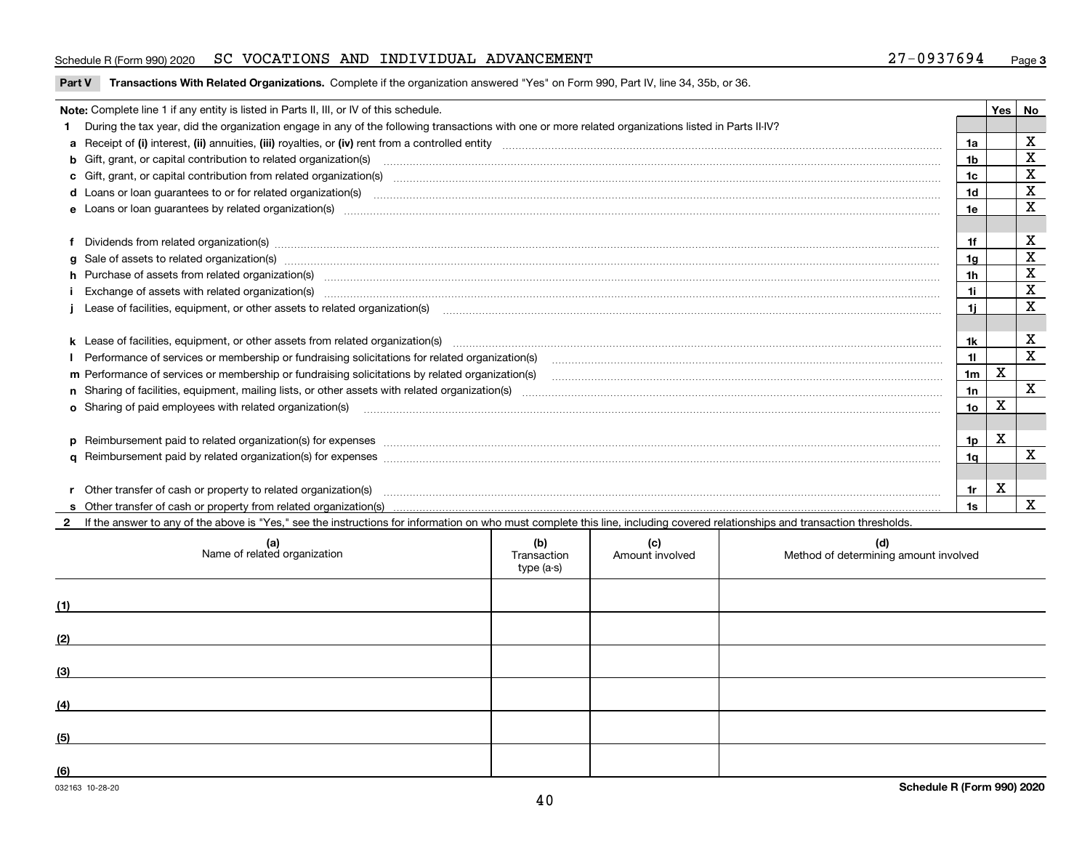#### Schedule R (Form 990) 2020 SC VOCATIONS AND INDIVIDUAL ADVANCEMENT 27-0937694 <sub>Page</sub>

#### **Part V** T**ransactions With Related Organizations.** Complete if the organization answered "Yes" on Form 990, Part IV, line 34, 35b, or 36.

| Note: Complete line 1 if any entity is listed in Parts II, III, or IV of this schedule. |                                                                                                                                                                                                                                |     |   |   |  |
|-----------------------------------------------------------------------------------------|--------------------------------------------------------------------------------------------------------------------------------------------------------------------------------------------------------------------------------|-----|---|---|--|
|                                                                                         | During the tax year, did the organization engage in any of the following transactions with one or more related organizations listed in Parts II-IV?                                                                            |     |   |   |  |
|                                                                                         |                                                                                                                                                                                                                                | 1a  |   | X |  |
|                                                                                         | <b>b</b> Gift, grant, or capital contribution to related organization(s)                                                                                                                                                       | 1b  |   | x |  |
|                                                                                         | c Gift, grant, or capital contribution from related organization(s)                                                                                                                                                            | 1c  |   | X |  |
|                                                                                         | <b>d</b> Loans or loan guarantees to or for related organization(s)                                                                                                                                                            | 1d  |   | X |  |
|                                                                                         | e Loans or loan quarantees by related organization(s)                                                                                                                                                                          | 1e  |   | X |  |
|                                                                                         |                                                                                                                                                                                                                                |     |   |   |  |
|                                                                                         | Dividends from related organization(s) manufactured and contract and contract or produced and contract and contract and contract and contract and contract and contract and contract and contract and contract and contract an | 1f  |   | х |  |
|                                                                                         | g Sale of assets to related organization(s) www.assettion.com/www.assettion.com/www.assettion.com/www.assettion.com/www.assettion.com/www.assettion.com/www.assettion.com/www.assettion.com/www.assettion.com/www.assettion.co | 1a  |   | X |  |
|                                                                                         | h Purchase of assets from related organization(s) manufactured and content to the content of the content of the content of the content of the content of the content of the content of the content of the content of the conte | 1h  |   | X |  |
|                                                                                         | Exchange of assets with related organization(s) www.andron.com/www.andron.com/www.andron.com/www.andron.com/www.andron.com/www.andron.com/www.andron.com/www.andron.com/www.andron.com/www.andron.com/www.andron.com/www.andro | 1i  |   | X |  |
|                                                                                         |                                                                                                                                                                                                                                | 1i. |   | X |  |
|                                                                                         |                                                                                                                                                                                                                                |     |   |   |  |
|                                                                                         |                                                                                                                                                                                                                                | 1k  |   | х |  |
|                                                                                         | Performance of services or membership or fundraising solicitations for related organization(s)                                                                                                                                 | 11  |   | X |  |
|                                                                                         | m Performance of services or membership or fundraising solicitations by related organization(s)                                                                                                                                | 1m  | X |   |  |
|                                                                                         |                                                                                                                                                                                                                                | 1n  |   | X |  |
|                                                                                         | <b>o</b> Sharing of paid employees with related organization(s)                                                                                                                                                                | 10  | X |   |  |
|                                                                                         |                                                                                                                                                                                                                                |     |   |   |  |
|                                                                                         | p Reimbursement paid to related organization(s) for expenses [111] resummations are constructed as a constrained and constrained and constrained and constrained and constrained and constrained and constrained and constrain | 1p  | х |   |  |
|                                                                                         |                                                                                                                                                                                                                                | 1a  |   | X |  |
|                                                                                         |                                                                                                                                                                                                                                |     |   |   |  |
|                                                                                         | r Other transfer of cash or property to related organization(s)                                                                                                                                                                | 1r  | х |   |  |
|                                                                                         |                                                                                                                                                                                                                                | 1s  |   | X |  |

**2**If the answer to any of the above is "Yes," see the instructions for information on who must complete this line, including covered relationships and transaction thresholds.

| (a)<br>Name of related organization | (b)<br>Transaction<br>type (a-s) | (c)<br>Amount involved | (d)<br>Method of determining amount involved |
|-------------------------------------|----------------------------------|------------------------|----------------------------------------------|
| (1)                                 |                                  |                        |                                              |
| (2)                                 |                                  |                        |                                              |
| (3)                                 |                                  |                        |                                              |
| (4)                                 |                                  |                        |                                              |
| (5)                                 |                                  |                        |                                              |
| (6)                                 |                                  |                        |                                              |

 $\overline{a}$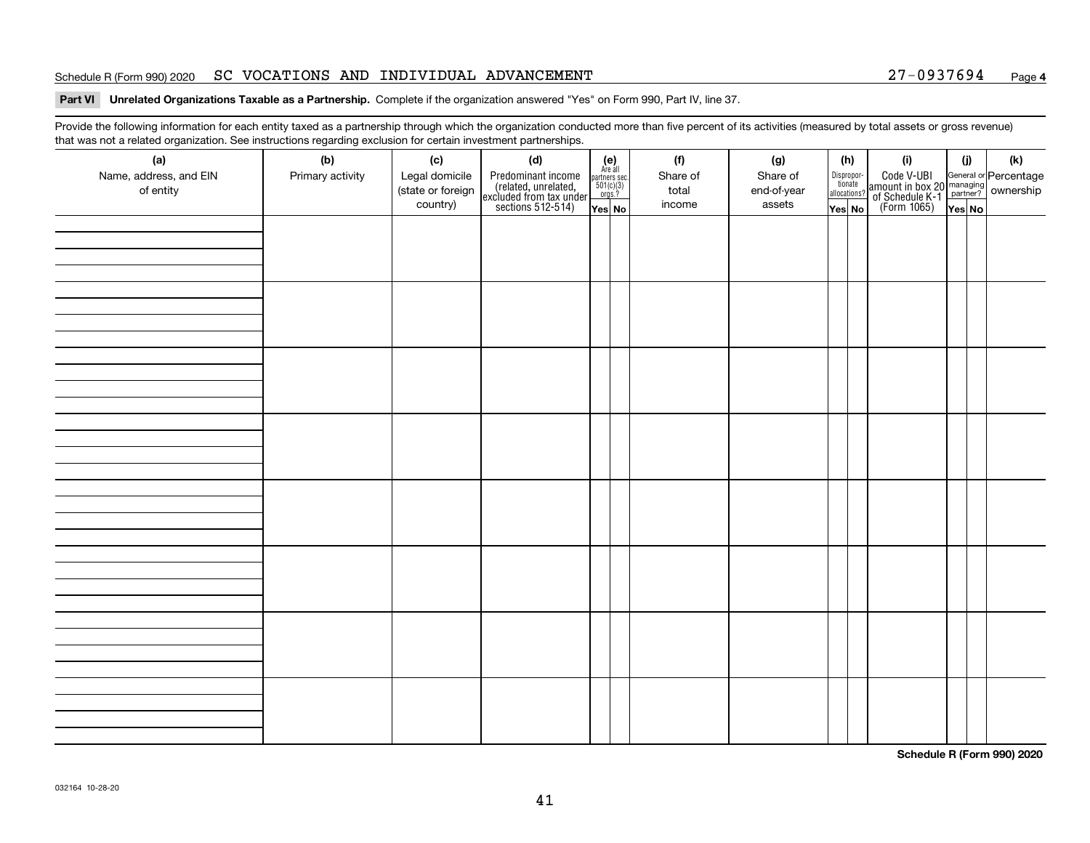#### Schedule R (Form 990) 2020 SC VOCATIONS AND INDIVIDUAL ADVANCEMENT 27-0937694 <sub>Page</sub>

**Part VI Unrelated Organizations Taxable as a Partnership. Complete if the organization answered "Yes" on Form 990, Part IV, line 37.** 

Provide the following information for each entity taxed as a partnership through which the organization conducted more than five percent of its activities (measured by total assets or gross revenue) that was not a related organization. See instructions regarding exclusion for certain investment partnerships.

| ັ<br>(a)<br>Name, address, and EIN<br>of entity | ັ<br>ັ<br>(b)<br>Primary activity | (c)<br>Legal domicile<br>(state or foreign<br>country) | (d)<br>Predominant income<br>(related, unrelated,<br>excluded from tax under<br>sections 512-514) | (e)<br>Are all<br>$\begin{array}{c}\n\text{partners} \sec.\n\\ \n501(c)(3)\n\\ \n0rgs.?\n\end{array}$ | (f)<br>Share of<br>total<br>income | (g)<br>Share of<br>end-of-year<br>assets | (h)<br>Dispropor-<br>tionate<br>allocations? | (i)<br>Code V-UBI<br>amount in box 20 managing<br>of Schedule K-1<br>(Form 1065)<br>$\overline{Yes}$ No | (i)    | (k) |
|-------------------------------------------------|-----------------------------------|--------------------------------------------------------|---------------------------------------------------------------------------------------------------|-------------------------------------------------------------------------------------------------------|------------------------------------|------------------------------------------|----------------------------------------------|---------------------------------------------------------------------------------------------------------|--------|-----|
|                                                 |                                   |                                                        |                                                                                                   | Yes No                                                                                                |                                    |                                          | Yes No                                       |                                                                                                         | Yes No |     |
|                                                 |                                   |                                                        |                                                                                                   |                                                                                                       |                                    |                                          |                                              |                                                                                                         |        |     |
|                                                 |                                   |                                                        |                                                                                                   |                                                                                                       |                                    |                                          |                                              |                                                                                                         |        |     |
|                                                 |                                   |                                                        |                                                                                                   |                                                                                                       |                                    |                                          |                                              |                                                                                                         |        |     |
|                                                 |                                   |                                                        |                                                                                                   |                                                                                                       |                                    |                                          |                                              |                                                                                                         |        |     |
|                                                 |                                   |                                                        |                                                                                                   |                                                                                                       |                                    |                                          |                                              |                                                                                                         |        |     |
|                                                 |                                   |                                                        |                                                                                                   |                                                                                                       |                                    |                                          |                                              |                                                                                                         |        |     |
|                                                 |                                   |                                                        |                                                                                                   |                                                                                                       |                                    |                                          |                                              |                                                                                                         |        |     |
|                                                 |                                   |                                                        |                                                                                                   |                                                                                                       |                                    |                                          |                                              |                                                                                                         |        |     |

**Schedule R (Form 990) 2020**